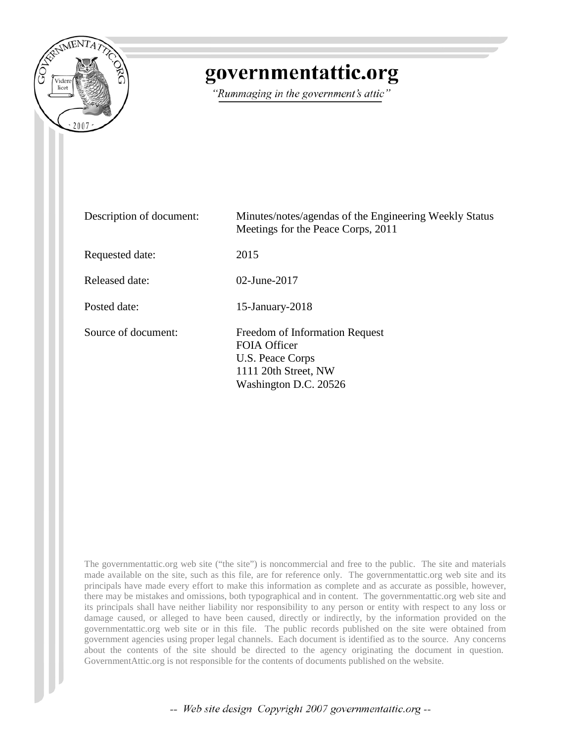

# governmentattic.org

"Rummaging in the government's attic"

| Description of document: | Minutes/notes/agendas of the Engineering Weekly Status<br>Meetings for the Peace Corps, 2011                                      |
|--------------------------|-----------------------------------------------------------------------------------------------------------------------------------|
| Requested date:          | 2015                                                                                                                              |
| Released date:           | $02$ -June-2017                                                                                                                   |
| Posted date:             | $15$ -January- $2018$                                                                                                             |
| Source of document:      | <b>Freedom of Information Request</b><br><b>FOIA Officer</b><br>U.S. Peace Corps<br>1111 20th Street, NW<br>Washington D.C. 20526 |

The governmentattic.org web site ("the site") is noncommercial and free to the public. The site and materials made available on the site, such as this file, are for reference only. The governmentattic.org web site and its principals have made every effort to make this information as complete and as accurate as possible, however, there may be mistakes and omissions, both typographical and in content. The governmentattic.org web site and its principals shall have neither liability nor responsibility to any person or entity with respect to any loss or damage caused, or alleged to have been caused, directly or indirectly, by the information provided on the governmentattic.org web site or in this file. The public records published on the site were obtained from government agencies using proper legal channels. Each document is identified as to the source. Any concerns about the contents of the site should be directed to the agency originating the document in question. GovernmentAttic.org is not responsible for the contents of documents published on the website.

-- Web site design Copyright 2007 governmentattic.org --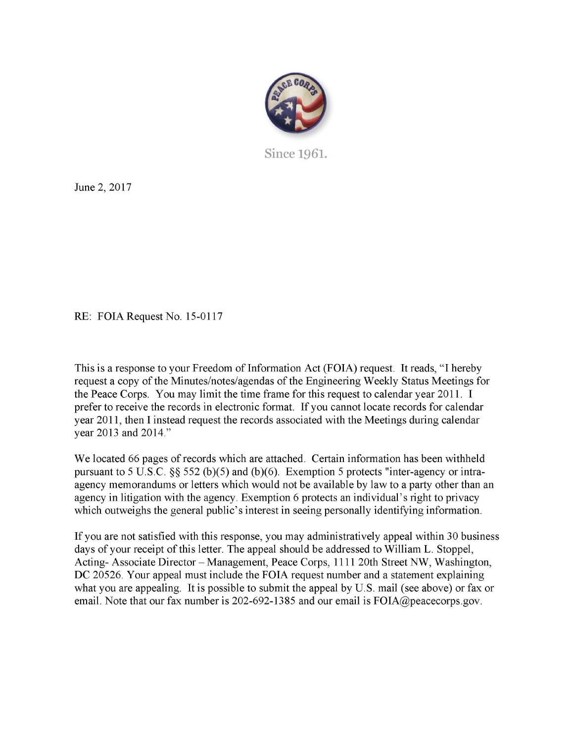

Since **1961.** 

June 2, 2017

RE: FOIA Request No. 15-0117

This is a response to your Freedom of Information Act (FOIA) request. It reads, "I hereby request a copy of the Minutes/notes/agendas of the Engineering Weekly Status Meetings for the Peace Corps. You may limit the time frame for this request to calendar year 2011. I prefer to receive the records in electronic format. If you cannot locate records for calendar year 2011, then I instead request the records associated with the Meetings during calendar year 2013 and 2014."

We located 66 pages of records which are attached. Certain information has been withheld pursuant to 5 U.S.C.  $\S$  552 (b)(5) and (b)(6). Exemption 5 protects "inter-agency or intraagency memorandums or letters which would not be available by law to a party other than an agency in litigation with the agency. Exemption 6 protects an individual's right to privacy which outweighs the general public's interest in seeing personally identifying information.

If you are not satisfied with this response, you may administratively appeal within 30 business days of your receipt of this letter. The appeal should be addressed to William L. Stoppel, Acting- Associate Director – Management, Peace Corps, 1111 20th Street NW, Washington, DC 20526. Your appeal must include the FOIA request number and a statement explaining what you are appealing. It is possible to submit the appeal by U.S. mail (see above) or fax or email. Note that our fax number is 202-692-1385 and our email is FOIA@peacecorps.gov.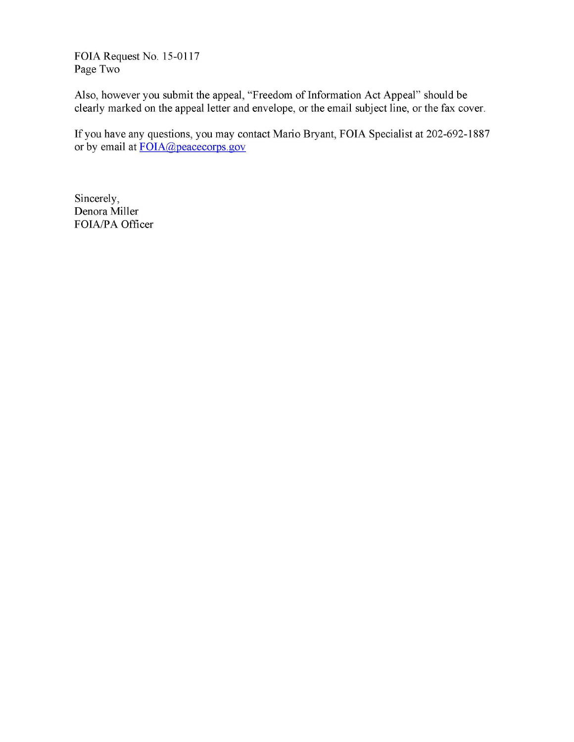FOIA Request No. 15-0117 Page Two

Also, however you submit the appeal, "Freedom of Information Act Appeal" should be clearly marked on the appeal letter and envelope, or the email subject line, or the fax cover.

If you have any questions, you may contact Mario Bryant, FOIA Specialist at 202-692-1887 or by email at FOIA@peacecorps.gov

Sincerely, Denora Miller FOIA/PA Officer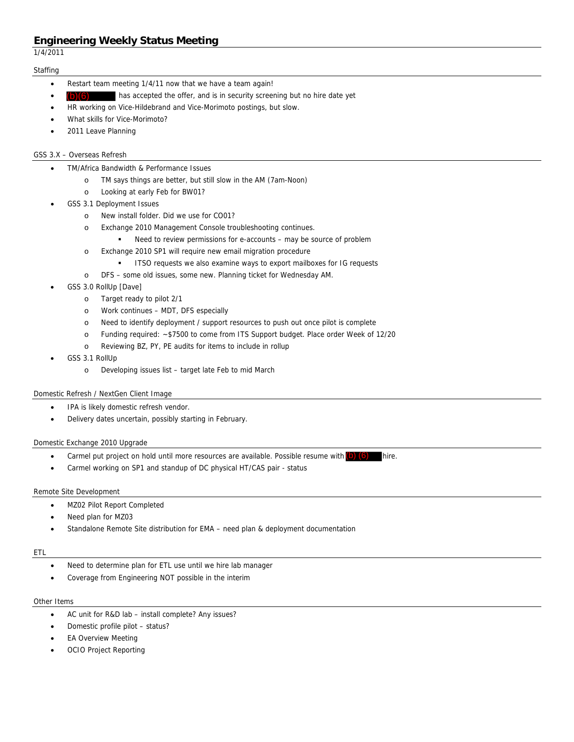1/4/2011

## **Staffing**

- Restart team meeting 1/4/11 now that we have a team again!
- has accepted the offer, and is in security screening but no hire date yet (b)(6)
- HR working on Vice-Hildebrand and Vice-Morimoto postings, but slow.
- What skills for Vice-Morimoto?
- 2011 Leave Planning

## GSS 3.X – Overseas Refresh

- TM/Africa Bandwidth & Performance Issues
	- o TM says things are better, but still slow in the AM (7am-Noon)
	- o Looking at early Feb for BW01?
- GSS 3.1 Deployment Issues
	- o New install folder. Did we use for CO01?
	- o Exchange 2010 Management Console troubleshooting continues.
		- Need to review permissions for e-accounts may be source of problem
	- o Exchange 2010 SP1 will require new email migration procedure
		- **ITSO requests we also examine ways to export mailboxes for IG requests**
	- o DFS some old issues, some new. Planning ticket for Wednesday AM.
- GSS 3.0 RollUp [Dave]
	- o Target ready to pilot 2/1
	- o Work continues MDT, DFS especially
	- o Need to identify deployment / support resources to push out once pilot is complete
	- o Funding required: ~\$7500 to come from ITS Support budget. Place order Week of 12/20
	- o Reviewing BZ, PY, PE audits for items to include in rollup
- GSS 3.1 RollUp
	- o Developing issues list target late Feb to mid March

## Domestic Refresh / NextGen Client Image

- IPA is likely domestic refresh vendor.
- Delivery dates uncertain, possibly starting in February.

## Domestic Exchange 2010 Upgrade

- Carmel put project on hold until more resources are available. Possible resume with  $(b)$  (6) hire.
- Carmel working on SP1 and standup of DC physical HT/CAS pair status

## Remote Site Development

- MZ02 Pilot Report Completed
- Need plan for MZ03
- Standalone Remote Site distribution for EMA need plan & deployment documentation

## ETL

- Need to determine plan for ETL use until we hire lab manager
- Coverage from Engineering NOT possible in the interim

## Other Items

- AC unit for R&D lab install complete? Any issues?
- Domestic profile pilot status?
- EA Overview Meeting
- OCIO Project Reporting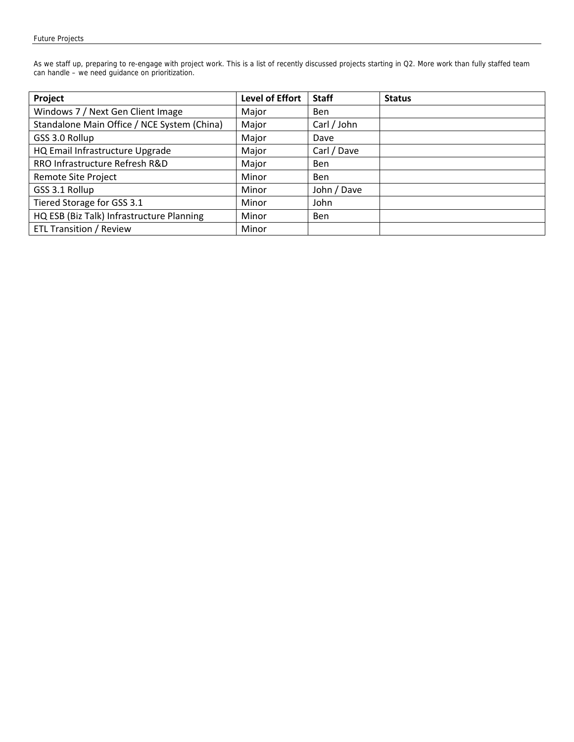As we staff up, preparing to re-engage with project work. This is a list of recently discussed projects starting in Q2. More work than fully staffed team can handle – we need guidance on prioritization.

| Project                                     | <b>Level of Effort</b> | <b>Staff</b> | <b>Status</b> |
|---------------------------------------------|------------------------|--------------|---------------|
| Windows 7 / Next Gen Client Image           | Major                  | Ben          |               |
| Standalone Main Office / NCE System (China) | Major                  | Carl / John  |               |
| GSS 3.0 Rollup                              | Major                  | Dave         |               |
| HQ Email Infrastructure Upgrade             | Major                  | Carl / Dave  |               |
| RRO Infrastructure Refresh R&D              | Major                  | <b>Ben</b>   |               |
| <b>Remote Site Project</b>                  | Minor                  | <b>Ben</b>   |               |
| GSS 3.1 Rollup                              | Minor                  | John / Dave  |               |
| Tiered Storage for GSS 3.1                  | Minor                  | John         |               |
| HQ ESB (Biz Talk) Infrastructure Planning   | Minor                  | <b>Ben</b>   |               |
| <b>ETL Transition / Review</b>              | Minor                  |              |               |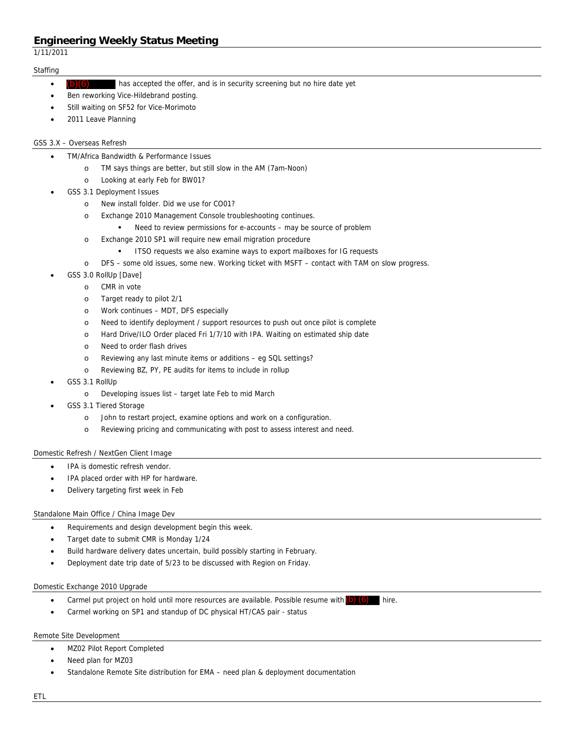1/11/2011

## **Staffing**

- has accepted the offer, and is in security screening but no hire date yet (b)(6)
- Ben reworking Vice-Hildebrand posting.
- Still waiting on SF52 for Vice-Morimoto
- 2011 Leave Planning

## GSS 3.X – Overseas Refresh

- TM/Africa Bandwidth & Performance Issues
	- o TM says things are better, but still slow in the AM (7am-Noon)
	- o Looking at early Feb for BW01?
- GSS 3.1 Deployment Issues
	- o New install folder. Did we use for CO01?
	- o Exchange 2010 Management Console troubleshooting continues.
		- Need to review permissions for e-accounts may be source of problem
	- o Exchange 2010 SP1 will require new email migration procedure
		- **ITSO requests we also examine ways to export mailboxes for IG requests**
	- o DFS some old issues, some new. Working ticket with MSFT contact with TAM on slow progress.
- GSS 3.0 RollUp [Dave]
	- o CMR in vote
	- o Target ready to pilot 2/1
	- o Work continues MDT, DFS especially
	- o Need to identify deployment / support resources to push out once pilot is complete
	- o Hard Drive/ILO Order placed Fri 1/7/10 with IPA. Waiting on estimated ship date
	- o Need to order flash drives
	- o Reviewing any last minute items or additions eg SQL settings?
	- o Reviewing BZ, PY, PE audits for items to include in rollup
- GSS 3.1 RollUp
	- o Developing issues list target late Feb to mid March
- GSS 3.1 Tiered Storage
	- o John to restart project, examine options and work on a configuration.
	- o Reviewing pricing and communicating with post to assess interest and need.

## Domestic Refresh / NextGen Client Image

- IPA is domestic refresh vendor.
- IPA placed order with HP for hardware.
- Delivery targeting first week in Feb

## Standalone Main Office / China Image Dev

- Requirements and design development begin this week.
- Target date to submit CMR is Monday 1/24
- Build hardware delivery dates uncertain, build possibly starting in February.
- Deployment date trip date of 5/23 to be discussed with Region on Friday.

## Domestic Exchange 2010 Upgrade

- Carmel put project on hold until more resources are available. Possible resume with  $(b)$   $(6)$  hire.
- Carmel working on SP1 and standup of DC physical HT/CAS pair status

## Remote Site Development

- MZ02 Pilot Report Completed
- Need plan for MZ03
- Standalone Remote Site distribution for EMA need plan & deployment documentation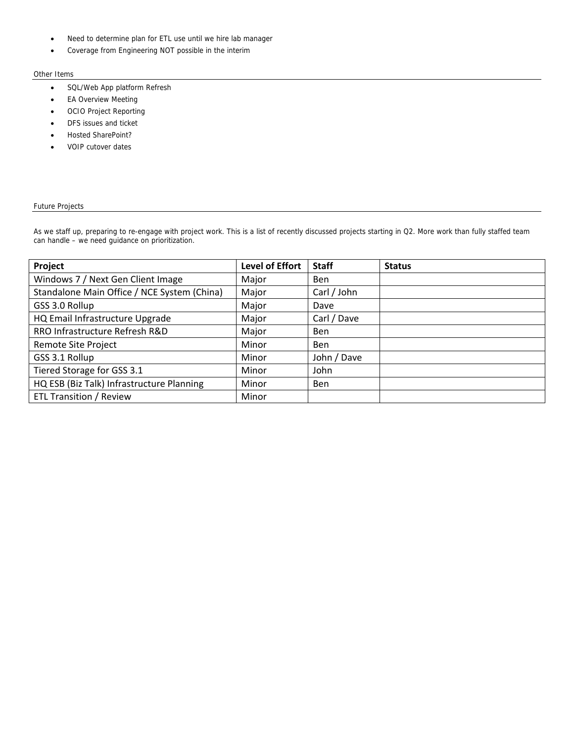- Need to determine plan for ETL use until we hire lab manager
- Coverage from Engineering NOT possible in the interim

### Other Items

- SQL/Web App platform Refresh
- EA Overview Meeting
- OCIO Project Reporting
- DFS issues and ticket
- Hosted SharePoint?
- VOIP cutover dates

## Future Projects

As we staff up, preparing to re-engage with project work. This is a list of recently discussed projects starting in Q2. More work than fully staffed team can handle – we need guidance on prioritization.

| Project                                     | <b>Level of Effort</b> | <b>Staff</b> | <b>Status</b> |
|---------------------------------------------|------------------------|--------------|---------------|
| Windows 7 / Next Gen Client Image           | Major                  | <b>Ben</b>   |               |
| Standalone Main Office / NCE System (China) | Major                  | Carl / John  |               |
| GSS 3.0 Rollup                              | Major                  | Dave         |               |
| HQ Email Infrastructure Upgrade             | Major                  | Carl / Dave  |               |
| RRO Infrastructure Refresh R&D              | Major                  | <b>Ben</b>   |               |
| Remote Site Project                         | Minor                  | <b>Ben</b>   |               |
| GSS 3.1 Rollup                              | Minor                  | John / Dave  |               |
| Tiered Storage for GSS 3.1                  | Minor                  | John         |               |
| HQ ESB (Biz Talk) Infrastructure Planning   | Minor                  | <b>Ben</b>   |               |
| <b>ETL Transition / Review</b>              | Minor                  |              |               |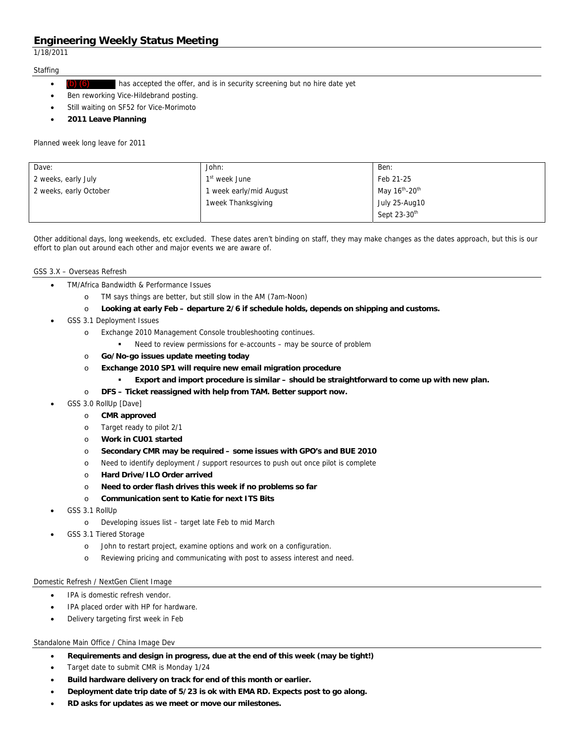1/18/2011

## **Staffing**

- has accepted the offer, and is in security screening but no hire date yet (b) (6)
- Ben reworking Vice-Hildebrand posting.
- Still waiting on SF52 for Vice-Morimoto
- **2011 Leave Planning**

Planned week long leave for 2011

| Dave:                  | John:                     | Ben:                                   |
|------------------------|---------------------------|----------------------------------------|
| 2 weeks, early July    | 1 <sup>st</sup> week June | Feb 21-25                              |
| 2 weeks, early October | 1 week early/mid August   | May 16 <sup>th</sup> -20 <sup>th</sup> |
|                        | 1week Thanksgiving        | July 25-Aug10                          |
|                        |                           | Sept 23-30 <sup>th</sup>               |

Other additional days, long weekends, etc excluded. These dates aren't binding on staff, they may make changes as the dates approach, but this is our effort to plan out around each other and major events we are aware of.

## GSS 3.X – Overseas Refresh

- TM/Africa Bandwidth & Performance Issues
	- o TM says things are better, but still slow in the AM (7am-Noon)
	- o **Looking at early Feb departure 2/6 if schedule holds, depends on shipping and customs.**
- GSS 3.1 Deployment Issues
	- o Exchange 2010 Management Console troubleshooting continues.
		- Need to review permissions for e-accounts may be source of problem
	- o **Go/No-go issues update meeting today**
	- o **Exchange 2010 SP1 will require new email migration procedure** 
		- **Export and import procedure is similar should be straightforward to come up with new plan.**
	- o **DFS Ticket reassigned with help from TAM. Better support now.**
- GSS 3.0 RollUp [Dave]
	- o **CMR approved**
	- o Target ready to pilot 2/1
	- o **Work in CU01 started**
	- o **Secondary CMR may be required some issues with GPO's and BUE 2010**
	- o Need to identify deployment / support resources to push out once pilot is complete
	- o **Hard Drive/ILO Order arrived**
	- o **Need to order flash drives this week if no problems so far**
	- o **Communication sent to Katie for next ITS Bits**
- GSS 3.1 RollUp
	- o Developing issues list target late Feb to mid March
- GSS 3.1 Tiered Storage
	- o John to restart project, examine options and work on a configuration.
	- o Reviewing pricing and communicating with post to assess interest and need.

## Domestic Refresh / NextGen Client Image

- IPA is domestic refresh vendor.
- IPA placed order with HP for hardware.
- Delivery targeting first week in Feb

## Standalone Main Office / China Image Dev

- **Requirements and design in progress, due at the end of this week (may be tight!)**
- Target date to submit CMR is Monday 1/24
- **Build hardware delivery on track for end of this month or earlier.**
- **Deployment date trip date of 5/23 is ok with EMA RD. Expects post to go along.**
- **RD asks for updates as we meet or move our milestones.**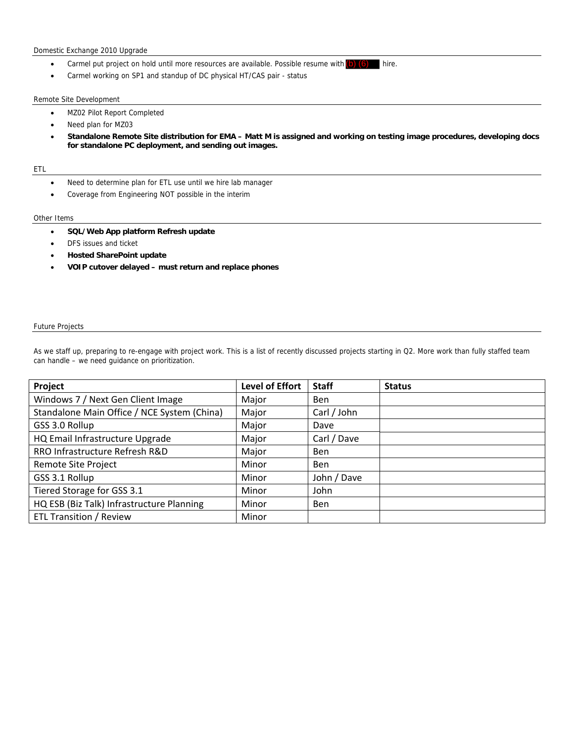## Domestic Exchange 2010 Upgrade

- Carmel put project on hold until more resources are available. Possible resume with  $(b)$   $(6)$  hire.
- Carmel working on SP1 and standup of DC physical HT/CAS pair status

#### Remote Site Development

- MZ02 Pilot Report Completed
- Need plan for MZ03
- **Standalone Remote Site distribution for EMA Matt M is assigned and working on testing image procedures, developing docs for standalone PC deployment, and sending out images.**

#### ETL

- Need to determine plan for ETL use until we hire lab manager
- Coverage from Engineering NOT possible in the interim

### Other Items

- **SQL/Web App platform Refresh update**
- DFS issues and ticket
- **Hosted SharePoint update**
- **VOIP cutover delayed must return and replace phones**

#### Future Projects

As we staff up, preparing to re-engage with project work. This is a list of recently discussed projects starting in Q2. More work than fully staffed team can handle – we need guidance on prioritization.

| Project                                     | <b>Level of Effort</b> | <b>Staff</b> | <b>Status</b> |
|---------------------------------------------|------------------------|--------------|---------------|
| Windows 7 / Next Gen Client Image           | Major                  | <b>Ben</b>   |               |
| Standalone Main Office / NCE System (China) | Major                  | Carl / John  |               |
| GSS 3.0 Rollup                              | Major                  | Dave         |               |
| HQ Email Infrastructure Upgrade             | Major                  | Carl / Dave  |               |
| RRO Infrastructure Refresh R&D              | Major                  | <b>Ben</b>   |               |
| Remote Site Project                         | Minor                  | <b>Ben</b>   |               |
| GSS 3.1 Rollup                              | Minor                  | John / Dave  |               |
| Tiered Storage for GSS 3.1                  | Minor                  | John         |               |
| HQ ESB (Biz Talk) Infrastructure Planning   | Minor                  | <b>Ben</b>   |               |
| <b>ETL Transition / Review</b>              | Minor                  |              |               |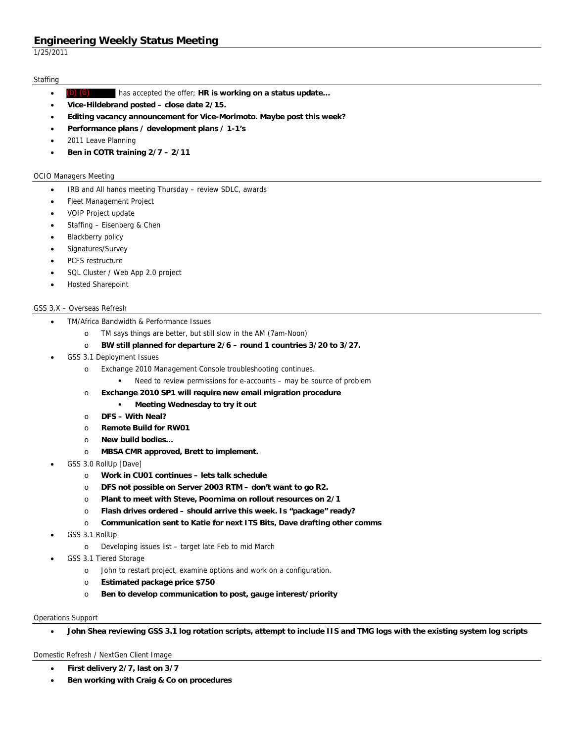1/25/2011

## **Staffing**

- has accepted the offer; **HR is working on a status update…**  (b) (6)
- **Vice-Hildebrand posted close date 2/15.**
- **Editing vacancy announcement for Vice-Morimoto. Maybe post this week?**
- **Performance plans / development plans / 1-1's**
- 2011 Leave Planning
- **Ben in COTR training 2/7 2/11**

### OCIO Managers Meeting

- IRB and All hands meeting Thursday review SDLC, awards
- Fleet Management Project
- VOIP Project update
- Staffing Eisenberg & Chen
- Blackberry policy
- Signatures/Survey
- PCFS restructure
- SQL Cluster / Web App 2.0 project
- Hosted Sharepoint

## GSS 3.X – Overseas Refresh

- TM/Africa Bandwidth & Performance Issues
	- o TM says things are better, but still slow in the AM (7am-Noon)
	- o **BW still planned for departure 2/6 round 1 countries 3/20 to 3/27.**
- GSS 3.1 Deployment Issues
	- o Exchange 2010 Management Console troubleshooting continues.
		- Need to review permissions for e-accounts may be source of problem
	- o **Exchange 2010 SP1 will require new email migration procedure** 
		- **Meeting Wednesday to try it out**
	- o **DFS With Neal?**
	- o **Remote Build for RW01**
	- o **New build bodies…**
	- o **MBSA CMR approved, Brett to implement.**
- GSS 3.0 RollUp [Dave]
	- o **Work in CU01 continues lets talk schedule**
	- o **DFS not possible on Server 2003 RTM don't want to go R2.**
	- o **Plant to meet with Steve, Poornima on rollout resources on 2/1**
	- o **Flash drives ordered should arrive this week. Is "package" ready?**
	- o **Communication sent to Katie for next ITS Bits, Dave drafting other comms**
- GSS 3.1 RollUp
	- o Developing issues list target late Feb to mid March
- GSS 3.1 Tiered Storage
	- o John to restart project, examine options and work on a configuration.
	- o **Estimated package price \$750**
	- o **Ben to develop communication to post, gauge interest/priority**

## Operations Support

**John Shea reviewing GSS 3.1 log rotation scripts, attempt to include IIS and TMG logs with the existing system log scripts** 

### Domestic Refresh / NextGen Client Image

- **First delivery 2/7, last on 3/7**
- **Ben working with Craig & Co on procedures**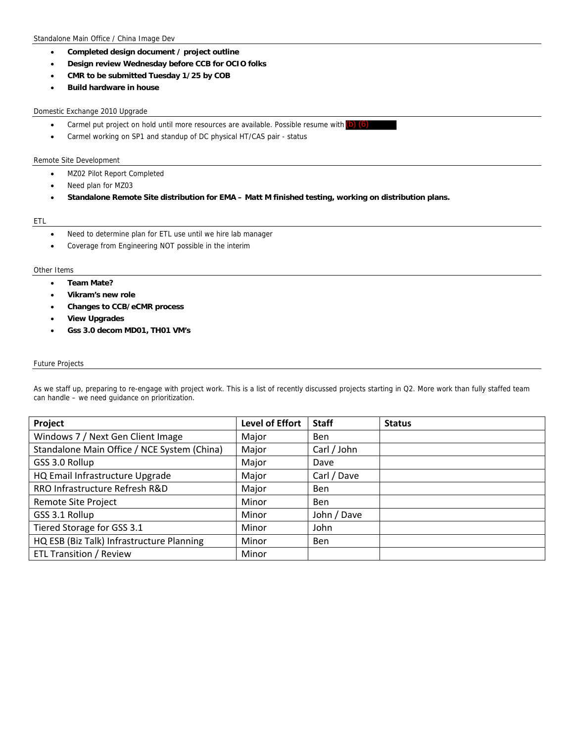- **Completed design document / project outline**
- **Design review Wednesday before CCB for OCIO folks**
- **CMR to be submitted Tuesday 1/25 by COB**
- **Build hardware in house**

### Domestic Exchange 2010 Upgrade

- Carmel put project on hold until more resources are available. Possible resume with (b) (6)
- Carmel working on SP1 and standup of DC physical HT/CAS pair status

### Remote Site Development

- MZ02 Pilot Report Completed
- Need plan for MZ03
- **Standalone Remote Site distribution for EMA Matt M finished testing, working on distribution plans.**

#### ETL

- Need to determine plan for ETL use until we hire lab manager
- Coverage from Engineering NOT possible in the interim

### Other Items

- **Team Mate?**
- **Vikram's new role**
- **Changes to CCB/eCMR process**
- **View Upgrades**
- **Gss 3.0 decom MD01, TH01 VM's**

### Future Projects

As we staff up, preparing to re-engage with project work. This is a list of recently discussed projects starting in Q2. More work than fully staffed team can handle – we need guidance on prioritization.

| Project                                     | <b>Level of Effort</b> | <b>Staff</b> | <b>Status</b> |
|---------------------------------------------|------------------------|--------------|---------------|
| Windows 7 / Next Gen Client Image           | Major                  | <b>Ben</b>   |               |
| Standalone Main Office / NCE System (China) | Major                  | Carl / John  |               |
| GSS 3.0 Rollup                              | Major                  | Dave         |               |
| HQ Email Infrastructure Upgrade             | Major                  | Carl / Dave  |               |
| RRO Infrastructure Refresh R&D              | Major                  | <b>Ben</b>   |               |
| Remote Site Project                         | Minor                  | <b>Ben</b>   |               |
| GSS 3.1 Rollup                              | Minor                  | John / Dave  |               |
| Tiered Storage for GSS 3.1                  | Minor                  | John         |               |
| HQ ESB (Biz Talk) Infrastructure Planning   | Minor                  | <b>Ben</b>   |               |
| <b>ETL Transition / Review</b>              | Minor                  |              |               |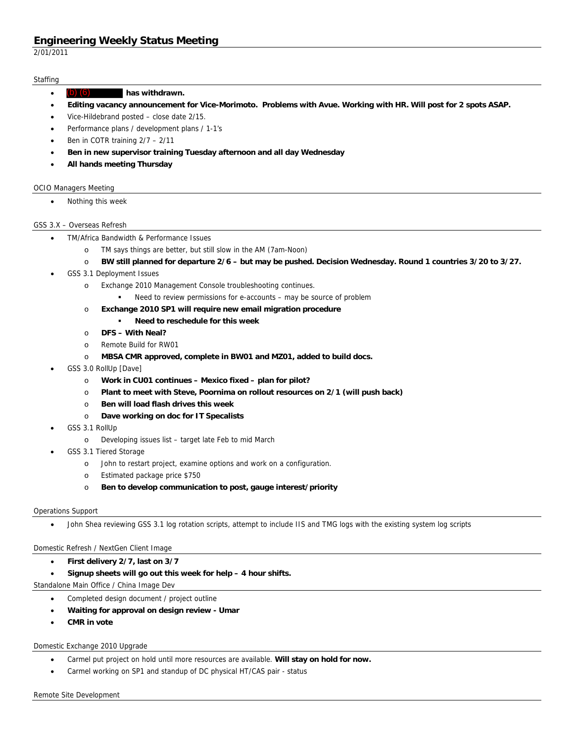2/01/2011

## **Staffing**

- **has withdrawn.**   $(b)$
- **Editing vacancy announcement for Vice-Morimoto. Problems with Avue. Working with HR. Will post for 2 spots ASAP.**
- Vice-Hildebrand posted close date 2/15.
- Performance plans / development plans / 1-1's
- Ben in COTR training 2/7 2/11
- **Ben in new supervisor training Tuesday afternoon and all day Wednesday**
- **All hands meeting Thursday**

### OCIO Managers Meeting

Nothing this week

### GSS 3.X – Overseas Refresh

- TM/Africa Bandwidth & Performance Issues
	- o TM says things are better, but still slow in the AM (7am-Noon)
	- o **BW still planned for departure 2/6 but may be pushed. Decision Wednesday. Round 1 countries 3/20 to 3/27.**
- GSS 3.1 Deployment Issues
	- o Exchange 2010 Management Console troubleshooting continues.
		- Need to review permissions for e-accounts may be source of problem
	- o **Exchange 2010 SP1 will require new email migration procedure** 
		- **Need to reschedule for this week**
	- o **DFS With Neal?**
	- o Remote Build for RW01
	- o **MBSA CMR approved, complete in BW01 and MZ01, added to build docs.**
- GSS 3.0 RollUp [Dave]
	- o **Work in CU01 continues Mexico fixed plan for pilot?**
	- o **Plant to meet with Steve, Poornima on rollout resources on 2/1 (will push back)**
	- o **Ben will load flash drives this week**
	- o **Dave working on doc for IT Specalists**
- GSS 3.1 RollUp
	- o Developing issues list target late Feb to mid March
- GSS 3.1 Tiered Storage
	- o John to restart project, examine options and work on a configuration.
	- o Estimated package price \$750
	- o **Ben to develop communication to post, gauge interest/priority**

### Operations Support

John Shea reviewing GSS 3.1 log rotation scripts, attempt to include IIS and TMG logs with the existing system log scripts

### Domestic Refresh / NextGen Client Image

- **First delivery 2/7, last on 3/7**
- **Signup sheets will go out this week for help 4 hour shifts.**

Standalone Main Office / China Image Dev

- Completed design document / project outline
- **Waiting for approval on design review Umar**
- **CMR in vote**

### Domestic Exchange 2010 Upgrade

- Carmel put project on hold until more resources are available. **Will stay on hold for now.**
- Carmel working on SP1 and standup of DC physical HT/CAS pair status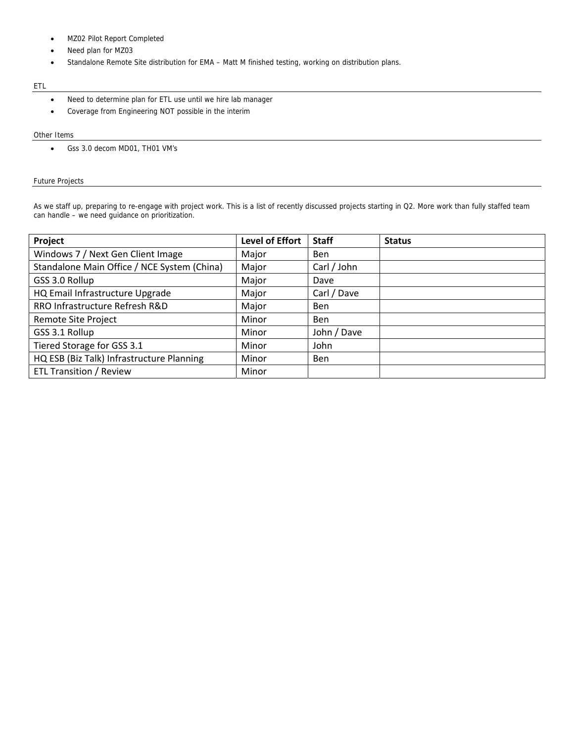- MZ02 Pilot Report Completed
- Need plan for MZ03
- Standalone Remote Site distribution for EMA Matt M finished testing, working on distribution plans.

## ETL

- Need to determine plan for ETL use until we hire lab manager
- Coverage from Engineering NOT possible in the interim

#### Other Items

Gss 3.0 decom MD01, TH01 VM's

## Future Projects

As we staff up, preparing to re-engage with project work. This is a list of recently discussed projects starting in Q2. More work than fully staffed team can handle – we need guidance on prioritization.

| Project                                     | <b>Level of Effort</b> | <b>Staff</b> | <b>Status</b> |
|---------------------------------------------|------------------------|--------------|---------------|
| Windows 7 / Next Gen Client Image           | Major                  | <b>Ben</b>   |               |
| Standalone Main Office / NCE System (China) | Major                  | Carl / John  |               |
| GSS 3.0 Rollup                              | Major                  | Dave         |               |
| HQ Email Infrastructure Upgrade             | Major                  | Carl / Dave  |               |
| RRO Infrastructure Refresh R&D              | Major                  | Ben          |               |
| Remote Site Project                         | Minor                  | <b>Ben</b>   |               |
| GSS 3.1 Rollup                              | Minor                  | John / Dave  |               |
| Tiered Storage for GSS 3.1                  | Minor                  | John         |               |
| HQ ESB (Biz Talk) Infrastructure Planning   | Minor                  | <b>Ben</b>   |               |
| <b>ETL Transition / Review</b>              | Minor                  |              |               |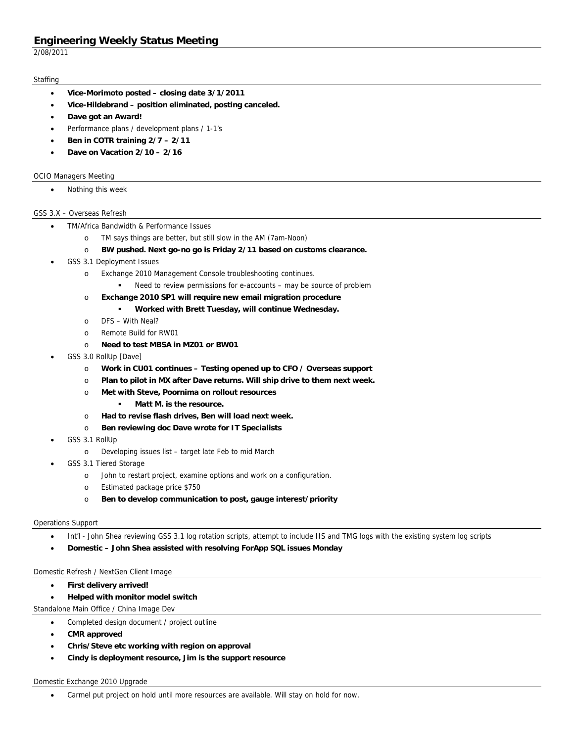2/08/2011

## **Staffing**

- **Vice-Morimoto posted closing date 3/1/2011**
- **Vice-Hildebrand position eliminated, posting canceled.**
- **Dave got an Award!**
- Performance plans / development plans / 1-1's
- **Ben in COTR training 2/7 2/11**
- **Dave on Vacation 2/10 2/16**

### OCIO Managers Meeting

• Nothing this week

### GSS 3.X – Overseas Refresh

- TM/Africa Bandwidth & Performance Issues
	- o TM says things are better, but still slow in the AM (7am-Noon)
	- o **BW pushed. Next go-no go is Friday 2/11 based on customs clearance.**
- GSS 3.1 Deployment Issues
	- o Exchange 2010 Management Console troubleshooting continues.
		- Need to review permissions for e-accounts may be source of problem
	- o **Exchange 2010 SP1 will require new email migration procedure** 
		- **Worked with Brett Tuesday, will continue Wednesday.**
	- o DFS With Neal?
	- o Remote Build for RW01
	- o **Need to test MBSA in MZ01 or BW01**
- GSS 3.0 RollUp [Dave]
	- o **Work in CU01 continues Testing opened up to CFO / Overseas support**
	- o **Plan to pilot in MX after Dave returns. Will ship drive to them next week.**
	- o **Met with Steve, Poornima on rollout resources** 
		- **Matt M. is the resource.**
	- o **Had to revise flash drives, Ben will load next week.**
	- o **Ben reviewing doc Dave wrote for IT Specialists**
- GSS 3.1 RollUp
	- o Developing issues list target late Feb to mid March
- GSS 3.1 Tiered Storage
	- o John to restart project, examine options and work on a configuration.
	- o Estimated package price \$750
	- o **Ben to develop communication to post, gauge interest/priority**

### Operations Support

- Int'l John Shea reviewing GSS 3.1 log rotation scripts, attempt to include IIS and TMG logs with the existing system log scripts
- **Domestic John Shea assisted with resolving ForApp SQL issues Monday**

## Domestic Refresh / NextGen Client Image

- **First delivery arrived!**
- **Helped with monitor model switch**

Standalone Main Office / China Image Dev

- Completed design document / project outline
- **CMR approved**
- **Chris/Steve etc working with region on approval**
- **Cindy is deployment resource, Jim is the support resource**

### Domestic Exchange 2010 Upgrade

Carmel put project on hold until more resources are available. Will stay on hold for now.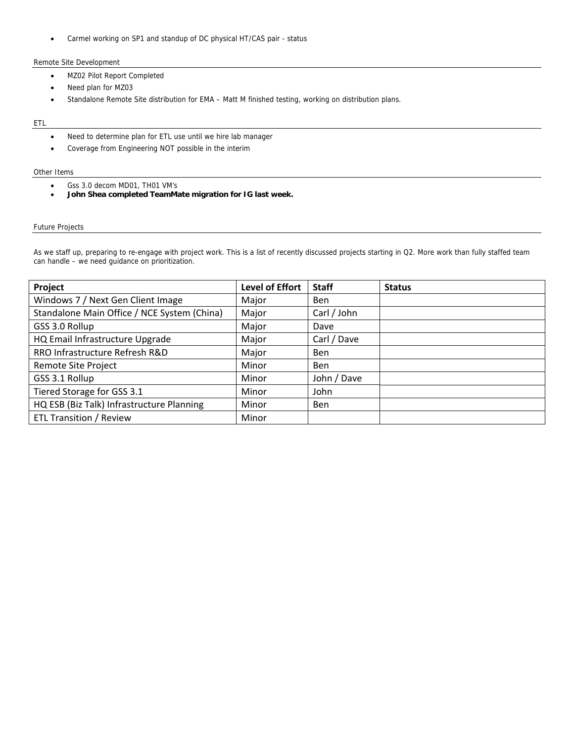Carmel working on SP1 and standup of DC physical HT/CAS pair - status

## Remote Site Development

- MZ02 Pilot Report Completed
- Need plan for MZ03
- Standalone Remote Site distribution for EMA Matt M finished testing, working on distribution plans.

#### ETL

- Need to determine plan for ETL use until we hire lab manager
- Coverage from Engineering NOT possible in the interim

#### Other Items

- Gss 3.0 decom MD01, TH01 VM's
- **John Shea completed TeamMate migration for IG last week.**

## Future Projects

As we staff up, preparing to re-engage with project work. This is a list of recently discussed projects starting in Q2. More work than fully staffed team can handle – we need guidance on prioritization.

| Project                                     | Level of Effort | <b>Staff</b> | <b>Status</b> |
|---------------------------------------------|-----------------|--------------|---------------|
| Windows 7 / Next Gen Client Image           | Major           | <b>Ben</b>   |               |
| Standalone Main Office / NCE System (China) | Major           | Carl / John  |               |
| GSS 3.0 Rollup                              | Major           | Dave         |               |
| HQ Email Infrastructure Upgrade             | Major           | Carl / Dave  |               |
| RRO Infrastructure Refresh R&D              | Major           | <b>Ben</b>   |               |
| Remote Site Project                         | Minor           | <b>Ben</b>   |               |
| GSS 3.1 Rollup                              | Minor           | John / Dave  |               |
| Tiered Storage for GSS 3.1                  | Minor           | John         |               |
| HQ ESB (Biz Talk) Infrastructure Planning   | Minor           | <b>Ben</b>   |               |
| <b>ETL Transition / Review</b>              | Minor           |              |               |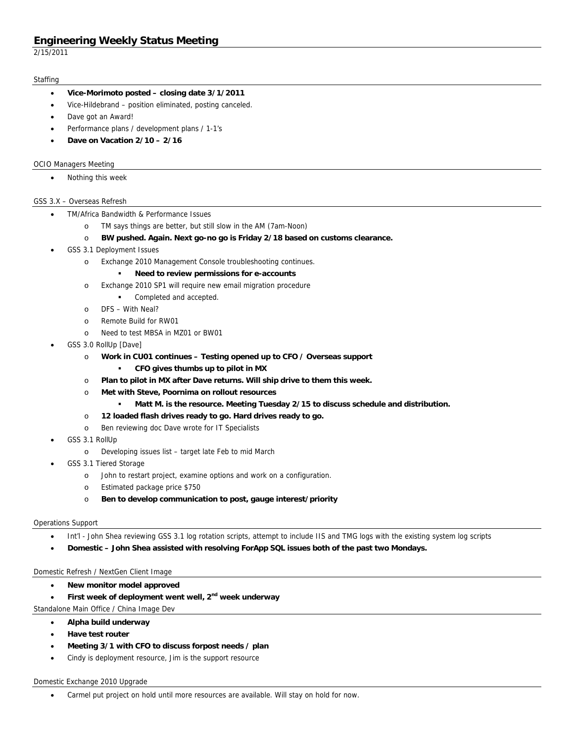2/15/2011

### **Staffing**

- **Vice-Morimoto posted closing date 3/1/2011**
- Vice-Hildebrand position eliminated, posting canceled.
- Dave got an Award!
- Performance plans / development plans / 1-1's
- **Dave on Vacation 2/10 2/16**

## OCIO Managers Meeting

Nothing this week

## GSS 3.X – Overseas Refresh

- TM/Africa Bandwidth & Performance Issues
	- o TM says things are better, but still slow in the AM (7am-Noon)
	- o **BW pushed. Again. Next go-no go is Friday 2/18 based on customs clearance.**
- GSS 3.1 Deployment Issues
	- o Exchange 2010 Management Console troubleshooting continues.
		- **Need to review permissions for e-accounts**
	- o Exchange 2010 SP1 will require new email migration procedure
		- Completed and accepted.
	- o DFS With Neal?
	- o Remote Build for RW01
	- o Need to test MBSA in MZ01 or BW01
- GSS 3.0 RollUp [Dave]
	- o **Work in CU01 continues Testing opened up to CFO / Overseas support** 
		- **CFO gives thumbs up to pilot in MX**
	- o **Plan to pilot in MX after Dave returns. Will ship drive to them this week.**
	- o **Met with Steve, Poornima on rollout resources** 
		- **Matt M. is the resource. Meeting Tuesday 2/15 to discuss schedule and distribution.**
	- o **12 loaded flash drives ready to go. Hard drives ready to go.**
	- o Ben reviewing doc Dave wrote for IT Specialists
- GSS 3.1 RollUp
	- o Developing issues list target late Feb to mid March
- GSS 3.1 Tiered Storage
	- o John to restart project, examine options and work on a configuration.
	- o Estimated package price \$750
	- o **Ben to develop communication to post, gauge interest/priority**

## Operations Support

- Int'l John Shea reviewing GSS 3.1 log rotation scripts, attempt to include IIS and TMG logs with the existing system log scripts
- **Domestic John Shea assisted with resolving ForApp SQL issues both of the past two Mondays.**

## Domestic Refresh / NextGen Client Image

- **New monitor model approved**
- First week of deployment went well, 2<sup>nd</sup> week underway

Standalone Main Office / China Image Dev

- **Alpha build underway**
- **Have test router**
- **Meeting 3/1 with CFO to discuss forpost needs / plan**
- Cindy is deployment resource, Jim is the support resource

### Domestic Exchange 2010 Upgrade

Carmel put project on hold until more resources are available. Will stay on hold for now.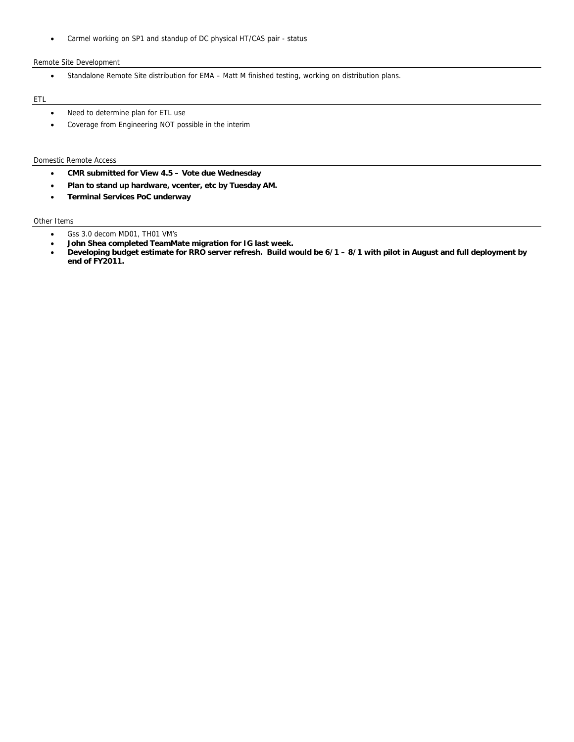Carmel working on SP1 and standup of DC physical HT/CAS pair - status

## Remote Site Development

Standalone Remote Site distribution for EMA – Matt M finished testing, working on distribution plans.

## ETL

- Need to determine plan for ETL use
- Coverage from Engineering NOT possible in the interim

#### Domestic Remote Access

- **CMR submitted for View 4.5 Vote due Wednesday**
- **Plan to stand up hardware, vcenter, etc by Tuesday AM.**
- **Terminal Services PoC underway**

## Other Items

- Gss 3.0 decom MD01, TH01 VM's
- **John Shea completed TeamMate migration for IG last week.**
- **Developing budget estimate for RRO server refresh. Build would be 6/1 8/1 with pilot in August and full deployment by end of FY2011.**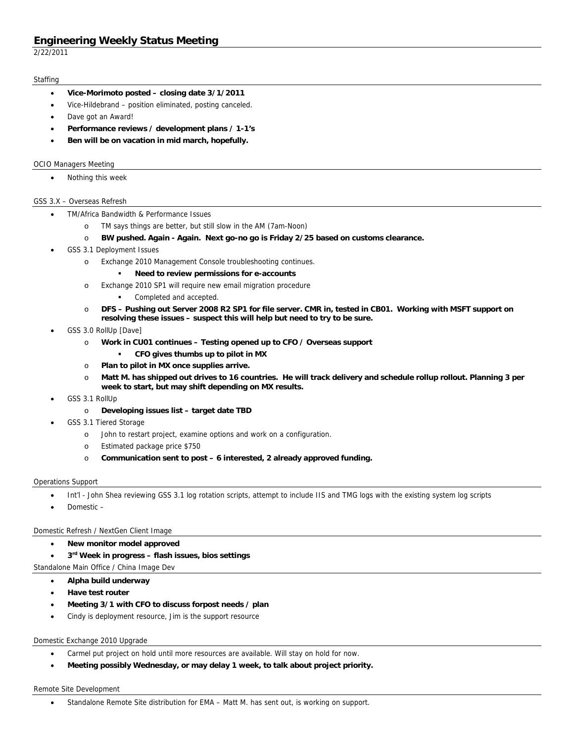2/22/2011

### **Staffing**

- **Vice-Morimoto posted closing date 3/1/2011**
- Vice-Hildebrand position eliminated, posting canceled.
- Dave got an Award!
- **Performance reviews / development plans / 1-1's**
- **Ben will be on vacation in mid march, hopefully.**

### OCIO Managers Meeting

Nothing this week

## GSS 3.X – Overseas Refresh

- TM/Africa Bandwidth & Performance Issues
	- o TM says things are better, but still slow in the AM (7am-Noon)
	- o **BW pushed. Again Again. Next go-no go is Friday 2/25 based on customs clearance.**
- GSS 3.1 Deployment Issues
	- o Exchange 2010 Management Console troubleshooting continues.
		- **Need to review permissions for e-accounts**
	- o Exchange 2010 SP1 will require new email migration procedure
		- Completed and accepted.
	- o **DFS Pushing out Server 2008 R2 SP1 for file server. CMR in, tested in CB01. Working with MSFT support on resolving these issues – suspect this will help but need to try to be sure.**
- GSS 3.0 RollUp [Dave]
	- o **Work in CU01 continues Testing opened up to CFO / Overseas support** 
		- **CFO gives thumbs up to pilot in MX**
	- o **Plan to pilot in MX once supplies arrive.**
	- o **Matt M. has shipped out drives to 16 countries. He will track delivery and schedule rollup rollout. Planning 3 per week to start, but may shift depending on MX results.**
- GSS 3.1 RollUp
	- o **Developing issues list target date TBD**
- GSS 3.1 Tiered Storage
	- o John to restart project, examine options and work on a configuration.
	- o Estimated package price \$750
	- o **Communication sent to post 6 interested, 2 already approved funding.**

### Operations Support

- Int'l John Shea reviewing GSS 3.1 log rotation scripts, attempt to include IIS and TMG logs with the existing system log scripts
- Domestic –

## Domestic Refresh / NextGen Client Image

- **New monitor model approved**
- **3rd Week in progress flash issues, bios settings**
- Standalone Main Office / China Image Dev
	- **Alpha build underway**
	- **Have test router**
	- **Meeting 3/1 with CFO to discuss forpost needs / plan**
	- Cindy is deployment resource, Jim is the support resource

### Domestic Exchange 2010 Upgrade

- Carmel put project on hold until more resources are available. Will stay on hold for now.
- **Meeting possibly Wednesday, or may delay 1 week, to talk about project priority.**

### Remote Site Development

Standalone Remote Site distribution for EMA – Matt M. has sent out, is working on support.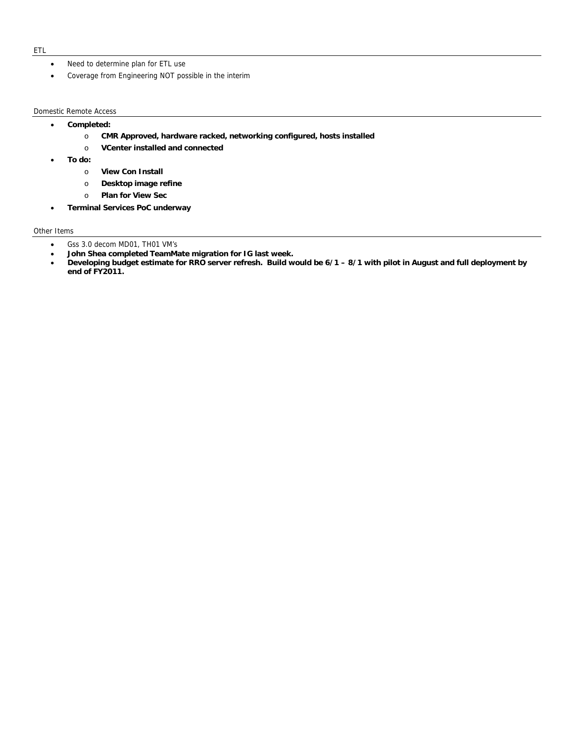- Need to determine plan for ETL use
- Coverage from Engineering NOT possible in the interim

#### Domestic Remote Access

- **Completed:** 
	- o **CMR Approved, hardware racked, networking configured, hosts installed**
	- o **VCenter installed and connected**
- **To do:** 
	- o **View Con Install**
	- o **Desktop image refine**
	- o **Plan for View Sec**
- **Terminal Services PoC underway**

## Other Items

- Gss 3.0 decom MD01, TH01 VM's
- **John Shea completed TeamMate migration for IG last week.**
- **Developing budget estimate for RRO server refresh. Build would be 6/1 8/1 with pilot in August and full deployment by end of FY2011.**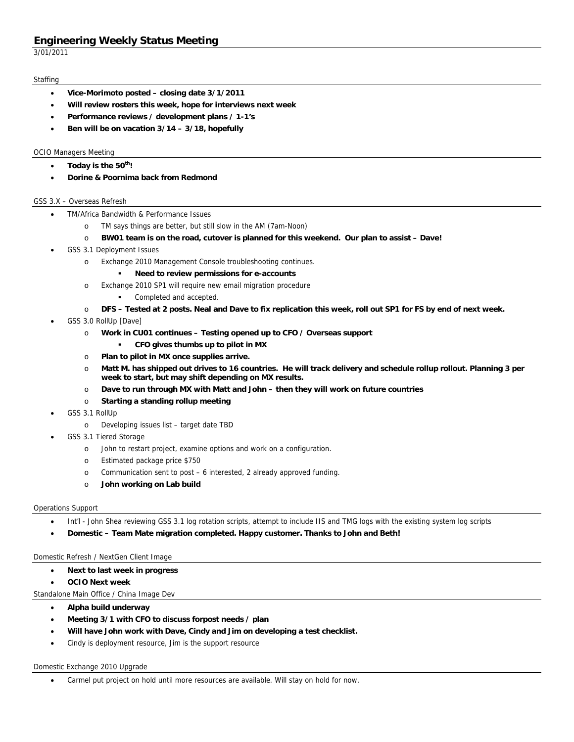3/01/2011

### **Staffing**

- **Vice-Morimoto posted closing date 3/1/2011**
- **Will review rosters this week, hope for interviews next week**
- **Performance reviews / development plans / 1-1's**
- **Ben will be on vacation 3/14 3/18, hopefully**

## OCIO Managers Meeting

- **Today is the 50th!**
- **Dorine & Poornima back from Redmond**

## GSS 3.X – Overseas Refresh

- TM/Africa Bandwidth & Performance Issues
	- o TM says things are better, but still slow in the AM (7am-Noon)
	- o **BW01 team is on the road, cutover is planned for this weekend. Our plan to assist Dave!**
- GSS 3.1 Deployment Issues
	- o Exchange 2010 Management Console troubleshooting continues.
		- **Need to review permissions for e-accounts**
	- o Exchange 2010 SP1 will require new email migration procedure
		- Completed and accepted.
	- o **DFS Tested at 2 posts. Neal and Dave to fix replication this week, roll out SP1 for FS by end of next week.**
- GSS 3.0 RollUp [Dave]
	- o **Work in CU01 continues Testing opened up to CFO / Overseas support** 
		- **CFO gives thumbs up to pilot in MX**
	- o **Plan to pilot in MX once supplies arrive.**
	- o **Matt M. has shipped out drives to 16 countries. He will track delivery and schedule rollup rollout. Planning 3 per week to start, but may shift depending on MX results.**
	- o **Dave to run through MX with Matt and John then they will work on future countries**
	- o **Starting a standing rollup meeting**
- GSS 3.1 RollUp
	- o Developing issues list target date TBD
- GSS 3.1 Tiered Storage
	- o John to restart project, examine options and work on a configuration.
	- o Estimated package price \$750
	- o Communication sent to post 6 interested, 2 already approved funding.
	- o **John working on Lab build**

## Operations Support

- Int'l John Shea reviewing GSS 3.1 log rotation scripts, attempt to include IIS and TMG logs with the existing system log scripts
- **Domestic Team Mate migration completed. Happy customer. Thanks to John and Beth!**

## Domestic Refresh / NextGen Client Image

- **Next to last week in progress**
- **OCIO Next week**

Standalone Main Office / China Image Dev

- **Alpha build underway**
- **Meeting 3/1 with CFO to discuss forpost needs / plan**
- **Will have John work with Dave, Cindy and Jim on developing a test checklist.**
- Cindy is deployment resource, Jim is the support resource

## Domestic Exchange 2010 Upgrade

Carmel put project on hold until more resources are available. Will stay on hold for now.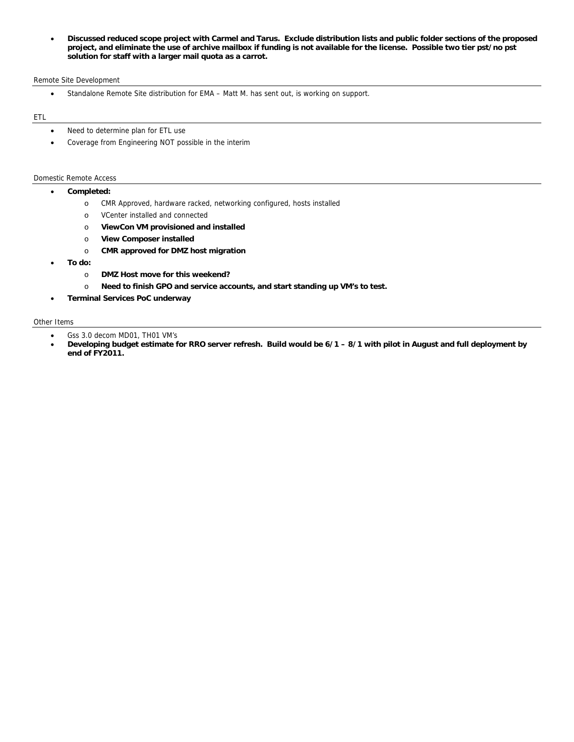**Discussed reduced scope project with Carmel and Tarus. Exclude distribution lists and public folder sections of the proposed project, and eliminate the use of archive mailbox if funding is not available for the license. Possible two tier pst/no pst solution for staff with a larger mail quota as a carrot.** 

#### Remote Site Development

Standalone Remote Site distribution for EMA – Matt M. has sent out, is working on support.

### ETL

- Need to determine plan for ETL use
- Coverage from Engineering NOT possible in the interim

#### Domestic Remote Access

- **Completed:** 
	- o CMR Approved, hardware racked, networking configured, hosts installed
	- o VCenter installed and connected
	- o **ViewCon VM provisioned and installed**
	- o **View Composer installed**
	- o **CMR approved for DMZ host migration**
- **To do:** 
	- o **DMZ Host move for this weekend?**
	- o **Need to finish GPO and service accounts, and start standing up VM's to test.**
- **Terminal Services PoC underway**

#### Other Items

- Gss 3.0 decom MD01, TH01 VM's
- **Developing budget estimate for RRO server refresh. Build would be 6/1 8/1 with pilot in August and full deployment by end of FY2011.**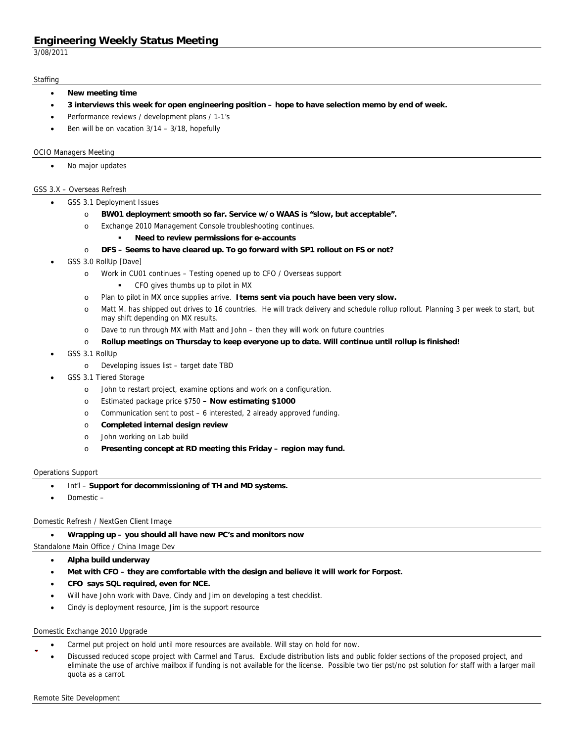3/08/2011

#### **Staffing**

- **New meeting time**
- **3 interviews this week for open engineering position hope to have selection memo by end of week.**
- Performance reviews / development plans / 1-1's
- Ben will be on vacation 3/14 3/18, hopefully

#### OCIO Managers Meeting

No major updates

#### GSS 3.X – Overseas Refresh

- GSS 3.1 Deployment Issues
	- o **BW01 deployment smooth so far. Service w/o WAAS is "slow, but acceptable".**
	- o Exchange 2010 Management Console troubleshooting continues.

#### **Need to review permissions for e-accounts**

- o **DFS Seems to have cleared up. To go forward with SP1 rollout on FS or not?**
- GSS 3.0 RollUp [Dave]
	- o Work in CU01 continues Testing opened up to CFO / Overseas support
		- CFO gives thumbs up to pilot in MX
	- o Plan to pilot in MX once supplies arrive. **Items sent via pouch have been very slow.**
	- o Matt M. has shipped out drives to 16 countries. He will track delivery and schedule rollup rollout. Planning 3 per week to start, but may shift depending on MX results.
	- o Dave to run through MX with Matt and John then they will work on future countries
	- o **Rollup meetings on Thursday to keep everyone up to date. Will continue until rollup is finished!**
- GSS 3.1 RollUp
	- o Developing issues list target date TBD
- GSS 3.1 Tiered Storage
	- o John to restart project, examine options and work on a configuration.
	- o Estimated package price \$750  **Now estimating \$1000**
	- o Communication sent to post 6 interested, 2 already approved funding.
	- o **Completed internal design review**
	- o John working on Lab build
	- o **Presenting concept at RD meeting this Friday region may fund.**

#### Operations Support

- Int'l **Support for decommissioning of TH and MD systems.**
- Domestic –

#### Domestic Refresh / NextGen Client Image

**Wrapping up – you should all have new PC's and monitors now** 

Standalone Main Office / China Image Dev

- **Alpha build underway**
- **Met with CFO they are comfortable with the design and believe it will work for Forpost.**
- **CFO says SQL required, even for NCE.**
- Will have John work with Dave, Cindy and Jim on developing a test checklist.
- Cindy is deployment resource, Jim is the support resource

#### Domestic Exchange 2010 Upgrade

- Carmel put project on hold until more resources are available. Will stay on hold for now.
- Discussed reduced scope project with Carmel and Tarus. Exclude distribution lists and public folder sections of the proposed project, and eliminate the use of archive mailbox if funding is not available for the license. Possible two tier pst/no pst solution for staff with a larger mail quota as a carrot. (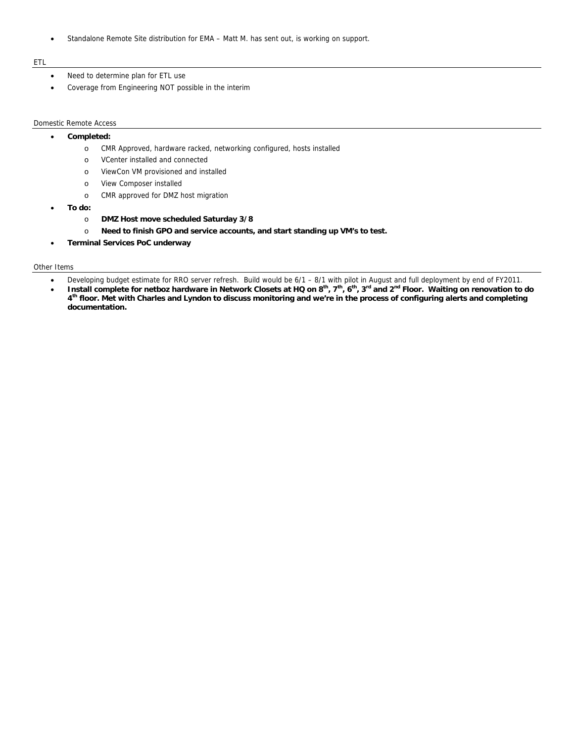Standalone Remote Site distribution for EMA – Matt M. has sent out, is working on support.

### ETL

- Need to determine plan for ETL use
- Coverage from Engineering NOT possible in the interim

### Domestic Remote Access

## **Completed:**

- o CMR Approved, hardware racked, networking configured, hosts installed
- o VCenter installed and connected
- o ViewCon VM provisioned and installed
- o View Composer installed
	- o CMR approved for DMZ host migration
- **To do:** 
	- o **DMZ Host move scheduled Saturday 3/8**
	- o **Need to finish GPO and service accounts, and start standing up VM's to test.**
- **Terminal Services PoC underway**

### Other Items

- Developing budget estimate for RRO server refresh. Build would be 6/1 8/1 with pilot in August and full deployment by end of FY2011.
- Install complete for netboz hardware in Network Closets at HQ on 8<sup>th</sup>, 7<sup>th</sup>, 6<sup>th</sup>, 3<sup>rd</sup> and 2<sup>nd</sup> Floor. Waiting on renovation to do **4th floor. Met with Charles and Lyndon to discuss monitoring and we're in the process of configuring alerts and completing documentation.**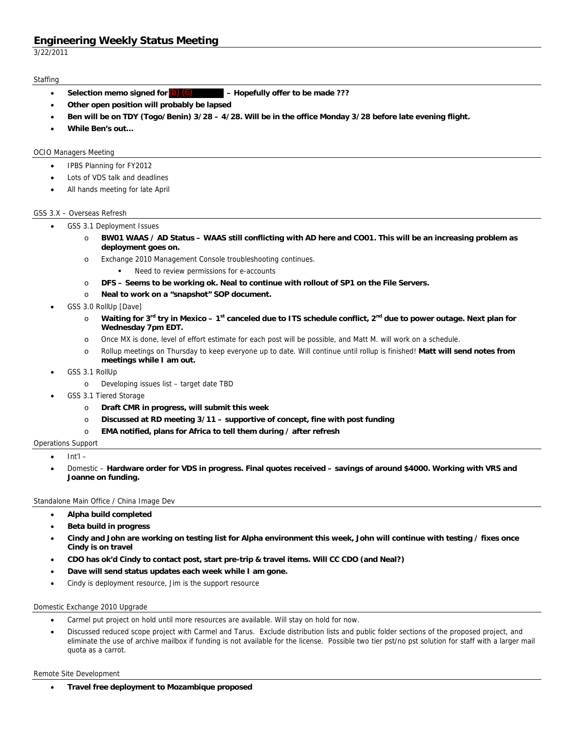3/22/2011

## **Staffing**

- Selection memo signed for **(b)** (6) **All Follow** Hopefully offer to be made ???
- **Other open position will probably be lapsed**
- **Ben will be on TDY (Togo/Benin) 3/28 4/28. Will be in the office Monday 3/28 before late evening flight.**
- **While Ben's out…**

## OCIO Managers Meeting

- IPBS Planning for FY2012
- Lots of VDS talk and deadlines
- All hands meeting for late April

## GSS 3.X – Overseas Refresh

- GSS 3.1 Deployment Issues
	- o **BW01 WAAS / AD Status WAAS still conflicting with AD here and CO01. This will be an increasing problem as deployment goes on.**
	- o Exchange 2010 Management Console troubleshooting continues.
		- Need to review permissions for e-accounts
	- o **DFS Seems to be working ok. Neal to continue with rollout of SP1 on the File Servers.**
	- o **Neal to work on a "snapshot" SOP document.**
- GSS 3.0 RollUp [Dave]
	- Waiting for 3<sup>rd</sup> try in Mexico 1<sup>st</sup> canceled due to ITS schedule conflict, 2<sup>nd</sup> due to power outage. Next plan for **Wednesday 7pm EDT.**
	- o Once MX is done, level of effort estimate for each post will be possible, and Matt M. will work on a schedule.
	- o Rollup meetings on Thursday to keep everyone up to date. Will continue until rollup is finished! **Matt will send notes from meetings while I am out.**
- GSS 3.1 RollUp
	- o Developing issues list target date TBD
- GSS 3.1 Tiered Storage
	- o **Draft CMR in progress, will submit this week**
	- o **Discussed at RD meeting 3/11 supportive of concept, fine with post funding**
	- o **EMA notified, plans for Africa to tell them during / after refresh**

## Operations Support

- Int'l –
- Domestic **Hardware order for VDS in progress. Final quotes received savings of around \$4000. Working with VRS and Joanne on funding.**

### Standalone Main Office / China Image Dev

- **Alpha build completed**
- **Beta build in progress**
- **Cindy and John are working on testing list for Alpha environment this week, John will continue with testing / fixes once Cindy is on travel**
- **CDO has ok'd Cindy to contact post, start pre-trip & travel items. Will CC CDO (and Neal?)**
- **Dave will send status updates each week while I am gone.**
- Cindy is deployment resource, Jim is the support resource

### Domestic Exchange 2010 Upgrade

- Carmel put project on hold until more resources are available. Will stay on hold for now.
- Discussed reduced scope project with Carmel and Tarus. Exclude distribution lists and public folder sections of the proposed project, and eliminate the use of archive mailbox if funding is not available for the license. Possible two tier pst/no pst solution for staff with a larger mail quota as a carrot.

#### Remote Site Development

**Travel free deployment to Mozambique proposed**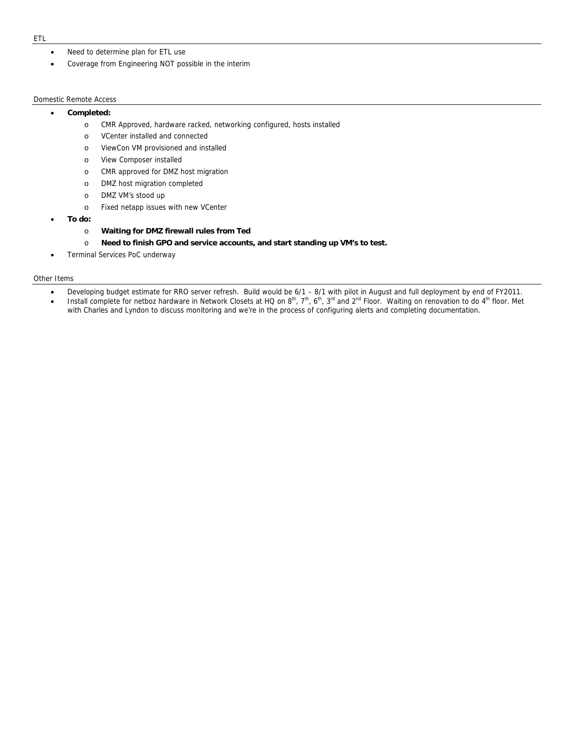- Need to determine plan for ETL use
- Coverage from Engineering NOT possible in the interim

### Domestic Remote Access

### **Completed:**

- o CMR Approved, hardware racked, networking configured, hosts installed
- o VCenter installed and connected
- o ViewCon VM provisioned and installed
- o View Composer installed
- o CMR approved for DMZ host migration
- o DMZ host migration completed
- o DMZ VM's stood up
- o Fixed netapp issues with new VCenter
- **To do:** 
	- o **Waiting for DMZ firewall rules from Ted**
	- o **Need to finish GPO and service accounts, and start standing up VM's to test.**
- Terminal Services PoC underway

#### Other Items

- Developing budget estimate for RRO server refresh. Build would be 6/1 8/1 with pilot in August and full deployment by end of FY2011.
- Install complete for netboz hardware in Network Closets at HQ on  $8<sup>th</sup>$ ,  $7<sup>th</sup>$ ,  $6<sup>th</sup>$ ,  $3<sup>rd</sup>$  and  $2<sup>nd</sup>$  Floor. Waiting on renovation to do  $4<sup>th</sup>$  floor. Met with Charles and Lyndon to discuss monitoring and we're in the process of configuring alerts and completing documentation.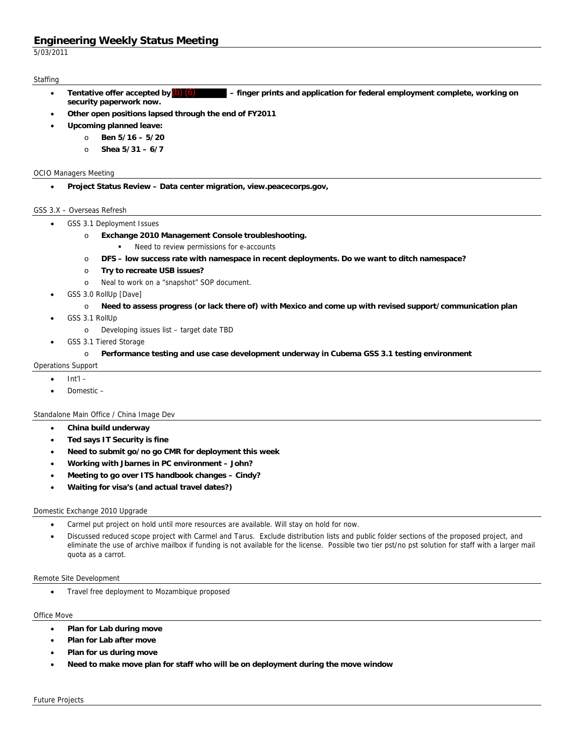5/03/2011

## **Staffing**

- $-$  finger prints and application for federal employment complete, working on **security paperwork now.**  Tentative offer accepted by  $(b)$   $(6)$
- **Other open positions lapsed through the end of FY2011**
- **Upcoming planned leave:**
	- o **Ben 5/16 5/20**
	- o **Shea 5/31 6/7**

### OCIO Managers Meeting

**Project Status Review – Data center migration, view.peacecorps.gov,** 

### GSS 3.X – Overseas Refresh

- GSS 3.1 Deployment Issues
	- o **Exchange 2010 Management Console troubleshooting.** 
		- Need to review permissions for e-accounts
	- o **DFS low success rate with namespace in recent deployments. Do we want to ditch namespace?**
	- o **Try to recreate USB issues?**
	- o Neal to work on a "snapshot" SOP document.
- GSS 3.0 RollUp [Dave]
	- o **Need to assess progress (or lack there of) with Mexico and come up with revised support/communication plan**
- GSS 3.1 RollUp
	- o Developing issues list target date TBD
- GSS 3.1 Tiered Storage

## o **Performance testing and use case development underway in Cubema GSS 3.1 testing environment**

- Operations Support
	- Int'l –
	- Domestic –

### Standalone Main Office / China Image Dev

- **China build underway**
- **Ted says IT Security is fine**
- **Need to submit go/no go CMR for deployment this week**
- **Working with Jbarnes in PC environment John?**
- **Meeting to go over ITS handbook changes Cindy?**
- **Waiting for visa's (and actual travel dates?)**

### Domestic Exchange 2010 Upgrade

- Carmel put project on hold until more resources are available. Will stay on hold for now.
- Discussed reduced scope project with Carmel and Tarus. Exclude distribution lists and public folder sections of the proposed project, and eliminate the use of archive mailbox if funding is not available for the license. Possible two tier pst/no pst solution for staff with a larger mail quota as a carrot.

### Remote Site Development

Travel free deployment to Mozambique proposed

### Office Move

- **Plan for Lab during move**
- **Plan for Lab after move**
- **Plan for us during move**
- **Need to make move plan for staff who will be on deployment during the move window**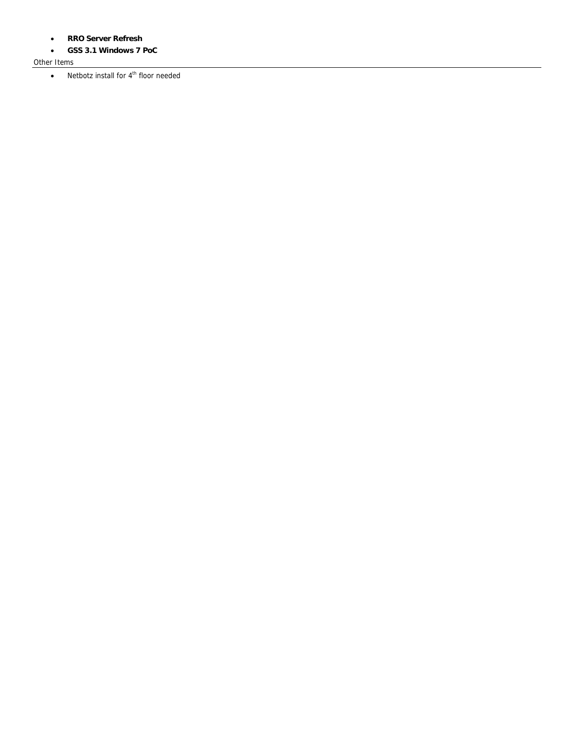- **RRO Server Refresh**
- **GSS 3.1 Windows 7 PoC**

## Other Items

 $\bullet$  Netbotz install for  $4^{\text{th}}$  floor needed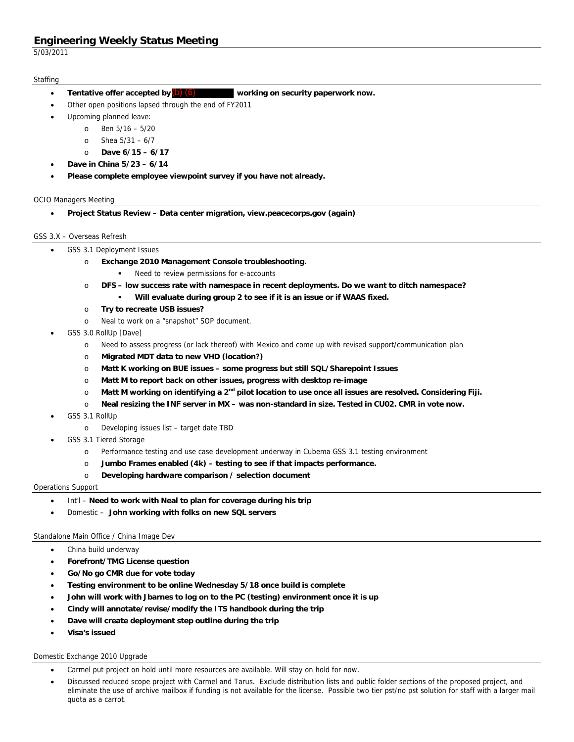5/03/2011

## **Staffing**

- working on security paperwork now. Tentative offer accepted by  $(b)$   $(6)$
- Other open positions lapsed through the end of FY2011
- Upcoming planned leave:
	- o Ben 5/16 5/20
	- o Shea 5/31 6/7
	- o **Dave 6/15 6/17**
- **Dave in China 5/23 6/14**
- **Please complete employee viewpoint survey if you have not already.**

### OCIO Managers Meeting

**Project Status Review – Data center migration, view.peacecorps.gov (again)** 

## GSS 3.X – Overseas Refresh

- GSS 3.1 Deployment Issues
	- o **Exchange 2010 Management Console troubleshooting.** 
		- Need to review permissions for e-accounts
	- o **DFS low success rate with namespace in recent deployments. Do we want to ditch namespace?** 
		- **Will evaluate during group 2 to see if it is an issue or if WAAS fixed.**
	- o **Try to recreate USB issues?** 
		- o Neal to work on a "snapshot" SOP document.
- GSS 3.0 RollUp [Dave]
	- o Need to assess progress (or lack thereof) with Mexico and come up with revised support/communication plan
	- o **Migrated MDT data to new VHD (location?)**
	- o **Matt K working on BUE issues some progress but still SQL/Sharepoint Issues**
	- o **Matt M to report back on other issues, progress with desktop re-image**
	- o **Matt M working on identifying a 2nd pilot location to use once all issues are resolved. Considering Fiji.**
	- o **Neal resizing the INF server in MX was non-standard in size. Tested in CU02. CMR in vote now.**
- GSS 3.1 RollUp
	- o Developing issues list target date TBD
- GSS 3.1 Tiered Storage
	- o Performance testing and use case development underway in Cubema GSS 3.1 testing environment
	- o **Jumbo Frames enabled (4k) testing to see if that impacts performance.**
	- o **Developing hardware comparison / selection document**

### Operations Support

- Int'l **Need to work with Neal to plan for coverage during his trip**
- Domestic **John working with folks on new SQL servers**

### Standalone Main Office / China Image Dev

- China build underway
- **Forefront/TMG License question**
- **Go/No go CMR due for vote today**
- **Testing environment to be online Wednesday 5/18 once build is complete**
- **John will work with Jbarnes to log on to the PC (testing) environment once it is up**
- **Cindy will annotate/revise/modify the ITS handbook during the trip**
- **Dave will create deployment step outline during the trip**
- **Visa's issued**

### Domestic Exchange 2010 Upgrade

- Carmel put project on hold until more resources are available. Will stay on hold for now.
- Discussed reduced scope project with Carmel and Tarus. Exclude distribution lists and public folder sections of the proposed project, and eliminate the use of archive mailbox if funding is not available for the license. Possible two tier pst/no pst solution for staff with a larger mail quota as a carrot.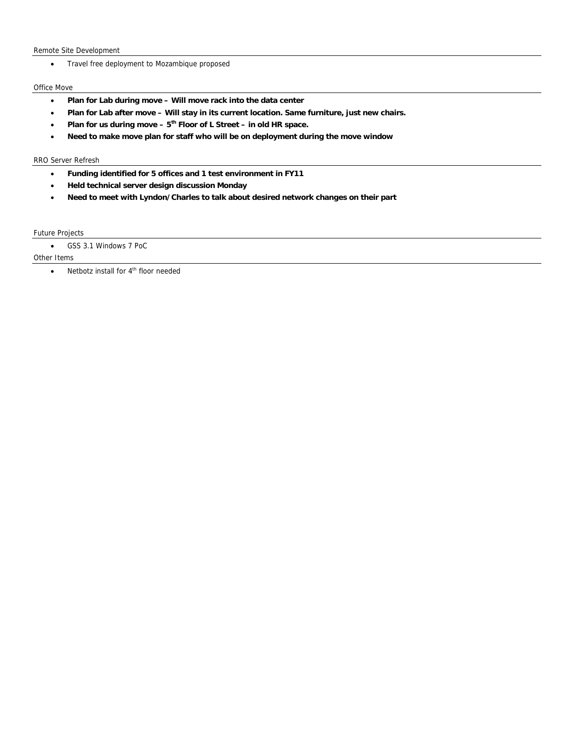Remote Site Development

Travel free deployment to Mozambique proposed

## Office Move

- **Plan for Lab during move Will move rack into the data center**
- **Plan for Lab after move Will stay in its current location. Same furniture, just new chairs.**
- **Plan for us during move 5th Floor of L Street in old HR space.**
- **Need to make move plan for staff who will be on deployment during the move window**

### RRO Server Refresh

- **Funding identified for 5 offices and 1 test environment in FY11**
- **Held technical server design discussion Monday**
- **Need to meet with Lyndon/Charles to talk about desired network changes on their part**

## Future Projects

GSS 3.1 Windows 7 PoC

Other Items

 $\bullet$  Netbotz install for  $4^{\text{th}}$  floor needed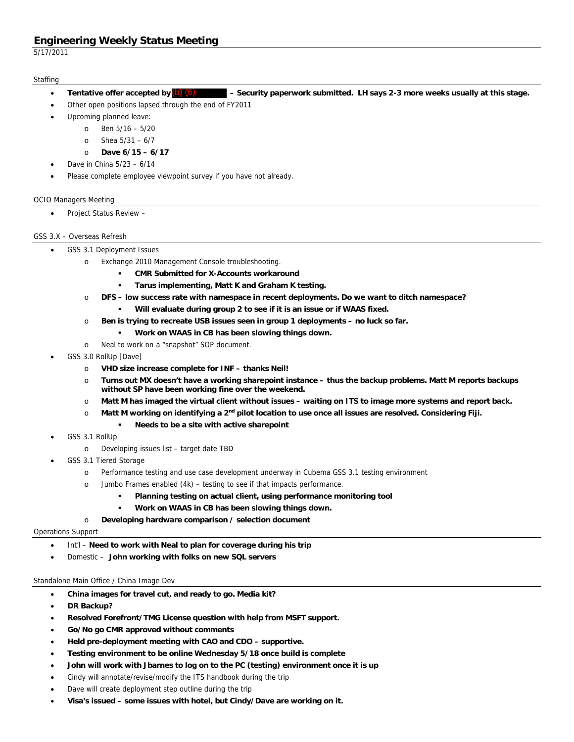5/17/2011

## **Staffing**

- Security paperwork submitted. LH says 2-3 more weeks usually at this stage. Tentative offer accepted by  $(b)$   $(6)$
- Other open positions lapsed through the end of FY2011
- Upcoming planned leave:
	- o Ben 5/16 5/20
	- o Shea 5/31 6/7
	- o **Dave 6/15 6/17**
- Dave in China 5/23 6/14
- Please complete employee viewpoint survey if you have not already.

### OCIO Managers Meeting

Project Status Review –

## GSS 3.X – Overseas Refresh

- GSS 3.1 Deployment Issues
	- o Exchange 2010 Management Console troubleshooting.
		- **CMR Submitted for X-Accounts workaround**
		- **Tarus implementing, Matt K and Graham K testing.**
	- o **DFS low success rate with namespace in recent deployments. Do we want to ditch namespace?** 
		- **Will evaluate during group 2 to see if it is an issue or if WAAS fixed.**
	- o **Ben is trying to recreate USB issues seen in group 1 deployments no luck so far.** 
		- **Work on WAAS in CB has been slowing things down.**
	- o Neal to work on a "snapshot" SOP document.
- GSS 3.0 RollUp [Dave]
	- o **VHD size increase complete for INF thanks Neil!**
	- o **Turns out MX doesn't have a working sharepoint instance thus the backup problems. Matt M reports backups without SP have been working fine over the weekend.**
	- o **Matt M has imaged the virtual client without issues waiting on ITS to image more systems and report back.**
	- o **Matt M working on identifying a 2nd pilot location to use once all issues are resolved. Considering Fiji.** 
		- **Needs to be a site with active sharepoint**
- GSS 3.1 RollUp
	- o Developing issues list target date TBD
	- GSS 3.1 Tiered Storage
		- o Performance testing and use case development underway in Cubema GSS 3.1 testing environment
		- o Jumbo Frames enabled (4k) testing to see if that impacts performance.
			- **Planning testing on actual client, using performance monitoring tool**
			- **Work on WAAS in CB has been slowing things down.**

## o **Developing hardware comparison / selection document**

### Operations Support

- Int'l **Need to work with Neal to plan for coverage during his trip**
- Domestic **John working with folks on new SQL servers**

### Standalone Main Office / China Image Dev

- **China images for travel cut, and ready to go. Media kit?**
- **DR Backup?**
- **Resolved Forefront/TMG License question with help from MSFT support.**
- **Go/No go CMR approved without comments**
- **Held pre-deployment meeting with CAO and CDO supportive.**
- **Testing environment to be online Wednesday 5/18 once build is complete**
- **John will work with Jbarnes to log on to the PC (testing) environment once it is up**
- Cindy will annotate/revise/modify the ITS handbook during the trip
- Dave will create deployment step outline during the trip
- **Visa's issued some issues with hotel, but Cindy/Dave are working on it.**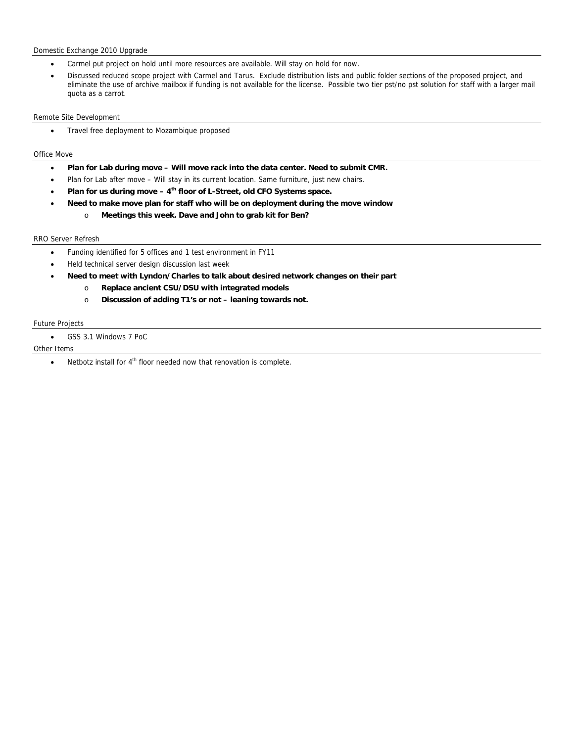## Domestic Exchange 2010 Upgrade

- Carmel put project on hold until more resources are available. Will stay on hold for now.
- Discussed reduced scope project with Carmel and Tarus. Exclude distribution lists and public folder sections of the proposed project, and eliminate the use of archive mailbox if funding is not available for the license. Possible two tier pst/no pst solution for staff with a larger mail quota as a carrot.

### Remote Site Development

• Travel free deployment to Mozambique proposed

## Office Move

- **Plan for Lab during move Will move rack into the data center. Need to submit CMR.**
- Plan for Lab after move Will stay in its current location. Same furniture, just new chairs.
- **Plan for us during move 4th floor of L-Street, old CFO Systems space.**
- **Need to make move plan for staff who will be on deployment during the move window** 
	- o **Meetings this week. Dave and John to grab kit for Ben?**

### RRO Server Refresh

- Funding identified for 5 offices and 1 test environment in FY11
- Held technical server design discussion last week
- **Need to meet with Lyndon/Charles to talk about desired network changes on their part** 
	- o **Replace ancient CSU/DSU with integrated models**
	- o **Discussion of adding T1's or not leaning towards not.**

## Future Projects

GSS 3.1 Windows 7 PoC

## Other Items

 $\bullet$  Netbotz install for  $4^{\text{th}}$  floor needed now that renovation is complete.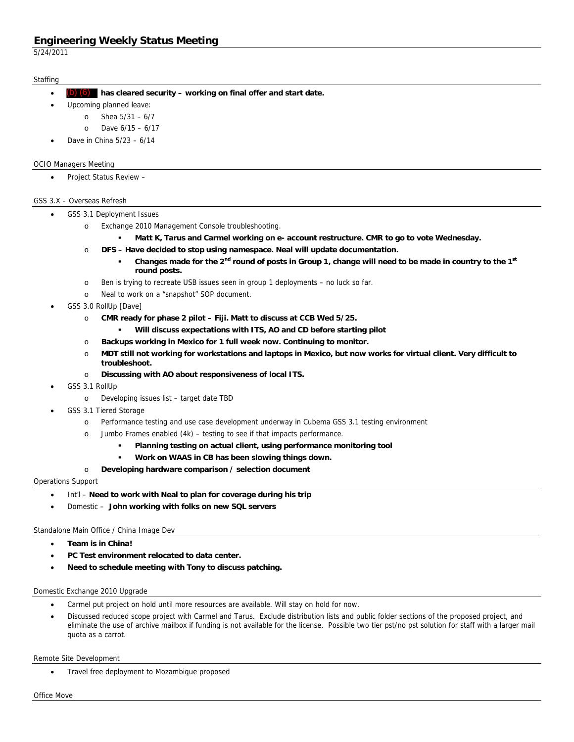5/24/2011

## **Staffing**

- **has cleared security working on final offer and start date.**  (b) (6)
	- Upcoming planned leave:
		- o Shea 5/31 6/7
			- o Dave 6/15 6/17
- Dave in China 5/23 6/14

## OCIO Managers Meeting

Project Status Review –

## GSS 3.X – Overseas Refresh

- GSS 3.1 Deployment Issues
	- o Exchange 2010 Management Console troubleshooting.
		- **Matt K, Tarus and Carmel working on e- account restructure. CMR to go to vote Wednesday.**
	- o **DFS Have decided to stop using namespace. Neal will update documentation.** 
		- **Changes made for the 2nd round of posts in Group 1, change will need to be made in country to the 1st round posts.**
	- o Ben is trying to recreate USB issues seen in group 1 deployments no luck so far.
	- o Neal to work on a "snapshot" SOP document.
- GSS 3.0 RollUp [Dave]
	- o **CMR ready for phase 2 pilot Fiji. Matt to discuss at CCB Wed 5/25.** 
		- **Will discuss expectations with ITS, AO and CD before starting pilot**
	- o **Backups working in Mexico for 1 full week now. Continuing to monitor.**
	- o **MDT still not working for workstations and laptops in Mexico, but now works for virtual client. Very difficult to troubleshoot.**
	- o **Discussing with AO about responsiveness of local ITS.**
- GSS 3.1 RollUp
	- o Developing issues list target date TBD
- GSS 3.1 Tiered Storage
	- o Performance testing and use case development underway in Cubema GSS 3.1 testing environment
	- o Jumbo Frames enabled (4k) testing to see if that impacts performance.
		- **Planning testing on actual client, using performance monitoring tool**
		- **Work on WAAS in CB has been slowing things down.**
	- o **Developing hardware comparison / selection document**

### Operations Support

- Int'l Need to work with Neal to plan for coverage during his trip
- Domestic **John working with folks on new SQL servers**

## Standalone Main Office / China Image Dev

- **Team is in China!**
- **PC Test environment relocated to data center.**
- **Need to schedule meeting with Tony to discuss patching.**

### Domestic Exchange 2010 Upgrade

- Carmel put project on hold until more resources are available. Will stay on hold for now.
- Discussed reduced scope project with Carmel and Tarus. Exclude distribution lists and public folder sections of the proposed project, and eliminate the use of archive mailbox if funding is not available for the license. Possible two tier pst/no pst solution for staff with a larger mail quota as a carrot.

### Remote Site Development

Travel free deployment to Mozambique proposed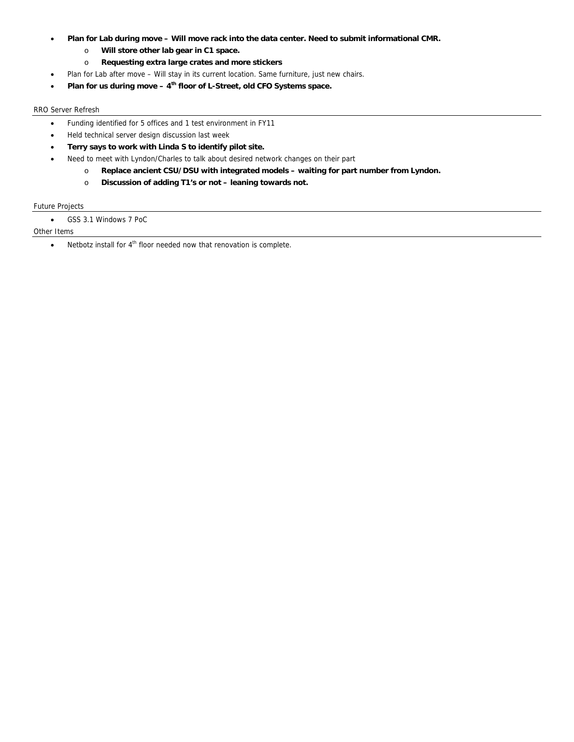- **Plan for Lab during move Will move rack into the data center. Need to submit informational CMR.** 
	- o **Will store other lab gear in C1 space.**
	- o **Requesting extra large crates and more stickers**
	- Plan for Lab after move Will stay in its current location. Same furniture, just new chairs.
- **Plan for us during move 4th floor of L-Street, old CFO Systems space.**

## RRO Server Refresh

- Funding identified for 5 offices and 1 test environment in FY11
- Held technical server design discussion last week
- **Terry says to work with Linda S to identify pilot site.**
- Need to meet with Lyndon/Charles to talk about desired network changes on their part
	- o **Replace ancient CSU/DSU with integrated models waiting for part number from Lyndon.**
	- o **Discussion of adding T1's or not leaning towards not.**

## Future Projects

GSS 3.1 Windows 7 PoC

## Other Items

 $\bullet$  Netbotz install for  $4^{\text{th}}$  floor needed now that renovation is complete.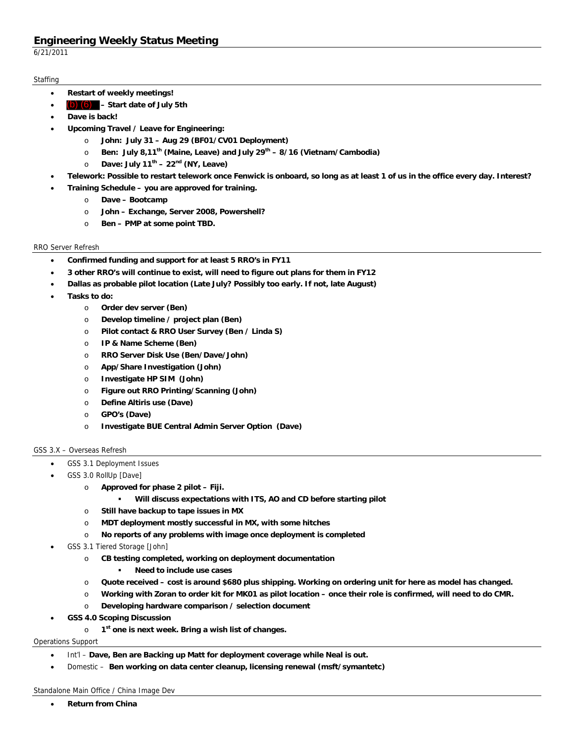6/21/2011

## **Staffing**

- **Restart of weekly meetings!**
- **Start date of July 5th** (b) (6)
- **Dave is back!**
- **Upcoming Travel / Leave for Engineering:** 
	- o **John: July 31 Aug 29 (BF01/CV01 Deployment)**
	- o **Ben: July 8,11th (Maine, Leave) and July 29th 8/16 (Vietnam/Cambodia)**
	- o **Dave: July 11th 22nd (NY, Leave)**
- **Telework: Possible to restart telework once Fenwick is onboard, so long as at least 1 of us in the office every day. Interest?**
- **Training Schedule you are approved for training.** 
	- o **Dave Bootcamp**
	- o **John Exchange, Server 2008, Powershell?**
	- o **Ben PMP at some point TBD.**

## RRO Server Refresh

- **Confirmed funding and support for at least 5 RRO's in FY11**
- **3 other RRO's will continue to exist, will need to figure out plans for them in FY12**
- **Dallas as probable pilot location (Late July? Possibly too early. If not, late August)**
- **Tasks to do:** 
	- o **Order dev server (Ben)**
	- o **Develop timeline / project plan (Ben)**
	- o **Pilot contact & RRO User Survey (Ben / Linda S)**
	- o **IP & Name Scheme (Ben)**
	- o **RRO Server Disk Use (Ben/Dave/John)**
	- o **App/Share Investigation (John)**
	- o **Investigate HP SIM (John)**
	- o **Figure out RRO Printing/Scanning (John)**
	- o **Define Altiris use (Dave)**
	- o **GPO's (Dave)**
	- o **Investigate BUE Central Admin Server Option (Dave)**

## GSS 3.X – Overseas Refresh

- GSS 3.1 Deployment Issues
- GSS 3.0 RollUp [Dave]
	- o **Approved for phase 2 pilot Fiji.** 
		- **Will discuss expectations with ITS, AO and CD before starting pilot**
	- o **Still have backup to tape issues in MX**
	- o **MDT deployment mostly successful in MX, with some hitches**
	- o **No reports of any problems with image once deployment is completed**
- GSS 3.1 Tiered Storage [John]
	- o **CB testing completed, working on deployment documentation** 
		- **Need to include use cases**
	- o **Quote received cost is around \$680 plus shipping. Working on ordering unit for here as model has changed.**
	- o **Working with Zoran to order kit for MK01 as pilot location once their role is confirmed, will need to do CMR.**
	- o **Developing hardware comparison / selection document**
- **GSS 4.0 Scoping Discussion** 
	- o **1st one is next week. Bring a wish list of changes.**

## Operations Support

- Int'l **Dave, Ben are Backing up Matt for deployment coverage while Neal is out.**
- Domestic **Ben working on data center cleanup, licensing renewal (msft/symantetc)**

## Standalone Main Office / China Image Dev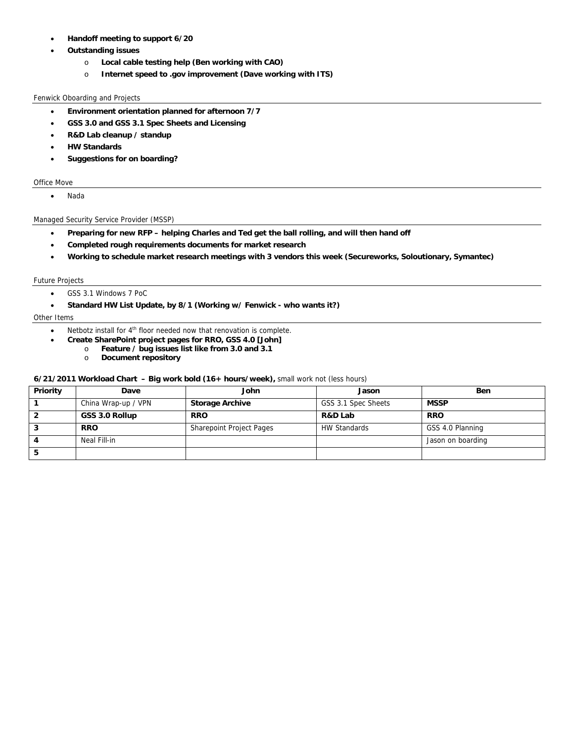- **Handoff meeting to support 6/20**
- **Outstanding issues**
	- o **Local cable testing help (Ben working with CAO)**
	- o **Internet speed to .gov improvement (Dave working with ITS)**

## Fenwick Oboarding and Projects

- **Environment orientation planned for afternoon 7/7**
- **GSS 3.0 and GSS 3.1 Spec Sheets and Licensing**
- **R&D Lab cleanup / standup**
- **HW Standards**
- **Suggestions for on boarding?**

## Office Move

Nada

## Managed Security Service Provider (MSSP)

- **Preparing for new RFP helping Charles and Ted get the ball rolling, and will then hand off**
- **Completed rough requirements documents for market research**
- **Working to schedule market research meetings with 3 vendors this week (Secureworks, Soloutionary, Symantec)**

## Future Projects

- GSS 3.1 Windows 7 PoC
- **Standard HW List Update, by 8/1 (Working w/ Fenwick who wants it?)**

## Other Items

- Netbotz install for 4<sup>th</sup> floor needed now that renovation is complete.
- **Create SharePoint project pages for RRO, GSS 4.0 [John]** 
	- o **Feature / bug issues list like from 3.0 and 3.1** 
		- o **Document repository**

### **6/21/2011 Workload Chart – Big work bold (16+ hours/week),** small work not (less hours)

| Priority | Dave                | John                            | Jason               | <b>Ben</b>        |
|----------|---------------------|---------------------------------|---------------------|-------------------|
|          | China Wrap-up / VPN | <b>Storage Archive</b>          | GSS 3.1 Spec Sheets | <b>MSSP</b>       |
|          | GSS 3.0 Rollup      | <b>RRO</b>                      | R&D Lab             | <b>RRO</b>        |
|          | <b>RRO</b>          | <b>Sharepoint Project Pages</b> | <b>HW Standards</b> | GSS 4.0 Planning  |
|          | Neal Fill-in        |                                 |                     | Jason on boarding |
|          |                     |                                 |                     |                   |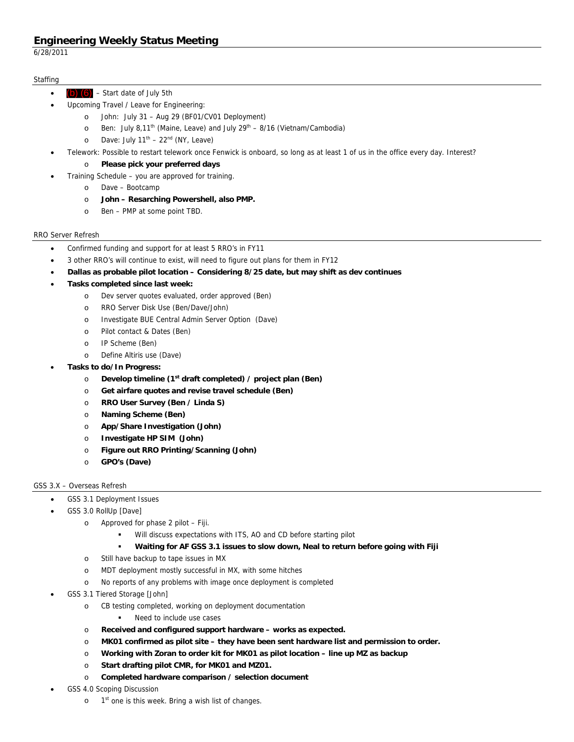6/28/2011

## **Staffing**

- Start date of July 5th (b) (6)
	- Upcoming Travel / Leave for Engineering:
		- o John: July 31 Aug 29 (BF01/CV01 Deployment)
		- $\degree$  Ben: July 8,11<sup>th</sup> (Maine, Leave) and July 29<sup>th</sup> 8/16 (Vietnam/Cambodia)
		- o Dave: July  $11^{th}$   $22^{nd}$  (NY, Leave)
	- Telework: Possible to restart telework once Fenwick is onboard, so long as at least 1 of us in the office every day. Interest?
		- o **Please pick your preferred days**
- Training Schedule you are approved for training.
	- o Dave Bootcamp
	- o **John Resarching Powershell, also PMP.**
	- o Ben PMP at some point TBD.

## RRO Server Refresh

- Confirmed funding and support for at least 5 RRO's in FY11
- 3 other RRO's will continue to exist, will need to figure out plans for them in FY12
- **Dallas as probable pilot location Considering 8/25 date, but may shift as dev continues**
- **Tasks completed since last week:** 
	- o Dev server quotes evaluated, order approved (Ben)
	- o RRO Server Disk Use (Ben/Dave/John)
	- o Investigate BUE Central Admin Server Option (Dave)
	- o Pilot contact & Dates (Ben)
	- o IP Scheme (Ben)
	- o Define Altiris use (Dave)
- **Tasks to do/In Progress:** 
	- o **Develop timeline (1st draft completed) / project plan (Ben)**
	- o **Get airfare quotes and revise travel schedule (Ben)**
	- o **RRO User Survey (Ben / Linda S)**
	- o **Naming Scheme (Ben)**
	- o **App/Share Investigation (John)**
	- o **Investigate HP SIM (John)**
	- o **Figure out RRO Printing/Scanning (John)**
	- o **GPO's (Dave)**

## GSS 3.X – Overseas Refresh

- GSS 3.1 Deployment Issues
- GSS 3.0 RollUp [Dave]
	- o Approved for phase 2 pilot Fiji.
		- Will discuss expectations with ITS, AO and CD before starting pilot
		- **Waiting for AF GSS 3.1 issues to slow down, Neal to return before going with Fiji**
		- o Still have backup to tape issues in MX
		- o MDT deployment mostly successful in MX, with some hitches
		- o No reports of any problems with image once deployment is completed
- GSS 3.1 Tiered Storage [John]
	- o CB testing completed, working on deployment documentation
		- **Need to include use cases**
	- o **Received and configured support hardware works as expected.**
	- o **MK01 confirmed as pilot site they have been sent hardware list and permission to order.**
	- o **Working with Zoran to order kit for MK01 as pilot location line up MZ as backup**
	- o **Start drafting pilot CMR, for MK01 and MZ01.**
	- o **Completed hardware comparison / selection document**
- GSS 4.0 Scoping Discussion
	- o 1<sup>st</sup> one is this week. Bring a wish list of changes.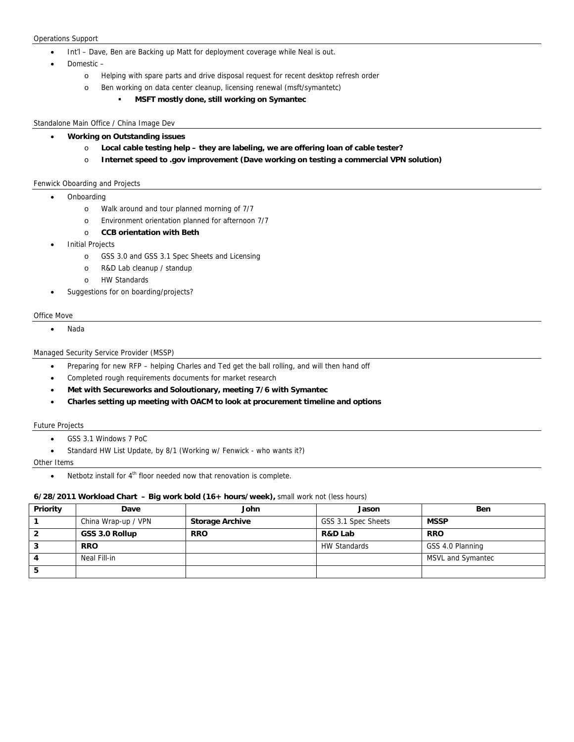#### Operations Support

- Int'l Dave, Ben are Backing up Matt for deployment coverage while Neal is out.
- Domestic
	- o Helping with spare parts and drive disposal request for recent desktop refresh order
	- o Ben working on data center cleanup, licensing renewal (msft/symantetc)
		- **MSFT mostly done, still working on Symantec**

#### Standalone Main Office / China Image Dev

- **Working on Outstanding issues**
	- o **Local cable testing help they are labeling, we are offering loan of cable tester?**
	- o **Internet speed to .gov improvement (Dave working on testing a commercial VPN solution)**

#### Fenwick Oboarding and Projects

### • Onboarding

- o Walk around and tour planned morning of 7/7
- o Environment orientation planned for afternoon 7/7
- o **CCB orientation with Beth**
- Initial Projects
	- o GSS 3.0 and GSS 3.1 Spec Sheets and Licensing
	- o R&D Lab cleanup / standup
	- o HW Standards
- Suggestions for on boarding/projects?

#### Office Move

Nada

## Managed Security Service Provider (MSSP)

- Preparing for new RFP helping Charles and Ted get the ball rolling, and will then hand off
- Completed rough requirements documents for market research
- **Met with Secureworks and Soloutionary, meeting 7/6 with Symantec**
- **Charles setting up meeting with OACM to look at procurement timeline and options**

### Future Projects

- GSS 3.1 Windows 7 PoC
- Standard HW List Update, by 8/1 (Working w/ Fenwick who wants it?)

#### Other Items

 $\bullet$  Netbotz install for  $4^{\text{th}}$  floor needed now that renovation is complete.

### **6/28/2011 Workload Chart – Big work bold (16+ hours/week),** small work not (less hours)

| Priority | Dave                | John                   | Jason               | <b>Ben</b>        |
|----------|---------------------|------------------------|---------------------|-------------------|
|          | China Wrap-up / VPN | <b>Storage Archive</b> | GSS 3.1 Spec Sheets | <b>MSSP</b>       |
|          | GSS 3.0 Rollup      | <b>RRO</b>             | R&D Lab             | <b>RRO</b>        |
|          | <b>RRO</b>          |                        | <b>HW Standards</b> | GSS 4.0 Planning  |
|          | Neal Fill-in        |                        |                     | MSVL and Symantec |
|          |                     |                        |                     |                   |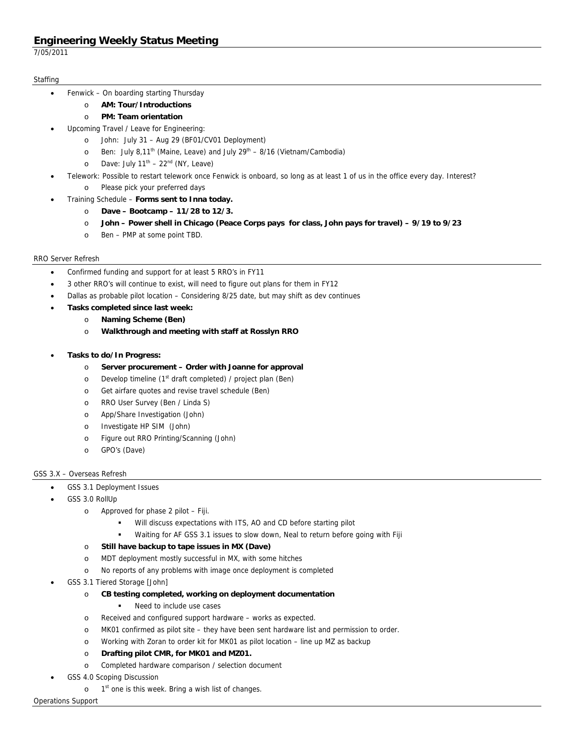7/05/2011

## **Staffing**

- Fenwick On boarding starting Thursday
	- o **AM: Tour/Introductions**
	- o **PM: Team orientation**
- Upcoming Travel / Leave for Engineering:
	- o John: July 31 Aug 29 (BF01/CV01 Deployment)
	- o Ben: July 8,11<sup>th</sup> (Maine, Leave) and July  $29<sup>th</sup> 8/16$  (Vietnam/Cambodia)
	- o Dave: July  $11^{th}$   $22^{nd}$  (NY, Leave)
- Telework: Possible to restart telework once Fenwick is onboard, so long as at least 1 of us in the office every day. Interest? o Please pick your preferred days
	- Training Schedule **Forms sent to Inna today.**
		- o **Dave Bootcamp 11/28 to 12/3.**
		- o **John Power shell in Chicago (Peace Corps pays for class, John pays for travel) 9/19 to 9/23**
		- o Ben PMP at some point TBD.

## RRO Server Refresh

- Confirmed funding and support for at least 5 RRO's in FY11
- 3 other RRO's will continue to exist, will need to figure out plans for them in FY12
- Dallas as probable pilot location Considering 8/25 date, but may shift as dev continues
	- **Tasks completed since last week:** 
		- o **Naming Scheme (Ben)**
		- o **Walkthrough and meeting with staff at Rosslyn RRO**
- **Tasks to do/In Progress:** 
	- o **Server procurement Order with Joanne for approval**
	- $\circ$  Develop timeline (1<sup>st</sup> draft completed) / project plan (Ben)
	- o Get airfare quotes and revise travel schedule (Ben)
	- o RRO User Survey (Ben / Linda S)
	- o App/Share Investigation (John)
	- o Investigate HP SIM (John)
	- o Figure out RRO Printing/Scanning (John)
	- o GPO's (Dave)

## GSS 3.X – Overseas Refresh

- GSS 3.1 Deployment Issues
- GSS 3.0 RollUp
	- o Approved for phase 2 pilot Fiji.
		- Will discuss expectations with ITS, AO and CD before starting pilot
		- Waiting for AF GSS 3.1 issues to slow down, Neal to return before going with Fiji
	- o **Still have backup to tape issues in MX (Dave)**
	- o MDT deployment mostly successful in MX, with some hitches
	- o No reports of any problems with image once deployment is completed
- GSS 3.1 Tiered Storage [John]
	- o **CB testing completed, working on deployment documentation** 
		- Need to include use cases
	- o Received and configured support hardware works as expected.
	- o MK01 confirmed as pilot site they have been sent hardware list and permission to order.
	- o Working with Zoran to order kit for MK01 as pilot location line up MZ as backup
	- o **Drafting pilot CMR, for MK01 and MZ01.**
	- o Completed hardware comparison / selection document
- GSS 4.0 Scoping Discussion
	- $o$  1<sup>st</sup> one is this week. Bring a wish list of changes.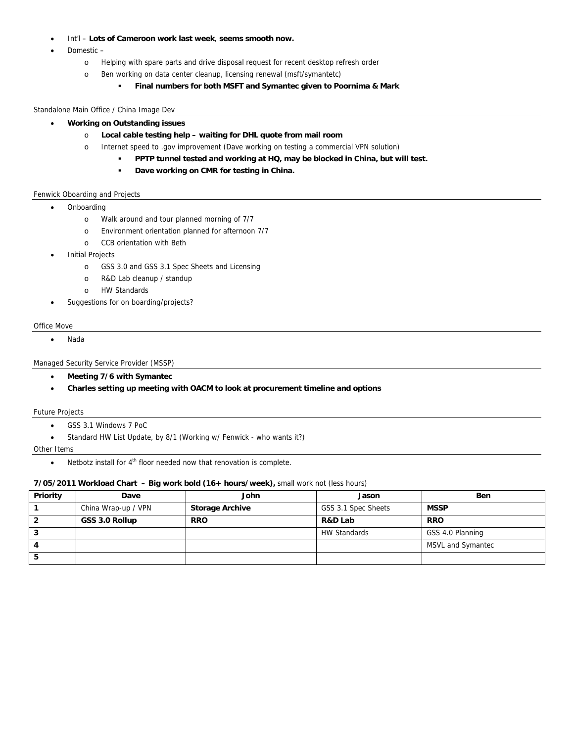- Int'l **Lots of Cameroon work last week**, **seems smooth now.**
- Domestic
	- o Helping with spare parts and drive disposal request for recent desktop refresh order
	- o Ben working on data center cleanup, licensing renewal (msft/symantetc)
		- **Final numbers for both MSFT and Symantec given to Poornima & Mark**

#### Standalone Main Office / China Image Dev

- **Working on Outstanding issues**
	- o **Local cable testing help waiting for DHL quote from mail room**
	- o Internet speed to .gov improvement (Dave working on testing a commercial VPN solution)
		- **PPTP tunnel tested and working at HQ, may be blocked in China, but will test.**
		- **Dave working on CMR for testing in China.**

### Fenwick Oboarding and Projects

- Onboarding
	- o Walk around and tour planned morning of 7/7
	- o Environment orientation planned for afternoon 7/7
	- o CCB orientation with Beth
- Initial Projects
	- o GSS 3.0 and GSS 3.1 Spec Sheets and Licensing
	- o R&D Lab cleanup / standup
	- o HW Standards
- Suggestions for on boarding/projects?

#### Office Move

Nada

### Managed Security Service Provider (MSSP)

- **Meeting 7/6 with Symantec**
- **Charles setting up meeting with OACM to look at procurement timeline and options**

### Future Projects

- GSS 3.1 Windows 7 PoC
- Standard HW List Update, by 8/1 (Working w/ Fenwick who wants it?)

#### Other Items

Netbotz install for 4<sup>th</sup> floor needed now that renovation is complete.

### **7/05/2011 Workload Chart – Big work bold (16+ hours/week),** small work not (less hours)

| Priority | Dave                | John                   | Jason               | <b>Ben</b>        |
|----------|---------------------|------------------------|---------------------|-------------------|
|          | China Wrap-up / VPN | <b>Storage Archive</b> | GSS 3.1 Spec Sheets | <b>MSSP</b>       |
|          | GSS 3.0 Rollup      | <b>RRO</b>             | R&D Lab             | <b>RRO</b>        |
| Ő        |                     |                        | <b>HW Standards</b> | GSS 4.0 Planning  |
|          |                     |                        |                     | MSVL and Symantec |
| ວ        |                     |                        |                     |                   |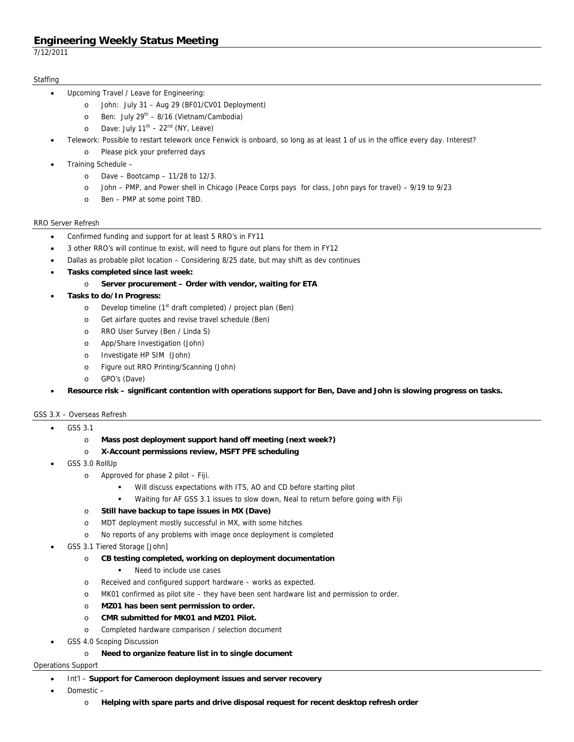7/12/2011

## **Staffing**

- Upcoming Travel / Leave for Engineering:
	- o John: July 31 Aug 29 (BF01/CV01 Deployment)
	- o Ben: July  $29^{th} 8/16$  (Vietnam/Cambodia)
	- o Dave: July  $11^{th}$   $22^{nd}$  (NY, Leave)
- Telework: Possible to restart telework once Fenwick is onboard, so long as at least 1 of us in the office every day. Interest?
	- o Please pick your preferred days
- Training Schedule
	- o Dave Bootcamp 11/28 to 12/3.
	- o John PMP, and Power shell in Chicago (Peace Corps pays for class, John pays for travel) 9/19 to 9/23
	- o Ben PMP at some point TBD.

### RRO Server Refresh

- Confirmed funding and support for at least 5 RRO's in FY11
- 3 other RRO's will continue to exist, will need to figure out plans for them in FY12
- Dallas as probable pilot location Considering 8/25 date, but may shift as dev continues
- **Tasks completed since last week:** 
	- o **Server procurement Order with vendor, waiting for ETA**
- **Tasks to do/In Progress:** 
	- o Develop timeline (1<sup>st</sup> draft completed) / project plan (Ben)
	- o Get airfare quotes and revise travel schedule (Ben)
	- o RRO User Survey (Ben / Linda S)
	- o App/Share Investigation (John)
	- o Investigate HP SIM (John)
	- o Figure out RRO Printing/Scanning (John)
	- o GPO's (Dave)
- **Resource risk significant contention with operations support for Ben, Dave and John is slowing progress on tasks.**

### GSS 3.X – Overseas Refresh

- GSS 3.1
	- o **Mass post deployment support hand off meeting (next week?)**
	- o **X-Account permissions review, MSFT PFE scheduling**
- GSS 3.0 RollUp
	- o Approved for phase 2 pilot Fiji.
		- Will discuss expectations with ITS, AO and CD before starting pilot
		- Waiting for AF GSS 3.1 issues to slow down, Neal to return before going with Fiji
	- o **Still have backup to tape issues in MX (Dave)**
	- o MDT deployment mostly successful in MX, with some hitches
	- o No reports of any problems with image once deployment is completed
- GSS 3.1 Tiered Storage [John]
	- o **CB testing completed, working on deployment documentation** 
		- Need to include use cases
	- o Received and configured support hardware works as expected.
	- o MK01 confirmed as pilot site they have been sent hardware list and permission to order.
	- o **MZ01 has been sent permission to order.**
	- o **CMR submitted for MK01 and MZ01 Pilot.** 
		- o Completed hardware comparison / selection document
- GSS 4.0 Scoping Discussion
	- o **Need to organize feature list in to single document**

### Operations Support

### Int'l – **Support for Cameroon deployment issues and server recovery**

- Domestic
	- o **Helping with spare parts and drive disposal request for recent desktop refresh order**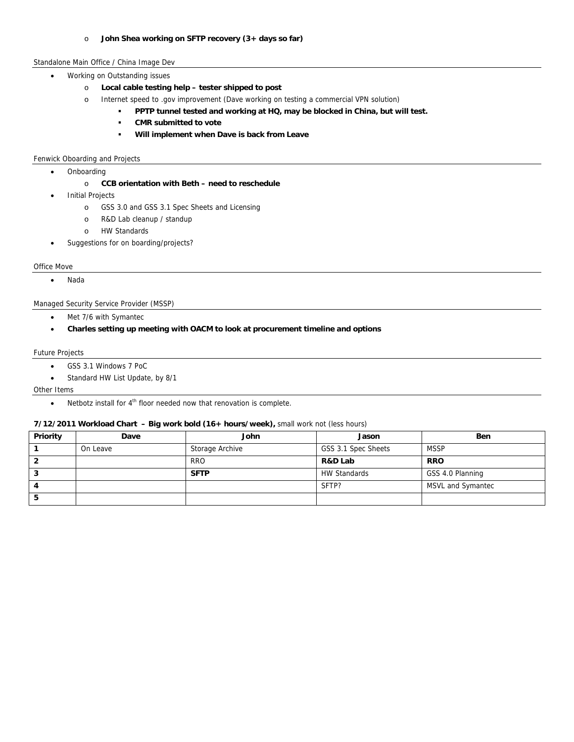### o **John Shea working on SFTP recovery (3+ days so far)**

## Standalone Main Office / China Image Dev

- Working on Outstanding issues
	- o **Local cable testing help tester shipped to post**
	- o Internet speed to .gov improvement (Dave working on testing a commercial VPN solution)
		- **PPTP tunnel tested and working at HQ, may be blocked in China, but will test.**
		- **CMR submitted to vote**
		- **Will implement when Dave is back from Leave**

#### Fenwick Oboarding and Projects

• Onboarding

### o **CCB orientation with Beth – need to reschedule**

- Initial Projects
	- o GSS 3.0 and GSS 3.1 Spec Sheets and Licensing
	- o R&D Lab cleanup / standup
	- o HW Standards
- Suggestions for on boarding/projects?

### Office Move

Nada

### Managed Security Service Provider (MSSP)

- Met 7/6 with Symantec
- **Charles setting up meeting with OACM to look at procurement timeline and options**

#### Future Projects

- GSS 3.1 Windows 7 PoC
- Standard HW List Update, by 8/1

#### Other Items

Netbotz install for 4<sup>th</sup> floor needed now that renovation is complete.

## **7/12/2011 Workload Chart – Big work bold (16+ hours/week),** small work not (less hours)

| <b>Priority</b> | Dave     | John            | Jason               | <b>Ben</b>        |
|-----------------|----------|-----------------|---------------------|-------------------|
|                 | On Leave | Storage Archive | GSS 3.1 Spec Sheets | <b>MSSP</b>       |
|                 |          | <b>RRO</b>      | R&D Lab             | <b>RRO</b>        |
|                 |          | <b>SFTP</b>     | <b>HW Standards</b> | GSS 4.0 Planning  |
|                 |          |                 | SFTP?               | MSVL and Symantec |
|                 |          |                 |                     |                   |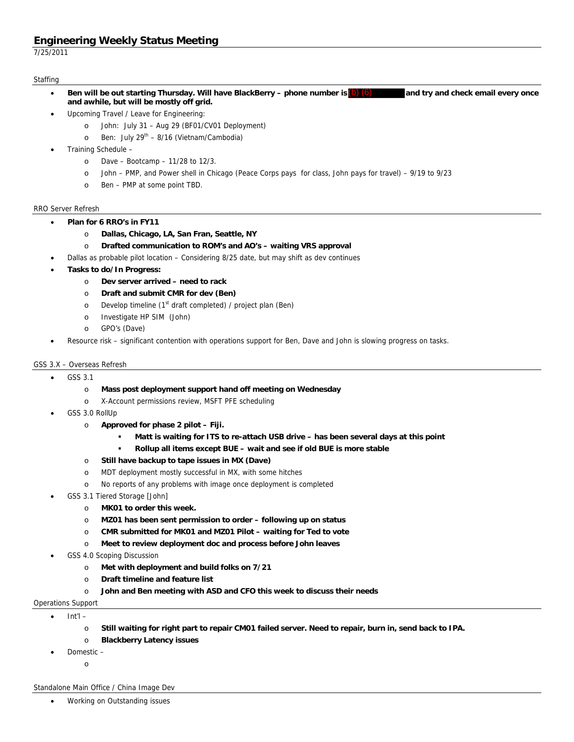7/25/2011

## **Staffing**

- **Ben will be out starting Thursday. Will have BlackBerry phone number is**  $(b)$  $(6)$  **and try and check email every once and awhile, but will be mostly off grid.**
- Upcoming Travel / Leave for Engineering:
	- o John: July 31 Aug 29 (BF01/CV01 Deployment)
	- $\circ$  Ben: July 29<sup>th</sup> 8/16 (Vietnam/Cambodia)
- Training Schedule
	- o Dave Bootcamp 11/28 to 12/3.
	- o John PMP, and Power shell in Chicago (Peace Corps pays for class, John pays for travel) 9/19 to 9/23
	- o Ben PMP at some point TBD.

## RRO Server Refresh

- **Plan for 6 RRO's in FY11** 
	- o **Dallas, Chicago, LA, San Fran, Seattle, NY**
	- o **Drafted communication to ROM's and AO's waiting VRS approval**
- Dallas as probable pilot location Considering 8/25 date, but may shift as dev continues
- **Tasks to do/In Progress:** 
	- o **Dev server arrived need to rack**
	- o **Draft and submit CMR for dev (Ben)**
	- o Develop timeline (1<sup>st</sup> draft completed) / project plan (Ben)
	- o Investigate HP SIM (John)
	- o GPO's (Dave)
- Resource risk significant contention with operations support for Ben, Dave and John is slowing progress on tasks.

## GSS 3.X – Overseas Refresh

- GSS 3.1
	- o **Mass post deployment support hand off meeting on Wednesday**
	- o X-Account permissions review, MSFT PFE scheduling
- GSS 3.0 RollUp
	- o **Approved for phase 2 pilot Fiji.** 
		- **Matt is waiting for ITS to re-attach USB drive has been several days at this point**
		- **Rollup all items except BUE wait and see if old BUE is more stable**
	- o **Still have backup to tape issues in MX (Dave)**
	- o MDT deployment mostly successful in MX, with some hitches
	- o No reports of any problems with image once deployment is completed
- GSS 3.1 Tiered Storage [John]
	- o **MK01 to order this week.**
	- o **MZ01 has been sent permission to order following up on status**
	- o **CMR submitted for MK01 and MZ01 Pilot waiting for Ted to vote**
	- o **Meet to review deployment doc and process before John leaves**
- GSS 4.0 Scoping Discussion
	- o **Met with deployment and build folks on 7/21**
	- o **Draft timeline and feature list**
	- o **John and Ben meeting with ASD and CFO this week to discuss their needs**
- Operations Support
	- $\bullet$  Int'l
		- o **Still waiting for right part to repair CM01 failed server. Need to repair, burn in, send back to IPA.**
		- o **Blackberry Latency issues**
	- Domestic
		- o

Standalone Main Office / China Image Dev

Working on Outstanding issues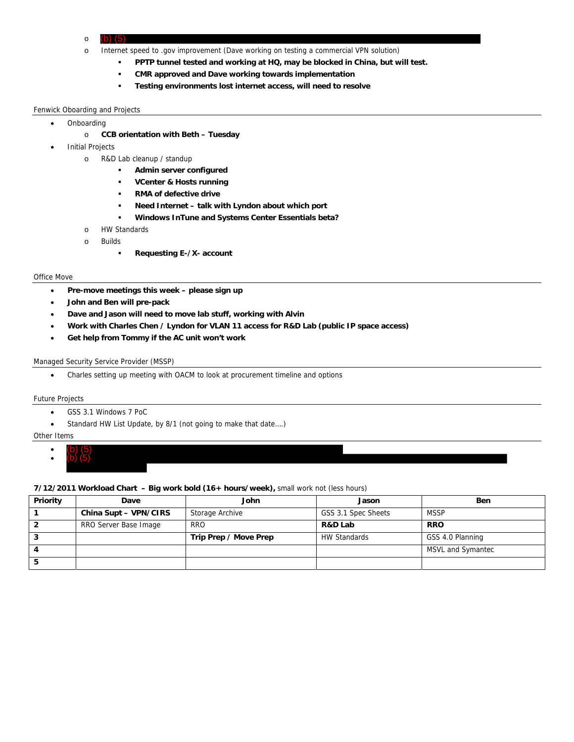- o
- o Internet speed to .gov improvement (Dave working on testing a commercial VPN solution)
	- **PPTP tunnel tested and working at HQ, may be blocked in China, but will test.**
	- **CMR approved and Dave working towards implementation**
	- **Testing environments lost internet access, will need to resolve**

### Fenwick Oboarding and Projects

- Onboarding
	- o **CCB orientation with Beth Tuesday**
- Initial Projects
	- o R&D Lab cleanup / standup
		- **Admin server configured**
		- **VCenter & Hosts running**
		- **RMA of defective drive**
		- **Need Internet talk with Lyndon about which port**
		- **Windows InTune and Systems Center Essentials beta?**
	- o HW Standards
	- o Builds
		- **Requesting E-/X- account**

#### Office Move

- **Pre-move meetings this week please sign up**
- **John and Ben will pre-pack**  (b) (5) (b) (5)
- **Dave and Jason will need to move lab stuff, working with Alvin**
- **Work with Charles Chen / Lyndon for VLAN 11 access for R&D Lab (public IP space access)**
- **Get help from Tommy if the AC unit won't work**

### Managed Security Service Provider (MSSP)

Charles setting up meeting with OACM to look at procurement timeline and options

### Future Projects

- GSS 3.1 Windows 7 PoC
- Standard HW List Update, by 8/1 (not going to make that date….)

### Other Items

- $\bullet$
- $\bullet$ (b) (5)

## **7/12/2011 Workload Chart – Big work bold (16+ hours/week),** small work not (less hours)

| Priority | Dave                  | John                  | Jason               | <b>Ben</b>        |
|----------|-----------------------|-----------------------|---------------------|-------------------|
|          | China Supt - VPN/CIRS | Storage Archive       | GSS 3.1 Spec Sheets | <b>MSSP</b>       |
|          | RRO Server Base Image | <b>RRO</b>            | R&D Lab             | <b>RRO</b>        |
|          |                       | Trip Prep / Move Prep | <b>HW Standards</b> | GSS 4.0 Planning  |
|          |                       |                       |                     | MSVL and Symantec |
|          |                       |                       |                     |                   |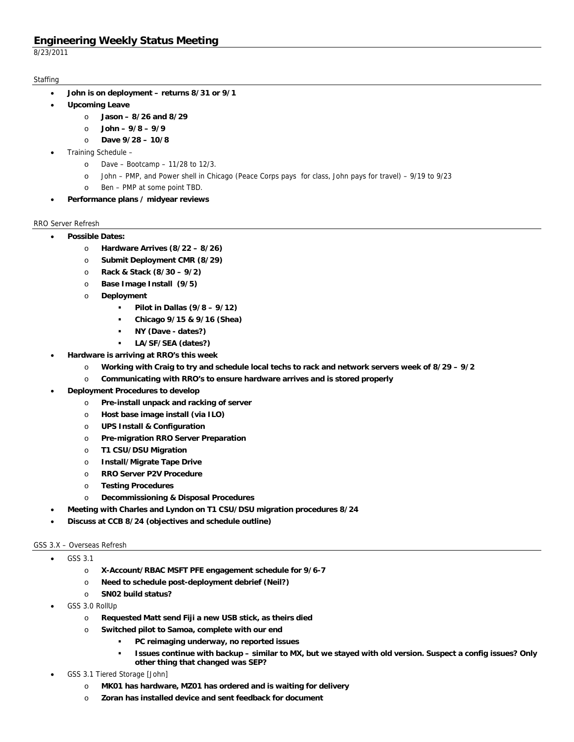8/23/2011

## **Staffing**

- **John is on deployment returns 8/31 or 9/1**
- **Upcoming Leave** 
	- o **Jason 8/26 and 8/29**
	- o **John 9/8 9/9**
	- o **Dave 9/28 10/8**
- Training Schedule
	- o Dave Bootcamp 11/28 to 12/3.
	- o John PMP, and Power shell in Chicago (Peace Corps pays for class, John pays for travel) 9/19 to 9/23
	- o Ben PMP at some point TBD.
- **Performance plans / midyear reviews**

## RRO Server Refresh

- **Possible Dates:** 
	- o **Hardware Arrives (8/22 8/26)**
	- o **Submit Deployment CMR (8/29)**
	- o **Rack & Stack (8/30 9/2)**
	- o **Base Image Install (9/5)**
	- o **Deployment** 
		- **Pilot in Dallas (9/8 9/12)**
		- **Chicago 9/15 & 9/16 (Shea)**
		- **NY (Dave dates?)**
		- **LA/SF/SEA (dates?)**
- **Hardware is arriving at RRO's this week** 
	- o **Working with Craig to try and schedule local techs to rack and network servers week of 8/29 9/2**
	- o **Communicating with RRO's to ensure hardware arrives and is stored properly**
- **Deployment Procedures to develop** 
	- o **Pre-install unpack and racking of server**
	- o **Host base image install (via ILO)**
	- o **UPS Install & Configuration**
	- o **Pre-migration RRO Server Preparation**
	- o **T1 CSU/DSU Migration**
	- o **Install/Migrate Tape Drive**
	- o **RRO Server P2V Procedure**
	- o **Testing Procedures**
	- o **Decommissioning & Disposal Procedures**
	- **Meeting with Charles and Lyndon on T1 CSU/DSU migration procedures 8/24**
- **Discuss at CCB 8/24 (objectives and schedule outline)**

## GSS 3.X – Overseas Refresh

- GSS 3.1
	- o **X-Account/RBAC MSFT PFE engagement schedule for 9/6-7**
	- o **Need to schedule post-deployment debrief (Neil?)**
	- o **SN02 build status?**
- GSS 3.0 RollUp
	- o **Requested Matt send Fiji a new USB stick, as theirs died**
	- o **Switched pilot to Samoa, complete with our end** 
		- **PC reimaging underway, no reported issues** 
			- **Issues continue with backup similar to MX, but we stayed with old version. Suspect a config issues? Only other thing that changed was SEP?**
- GSS 3.1 Tiered Storage [John]
	- o **MK01 has hardware, MZ01 has ordered and is waiting for delivery**
	- o **Zoran has installed device and sent feedback for document**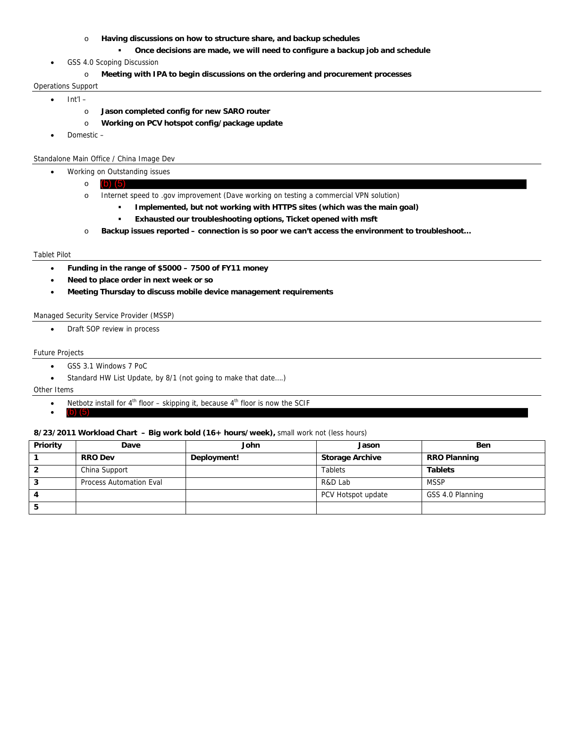- o **Having discussions on how to structure share, and backup schedules** 
	- **Once decisions are made, we will need to configure a backup job and schedule**
- GSS 4.0 Scoping Discussion
	- o **Meeting with IPA to begin discussions on the ordering and procurement processes**

#### Operations Support

- $\bullet$  Int'l
	- o **Jason completed config for new SARO router**
	- o **Working on PCV hotspot config/package update**
- Domestic –

## Standalone Main Office / China Image Dev

- Working on Outstanding issues
	- o
	- o Internet speed to .gov improvement (Dave working on testing a commercial VPN solution)
		- **Implemented, but not working with HTTPS sites (which was the main goal)**
		- **Exhausted our troubleshooting options, Ticket opened with msft**
	- o **Backup issues reported connection is so poor we can't access the environment to troubleshoot…**

### Tablet Pilot

- **Funding in the range of \$5000 7500 of FY11 money**
- **Need to place order in next week or so**  o (b) (5)<br>
o Interne<br> **b**<br> **c** Backup<br> **c**<br> **c** Backup<br> **c**<br> **c** Meed to place o<br>
Meeting Thursd<br>
Security Service P<br>
Draft SOP review<br>
bjects<br>
GSS 3.1 Windows<br>
Standard HW List<br>
ms<br>
Netbotz install for<br>
(b) (5)
- **Meeting Thursday to discuss mobile device management requirements**

### Managed Security Service Provider (MSSP)

• Draft SOP review in process

#### Future Projects

- GSS 3.1 Windows 7 PoC
- Standard HW List Update, by 8/1 (not going to make that date….)

#### Other Items

- Netbotz install for  $4<sup>th</sup>$  floor skipping it, because  $4<sup>th</sup>$  floor is now the SCIF
- (b) (5)

### **8/23/2011 Workload Chart – Big work bold (16+ hours/week),** small work not (less hours)

| Priority | Dave                           | John        | Jason                  | <b>Ben</b>          |
|----------|--------------------------------|-------------|------------------------|---------------------|
|          | <b>RRO Dev</b>                 | Deployment! | <b>Storage Archive</b> | <b>RRO Planning</b> |
|          | China Support                  |             | <b>Tablets</b>         | <b>Tablets</b>      |
|          | <b>Process Automation Eval</b> |             | R&D Lab                | <b>MSSP</b>         |
|          |                                |             | PCV Hotspot update     | GSS 4.0 Planning    |
|          |                                |             |                        |                     |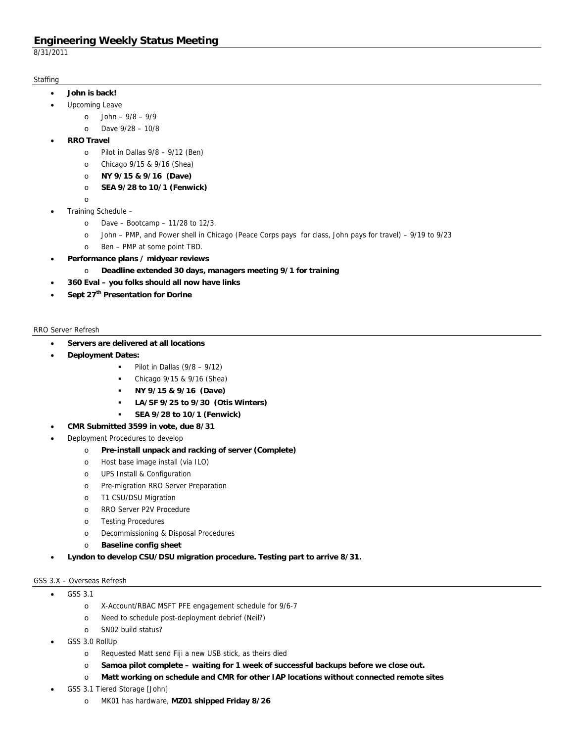8/31/2011

## **Staffing**

- **John is back!** 
	- Upcoming Leave
		- o John 9/8 9/9
			- o Dave 9/28 10/8
- **RRO Travel** 
	- $\circ$  Pilot in Dallas 9/8 9/12 (Ben)
	- o Chicago 9/15 & 9/16 (Shea)
	- o **NY 9/15 & 9/16 (Dave)**
	- o **SEA 9/28 to 10/1 (Fenwick)**
	- o
- Training Schedule
	- o Dave Bootcamp 11/28 to 12/3.
	- o John PMP, and Power shell in Chicago (Peace Corps pays for class, John pays for travel) 9/19 to 9/23
	- o Ben PMP at some point TBD.
- **Performance plans / midyear reviews** 
	- o **Deadline extended 30 days, managers meeting 9/1 for training**
- **360 Eval you folks should all now have links**
- **Sept 27th Presentation for Dorine**

## RRO Server Refresh

- **Servers are delivered at all locations**
- **Deployment Dates:** 
	- $\blacksquare$  Pilot in Dallas (9/8 9/12)
	- Chicago 9/15 & 9/16 (Shea)
	- **NY 9/15 & 9/16 (Dave)**
	- **LA/SF 9/25 to 9/30 (Otis Winters)**
	- **SEA 9/28 to 10/1 (Fenwick)**
- **CMR Submitted 3599 in vote, due 8/31**
- Deployment Procedures to develop
	- o **Pre-install unpack and racking of server (Complete)**
	- o Host base image install (via ILO)
	- o UPS Install & Configuration
	- o Pre-migration RRO Server Preparation
	- o T1 CSU/DSU Migration
	- o RRO Server P2V Procedure
	- o Testing Procedures
	- o Decommissioning & Disposal Procedures
	- o **Baseline config sheet**
- **Lyndon to develop CSU/DSU migration procedure. Testing part to arrive 8/31.**

## GSS 3.X – Overseas Refresh

- GSS 3.1
	- o X-Account/RBAC MSFT PFE engagement schedule for 9/6-7
	- o Need to schedule post-deployment debrief (Neil?)
	- o SN02 build status?
- GSS 3.0 RollUp
	- o Requested Matt send Fiji a new USB stick, as theirs died
	- o **Samoa pilot complete waiting for 1 week of successful backups before we close out.**
	- o **Matt working on schedule and CMR for other IAP locations without connected remote sites**
- GSS 3.1 Tiered Storage [John]
	- o MK01 has hardware, **MZ01 shipped Friday 8/26**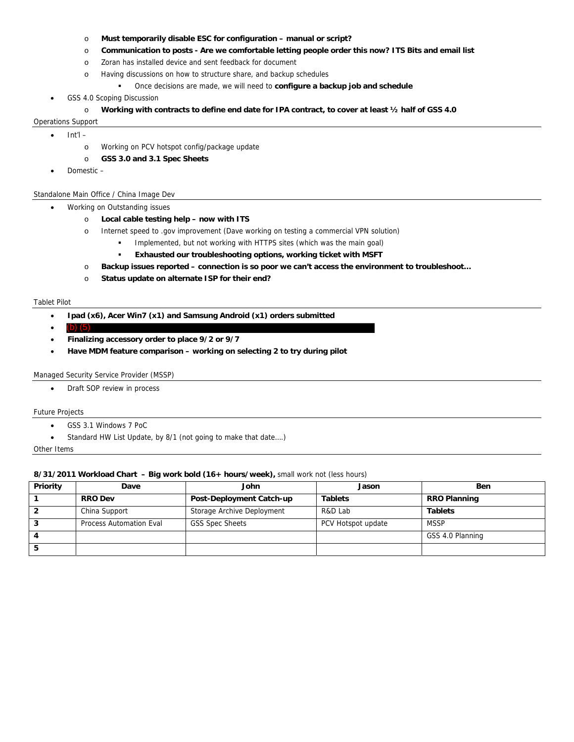- o **Must temporarily disable ESC for configuration manual or script?**
- o **Communication to posts Are we comfortable letting people order this now? ITS Bits and email list**
- o Zoran has installed device and sent feedback for document
- o Having discussions on how to structure share, and backup schedules
	- Once decisions are made, we will need to **configure a backup job and schedule**
- GSS 4.0 Scoping Discussion
	- o **Working with contracts to define end date for IPA contract, to cover at least ½ half of GSS 4.0**

## Operations Support

 $\bullet$  Int'l –

- o Working on PCV hotspot config/package update
- o **GSS 3.0 and 3.1 Spec Sheets**
- Domestic –

## Standalone Main Office / China Image Dev

- Working on Outstanding issues
	- o **Local cable testing help now with ITS**
	- o Internet speed to .gov improvement (Dave working on testing a commercial VPN solution)
		- Implemented, but not working with HTTPS sites (which was the main goal)
			- **Exhausted our troubleshooting options, working ticket with MSFT**
	- o **Backup issues reported connection is so poor we can't access the environment to troubleshoot…**
	- o **Status update on alternate ISP for their end?**

#### Tablet Pilot

- **Ipad (x6), Acer Win7 (x1) and Samsung Android (x1) orders submitted**
- $\bullet$ (b) (5)
- **Finalizing accessory order to place 9/2 or 9/7**
- **Have MDM feature comparison working on selecting 2 to try during pilot**

### Managed Security Service Provider (MSSP)

Draft SOP review in process

### Future Projects

- GSS 3.1 Windows 7 PoC
- Standard HW List Update, by 8/1 (not going to make that date….)

### Other Items

## **8/31/2011 Workload Chart – Big work bold (16+ hours/week),** small work not (less hours)

| Priority | Dave                    | John                       | Jason              | <b>Ben</b>          |
|----------|-------------------------|----------------------------|--------------------|---------------------|
|          | <b>RRO Dev</b>          | Post-Deployment Catch-up   | <b>Tablets</b>     | <b>RRO Planning</b> |
|          | China Support           | Storage Archive Deployment | R&D Lab            | <b>Tablets</b>      |
|          | Process Automation Eval | <b>GSS Spec Sheets</b>     | PCV Hotspot update | <b>MSSP</b>         |
| 4        |                         |                            |                    | GSS 4.0 Planning    |
|          |                         |                            |                    |                     |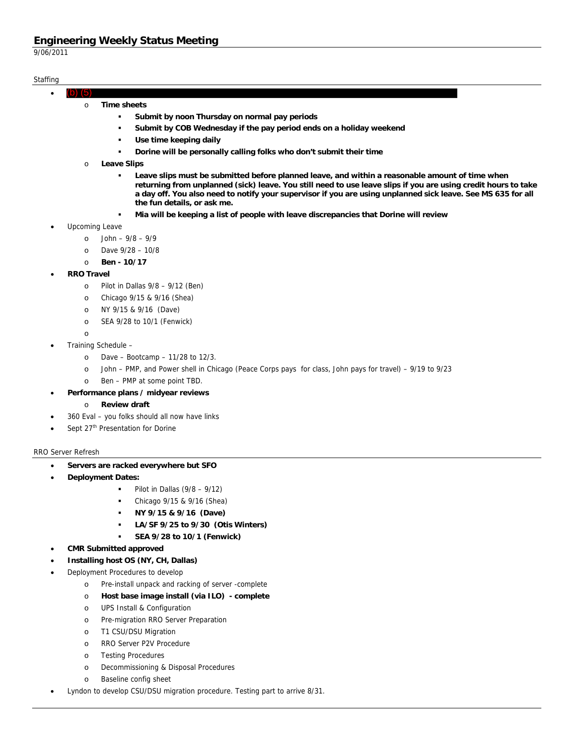9/06/2011

## **Staffing**

- $\bullet$ (b) (5)
	- o **Time sheets** 
		- **Submit by noon Thursday on normal pay periods**
		- **Submit by COB Wednesday if the pay period ends on a holiday weekend**
		- **Use time keeping daily**
		- **Dorine will be personally calling folks who don't submit their time**
		- o **Leave Slips** 
			- **Leave slips must be submitted before planned leave, and within a reasonable amount of time when returning from unplanned (sick) leave. You still need to use leave slips if you are using credit hours to take a day off. You also need to notify your supervisor if you are using unplanned sick leave. See MS 635 for all the fun details, or ask me.**
			- **Mia will be keeping a list of people with leave discrepancies that Dorine will review**
- Upcoming Leave
	- o John 9/8 9/9
	- o Dave 9/28 10/8
	- o **Ben 10/17**
- **RRO Travel** 
	- o Pilot in Dallas 9/8 9/12 (Ben)
	- o Chicago 9/15 & 9/16 (Shea)
	- o NY 9/15 & 9/16 (Dave)
	- o SEA 9/28 to 10/1 (Fenwick)
	- o
- Training Schedule
	- o Dave Bootcamp 11/28 to 12/3.
	- o John PMP, and Power shell in Chicago (Peace Corps pays for class, John pays for travel) 9/19 to 9/23
	- o Ben PMP at some point TBD.
- **Performance plans / midyear reviews** 
	- o **Review draft**
- 360 Eval you folks should all now have links
- Sept 27<sup>th</sup> Presentation for Dorine

### RRO Server Refresh

- **Servers are racked everywhere but SFO**
- **Deployment Dates:** 
	- Pilot in Dallas (9/8 9/12)
	- Chicago 9/15 & 9/16 (Shea)
	- **NY 9/15 & 9/16 (Dave)**
	- **LA/SF 9/25 to 9/30 (Otis Winters)**
	- **SEA 9/28 to 10/1 (Fenwick)**
- **CMR Submitted approved**
- **Installing host OS (NY, CH, Dallas)**
- Deployment Procedures to develop
	- o Pre-install unpack and racking of server -complete
	- o **Host base image install (via ILO) complete**
	- o UPS Install & Configuration
	- o Pre-migration RRO Server Preparation
	- o T1 CSU/DSU Migration
	- o RRO Server P2V Procedure
	- o Testing Procedures
	- o Decommissioning & Disposal Procedures
	- o Baseline config sheet
- Lyndon to develop CSU/DSU migration procedure. Testing part to arrive 8/31.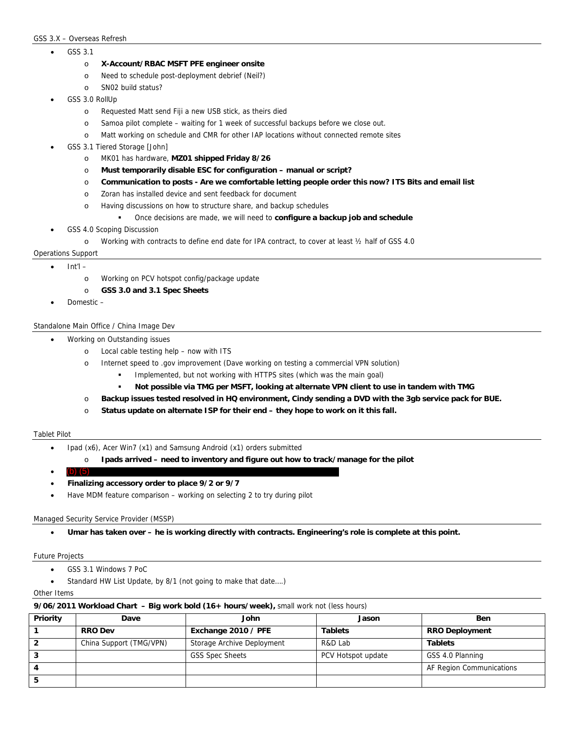### GSS 3.X – Overseas Refresh

- GSS 3.1
	- o **X-Account/RBAC MSFT PFE engineer onsite**
	- o Need to schedule post-deployment debrief (Neil?)
	- o SN02 build status?
- GSS 3.0 RollUp
	- o Requested Matt send Fiji a new USB stick, as theirs died
	- o Samoa pilot complete waiting for 1 week of successful backups before we close out.
	- o Matt working on schedule and CMR for other IAP locations without connected remote sites
- GSS 3.1 Tiered Storage [John]
	- o MK01 has hardware, **MZ01 shipped Friday 8/26**
	- o **Must temporarily disable ESC for configuration manual or script?**
	- o **Communication to posts Are we comfortable letting people order this now? ITS Bits and email list**
	- o Zoran has installed device and sent feedback for document
	- o Having discussions on how to structure share, and backup schedules
		- Once decisions are made, we will need to **configure a backup job and schedule**
- GSS 4.0 Scoping Discussion
	- o Working with contracts to define end date for IPA contract, to cover at least ½ half of GSS 4.0

### Operations Support

- Int'l
	- o Working on PCV hotspot config/package update
	- o **GSS 3.0 and 3.1 Spec Sheets**
	- Domestic –

### Standalone Main Office / China Image Dev

- Working on Outstanding issues
	- o Local cable testing help now with ITS
	- o Internet speed to .gov improvement (Dave working on testing a commercial VPN solution)
		- Implemented, but not working with HTTPS sites (which was the main goal)
		- **Not possible via TMG per MSFT, looking at alternate VPN client to use in tandem with TMG**
	- o **Backup issues tested resolved in HQ environment, Cindy sending a DVD with the 3gb service pack for BUE.**
	- o **Status update on alternate ISP for their end they hope to work on it this fall.**

### Tablet Pilot

- Ipad (x6), Acer Win7 (x1) and Samsung Android (x1) orders submitted
	- o **Ipads arrived need to inventory and figure out how to track/manage for the pilot**
- $\bullet$  $(b)$
- **Finalizing accessory order to place 9/2 or 9/7**
- Have MDM feature comparison working on selecting 2 to try during pilot

### Managed Security Service Provider (MSSP)

Umar has taken over – he is working directly with contracts. Engineering's role is complete at this point.

Future Projects

- GSS 3.1 Windows 7 PoC
- Standard HW List Update, by 8/1 (not going to make that date….)

Other Items

### **9/06/2011 Workload Chart – Big work bold (16+ hours/week),** small work not (less hours)

| Priority | Dave                    | John                       | Jason              | Ben                      |
|----------|-------------------------|----------------------------|--------------------|--------------------------|
|          | <b>RRO Dev</b>          | Exchange 2010 / PFE        | <b>Tablets</b>     | <b>RRO Deployment</b>    |
|          | China Support (TMG/VPN) | Storage Archive Deployment | R&D Lab            | <b>Tablets</b>           |
|          |                         | <b>GSS Spec Sheets</b>     | PCV Hotspot update | GSS 4.0 Planning         |
|          |                         |                            |                    | AF Region Communications |
|          |                         |                            |                    |                          |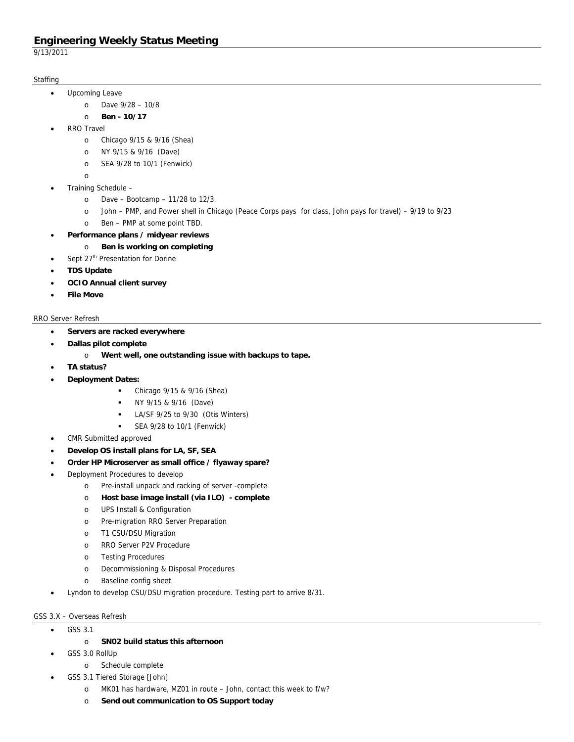9/13/2011

## **Staffing**

- Upcoming Leave
	- o Dave 9/28 10/8
	- o **Ben 10/17**
- RRO Travel
	- o Chicago 9/15 & 9/16 (Shea)
	- o NY 9/15 & 9/16 (Dave)
	- o SEA 9/28 to 10/1 (Fenwick)
	- o
- Training Schedule
	- o Dave Bootcamp 11/28 to 12/3.
	- o John PMP, and Power shell in Chicago (Peace Corps pays for class, John pays for travel) 9/19 to 9/23
	- o Ben PMP at some point TBD.
- **Performance plans / midyear reviews** 
	- o **Ben is working on completing**
	- Sept 27<sup>th</sup> Presentation for Dorine
- **TDS Update**
- **OCIO Annual client survey**
- **File Move**

## RRO Server Refresh

- **Servers are racked everywhere**
- **Dallas pilot complete** 
	- o **Went well, one outstanding issue with backups to tape.**
- **TA status?**
- **Deployment Dates:** 
	- Chicago 9/15 & 9/16 (Shea)
	- NY 9/15 & 9/16 (Dave)
	- **LA/SF 9/25 to 9/30 (Otis Winters)**
	- SEA 9/28 to 10/1 (Fenwick)
- CMR Submitted approved
- **Develop OS install plans for LA, SF, SEA**
- **Order HP Microserver as small office / flyaway spare?**
- Deployment Procedures to develop
	- o Pre-install unpack and racking of server -complete
	- o **Host base image install (via ILO) complete**
	- o UPS Install & Configuration
	- o Pre-migration RRO Server Preparation
	- o T1 CSU/DSU Migration
	- o RRO Server P2V Procedure
	- o Testing Procedures
	- o Decommissioning & Disposal Procedures
	- o Baseline config sheet
- Lyndon to develop CSU/DSU migration procedure. Testing part to arrive 8/31.

## GSS 3.X – Overseas Refresh

- $\bullet$  GSS 3.1
	- o **SN02 build status this afternoon**
- GSS 3.0 RollUp
	- o Schedule complete
	- GSS 3.1 Tiered Storage [John]
		- o MK01 has hardware, MZ01 in route John, contact this week to f/w?
		- o **Send out communication to OS Support today**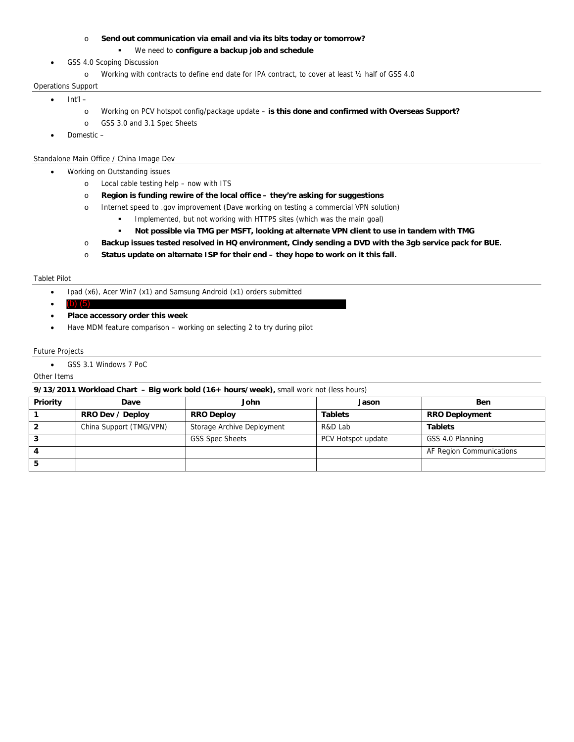### o **Send out communication via email and via its bits today or tomorrow?**

## We need to **configure a backup job and schedule**

## GSS 4.0 Scoping Discussion

o Working with contracts to define end date for IPA contract, to cover at least ½ half of GSS 4.0

### Operations Support

 $\bullet$  Int'l –

- o Working on PCV hotspot config/package update **is this done and confirmed with Overseas Support?**
- o GSS 3.0 and 3.1 Spec Sheets
- Domestic –

## Standalone Main Office / China Image Dev

## Working on Outstanding issues

- o Local cable testing help now with ITS
- o **Region is funding rewire of the local office they're asking for suggestions**
- o Internet speed to .gov improvement (Dave working on testing a commercial VPN solution)
	- Implemented, but not working with HTTPS sites (which was the main goal)
	- **Not possible via TMG per MSFT, looking at alternate VPN client to use in tandem with TMG**
- o **Backup issues tested resolved in HQ environment, Cindy sending a DVD with the 3gb service pack for BUE.**
- o **Status update on alternate ISP for their end they hope to work on it this fall.**

### Tablet Pilot

- Ipad (x6), Acer Win7 (x1) and Samsung Android (x1) orders submitted
- (b) (5) in the set of the set of the set of the set of the set of the set of the set of the set of the set of the set of the set of the set of the set of the set of the set of the set of the set of the set of the set of  $(b)$  (
- **Place accessory order this week**
- Have MDM feature comparison working on selecting 2 to try during pilot

## Future Projects

GSS 3.1 Windows 7 PoC

## Other Items

### **9/13/2011 Workload Chart – Big work bold (16+ hours/week),** small work not (less hours)

| Priority | Dave                    | John                       | Jason              | <b>Ben</b>               |
|----------|-------------------------|----------------------------|--------------------|--------------------------|
|          | RRO Dev / Deploy        | <b>RRO Deploy</b>          | <b>Tablets</b>     | <b>RRO Deployment</b>    |
|          | China Support (TMG/VPN) | Storage Archive Deployment | R&D Lab            | <b>Tablets</b>           |
|          |                         | <b>GSS Spec Sheets</b>     | PCV Hotspot update | GSS 4.0 Planning         |
|          |                         |                            |                    | AF Region Communications |
|          |                         |                            |                    |                          |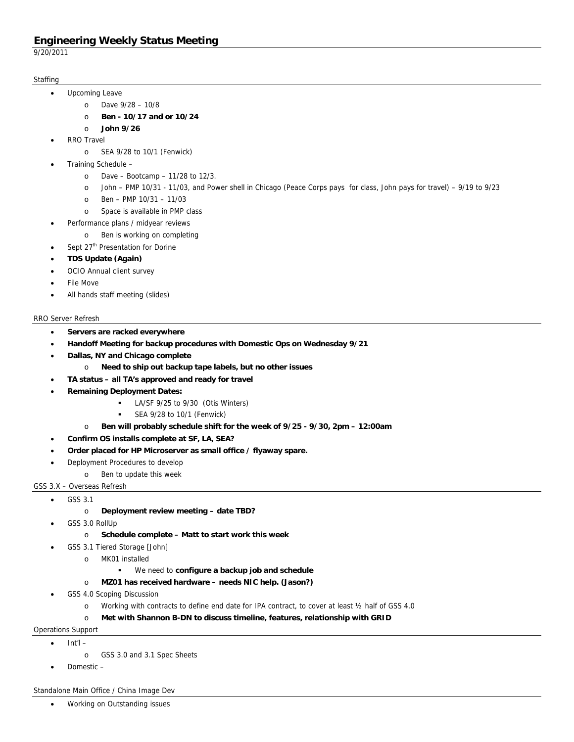9/20/2011

## **Staffing**

- Upcoming Leave
	- o Dave 9/28 10/8
	- o **Ben 10/17 and or 10/24**
	- o **John 9/26**
- RRO Travel
	- o SEA 9/28 to 10/1 (Fenwick)
- Training Schedule
	- o Dave Bootcamp 11/28 to 12/3.
	- o John PMP 10/31 11/03, and Power shell in Chicago (Peace Corps pays for class, John pays for travel) 9/19 to 9/23
	- o Ben PMP 10/31 11/03
	- o Space is available in PMP class
- Performance plans / midyear reviews
	- o Ben is working on completing
	- Sept 27<sup>th</sup> Presentation for Dorine
- **TDS Update (Again)**
- OCIO Annual client survey
- File Move
- All hands staff meeting (slides)

## RRO Server Refresh

- **Servers are racked everywhere**
- **Handoff Meeting for backup procedures with Domestic Ops on Wednesday 9/21**
- **Dallas, NY and Chicago complete** 
	- o **Need to ship out backup tape labels, but no other issues**
- **TA status all TA's approved and ready for travel**
- **Remaining Deployment Dates:** 
	- LA/SF 9/25 to 9/30 (Otis Winters)
	- SEA 9/28 to 10/1 (Fenwick)
	- o **Ben will probably schedule shift for the week of 9/25 9/30, 2pm 12:00am**
- **Confirm OS installs complete at SF, LA, SEA?**
- **Order placed for HP Microserver as small office / flyaway spare.**
- Deployment Procedures to develop
	- o Ben to update this week

## GSS 3.X – Overseas Refresh

- GSS 3.1
	- o **Deployment review meeting date TBD?**
	- GSS 3.0 RollUp
		- o **Schedule complete Matt to start work this week**
- GSS 3.1 Tiered Storage [John]
	- o MK01 installed
		- We need to **configure a backup job and schedule**
	- o **MZ01 has received hardware needs NIC help. (Jason?)**
- GSS 4.0 Scoping Discussion
	- o Working with contracts to define end date for IPA contract, to cover at least ½ half of GSS 4.0
	- o **Met with Shannon B-DN to discuss timeline, features, relationship with GRID**

## Operations Support

- o GSS 3.0 and 3.1 Spec Sheets
- Domestic –

Int'l –

## Standalone Main Office / China Image Dev

Working on Outstanding issues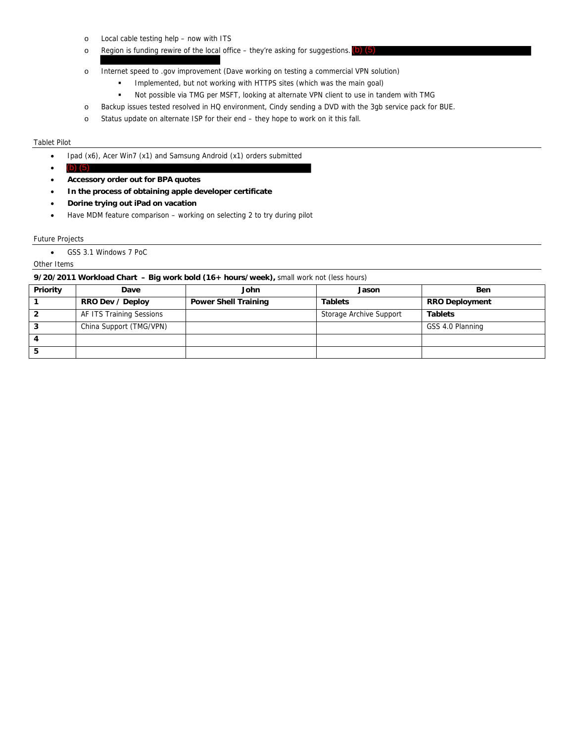- o Local cable testing help now with ITS
- o Region is funding rewire of the local office they're asking for suggestions. (b) (5)
- o Internet speed to .gov improvement (Dave working on testing a commercial VPN solution)
	- Implemented, but not working with HTTPS sites (which was the main goal)
	- Not possible via TMG per MSFT, looking at alternate VPN client to use in tandem with TMG
- o Backup issues tested resolved in HQ environment, Cindy sending a DVD with the 3gb service pack for BUE.
- o Status update on alternate ISP for their end they hope to work on it this fall.

#### Tablet Pilot

- Ipad (x6), Acer Win7 (x1) and Samsung Android (x1) orders submitted
- (b)  $(5)$  $(b)$
- **Accessory order out for BPA quotes**
- **In the process of obtaining apple developer certificate**
- **Dorine trying out iPad on vacation**
- Have MDM feature comparison working on selecting 2 to try during pilot

#### Future Projects

GSS 3.1 Windows 7 PoC

## Other Items

## **9/20/2011 Workload Chart – Big work bold (16+ hours/week),** small work not (less hours)

| Priority | Dave                     | John                        | Jason                   | <b>Ben</b>            |
|----------|--------------------------|-----------------------------|-------------------------|-----------------------|
|          | RRO Dev / Deploy         | <b>Power Shell Training</b> | <b>Tablets</b>          | <b>RRO Deployment</b> |
|          | AF ITS Training Sessions |                             | Storage Archive Support | <b>Tablets</b>        |
|          | China Support (TMG/VPN)  |                             |                         | GSS 4.0 Planning      |
| 4        |                          |                             |                         |                       |
|          |                          |                             |                         |                       |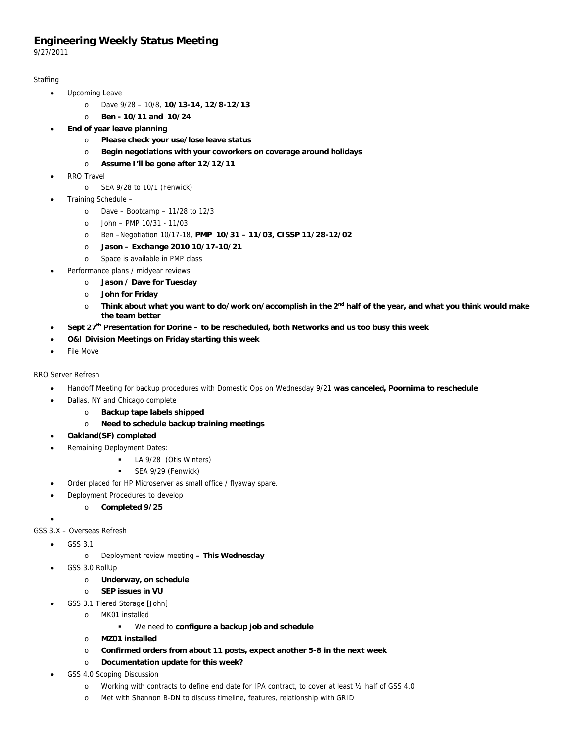9/27/2011

## **Staffing**

- Upcoming Leave
	- o Dave 9/28 10/8, **10/13-14, 12/8-12/13**
	- o **Ben 10/11 and 10/24**
- **End of year leave planning** 
	- o **Please check your use/lose leave status**
	- o **Begin negotiations with your coworkers on coverage around holidays**
	- o **Assume I'll be gone after 12/12/11**
- RRO Travel
	- o SEA 9/28 to 10/1 (Fenwick)
- Training Schedule
	- o Dave Bootcamp 11/28 to 12/3
	- o John PMP 10/31 11/03
	- o Ben –Negotiation 10/17-18, **PMP 10/31 11/03, CISSP 11/28-12/02**
	- o **Jason Exchange 2010 10/17-10/21**
	- o Space is available in PMP class
- Performance plans / midyear reviews
	- o **Jason / Dave for Tuesday**
	- o **John for Friday**
	- o **Think about what you want to do/work on/accomplish in the 2nd half of the year, and what you think would make the team better**
- **Sept 27th Presentation for Dorine to be rescheduled, both Networks and us too busy this week**
- **O&I Division Meetings on Friday starting this week**
- File Move

## RRO Server Refresh

- Handoff Meeting for backup procedures with Domestic Ops on Wednesday 9/21 **was canceled, Poornima to reschedule**
- Dallas, NY and Chicago complete
	- o **Backup tape labels shipped**
	- o **Need to schedule backup training meetings**
- **Oakland(SF) completed**
- Remaining Deployment Dates:
	- LA 9/28 (Otis Winters)
	- **SEA 9/29 (Fenwick)**
- Order placed for HP Microserver as small office / flyaway spare.
- Deployment Procedures to develop
	- o **Completed 9/25**

## GSS 3.X – Overseas Refresh

GSS 3.1

 $\bullet$ 

- o Deployment review meeting **This Wednesday**
- GSS 3.0 RollUp
	- o **Underway, on schedule**
	- o **SEP issues in VU**
- GSS 3.1 Tiered Storage [John]
	- o MK01 installed
		- We need to **configure a backup job and schedule**
	- o **MZ01 installed**
	- o **Confirmed orders from about 11 posts, expect another 5-8 in the next week**
	- o **Documentation update for this week?**
- GSS 4.0 Scoping Discussion
	- o Working with contracts to define end date for IPA contract, to cover at least ½ half of GSS 4.0
	- o Met with Shannon B-DN to discuss timeline, features, relationship with GRID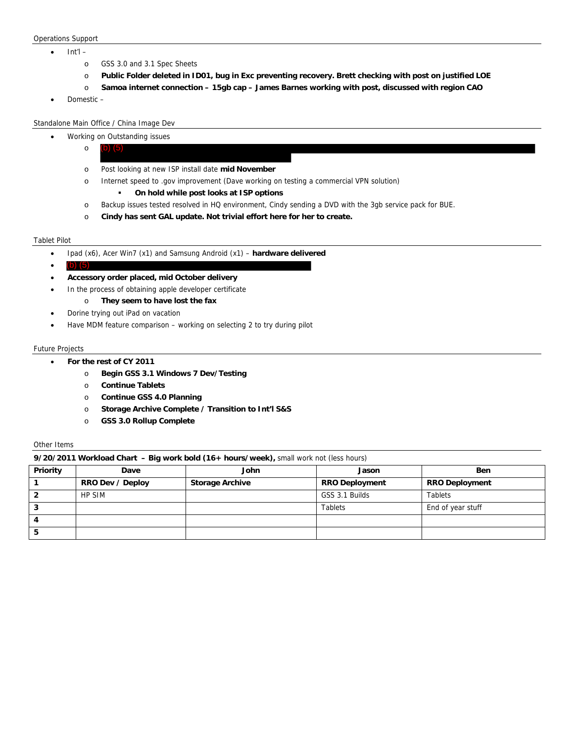#### Operations Support

- Int'l
	- o GSS 3.0 and 3.1 Spec Sheets
	- o **Public Folder deleted in ID01, bug in Exc preventing recovery. Brett checking with post on justified LOE**
	- o **Samoa internet connection 15gb cap James Barnes working with post, discussed with region CAO**
- Domestic –

Standalone Main Office / China Image Dev

- Working on Outstanding issues
	- o (b) (5)
	- o Post looking at new ISP install date **mid November**
	- o Internet speed to .gov improvement (Dave working on testing a commercial VPN solution)
		- **On hold while post looks at ISP options**
	- o Backup issues tested resolved in HQ environment, Cindy sending a DVD with the 3gb service pack for BUE.
	- o **Cindy has sent GAL update. Not trivial effort here for her to create.**

#### Tablet Pilot

- Ipad (x6), Acer Win7 (x1) and Samsung Android (x1) **hardware delivered**
- (b)  $(5)$  $(b)$
- **Accessory order placed, mid October delivery**
- In the process of obtaining apple developer certificate
	- o **They seem to have lost the fax**
- Dorine trying out iPad on vacation
- Have MDM feature comparison working on selecting 2 to try during pilot

### Future Projects

- **For the rest of CY 2011** 
	- o **Begin GSS 3.1 Windows 7 Dev/Testing**
	- o **Continue Tablets**
	- o **Continue GSS 4.0 Planning**
	- o **Storage Archive Complete / Transition to Int'l S&S**
	- o **GSS 3.0 Rollup Complete**

### Other Items

**9/20/2011 Workload Chart – Big work bold (16+ hours/week),** small work not (less hours)

|                 | .                |                        |                       |                       |
|-----------------|------------------|------------------------|-----------------------|-----------------------|
| <b>Priority</b> | Dave             | John                   | Jason                 | <b>Ben</b>            |
|                 | RRO Dev / Deploy | <b>Storage Archive</b> | <b>RRO Deployment</b> | <b>RRO Deployment</b> |
|                 | <b>HP SIM</b>    |                        | GSS 3.1 Builds        | <b>Tablets</b>        |
| ◠<br>٠J         |                  |                        | <b>Tablets</b>        | End of year stuff     |
|                 |                  |                        |                       |                       |
| э               |                  |                        |                       |                       |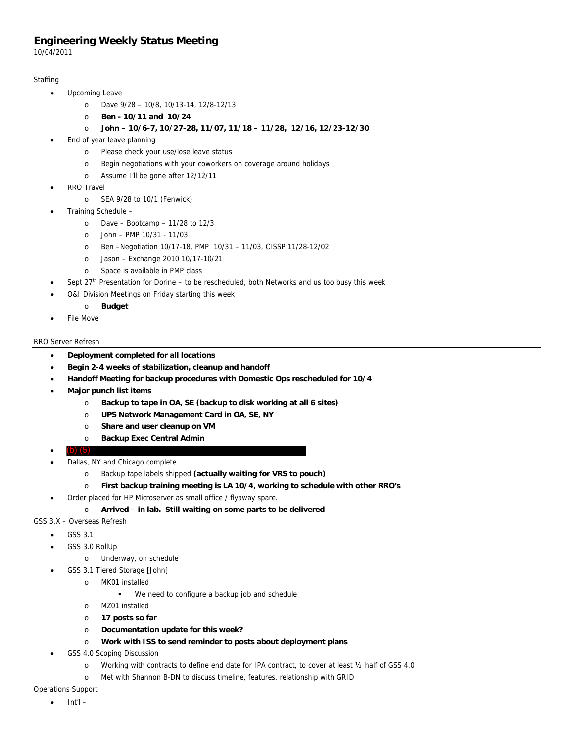10/04/2011

## **Staffing**

- Upcoming Leave
	- o Dave 9/28 10/8, 10/13-14, 12/8-12/13
	- o **Ben 10/11 and 10/24**
	- o **John 10/6-7, 10/27-28, 11/07, 11/18 11/28, 12/16, 12/23-12/30**
- End of year leave planning
	- o Please check your use/lose leave status
	- o Begin negotiations with your coworkers on coverage around holidays
	- o Assume I'll be gone after 12/12/11
- RRO Travel
	- o SEA 9/28 to 10/1 (Fenwick)
- Training Schedule
	- o Dave Bootcamp 11/28 to 12/3
	- o John PMP 10/31 11/03
	- o Ben –Negotiation 10/17-18, PMP 10/31 11/03, CISSP 11/28-12/02
	- o Jason Exchange 2010 10/17-10/21
	- o Space is available in PMP class
- Sept 27<sup>th</sup> Presentation for Dorine to be rescheduled, both Networks and us too busy this week
- O&I Division Meetings on Friday starting this week
- o **Budget**
- File Move

## RRO Server Refresh

- **Deployment completed for all locations**
- **Begin 2-4 weeks of stabilization, cleanup and handoff**
- **Handoff Meeting for backup procedures with Domestic Ops rescheduled for 10/4**
- **Major punch list items** 
	- o **Backup to tape in OA, SE (backup to disk working at all 6 sites)**
	- o **UPS Network Management Card in OA, SE, NY**
	- o **Share and user cleanup on VM**
	- o **Backup Exec Central Admin**
- **•** (b)  $(5)$  $\left( 0\right)$
- Dallas, NY and Chicago complete
	- o Backup tape labels shipped **(actually waiting for VRS to pouch)**
	- o **First backup training meeting is LA 10/4, working to schedule with other RRO's**
- Order placed for HP Microserver as small office / flyaway spare.

## o **Arrived – in lab. Still waiting on some parts to be delivered**

### GSS 3.X – Overseas Refresh

- GSS 3.1
- GSS 3.0 RollUp
	- o Underway, on schedule
	- GSS 3.1 Tiered Storage [John]
		- o MK01 installed
			- We need to configure a backup job and schedule
			- o MZ01 installed
			- o **17 posts so far**
			- o **Documentation update for this week?**
			- o **Work with ISS to send reminder to posts about deployment plans**
- GSS 4.0 Scoping Discussion
	- o Working with contracts to define end date for IPA contract, to cover at least ½ half of GSS 4.0
	- o Met with Shannon B-DN to discuss timeline, features, relationship with GRID

## Operations Support

Int'l –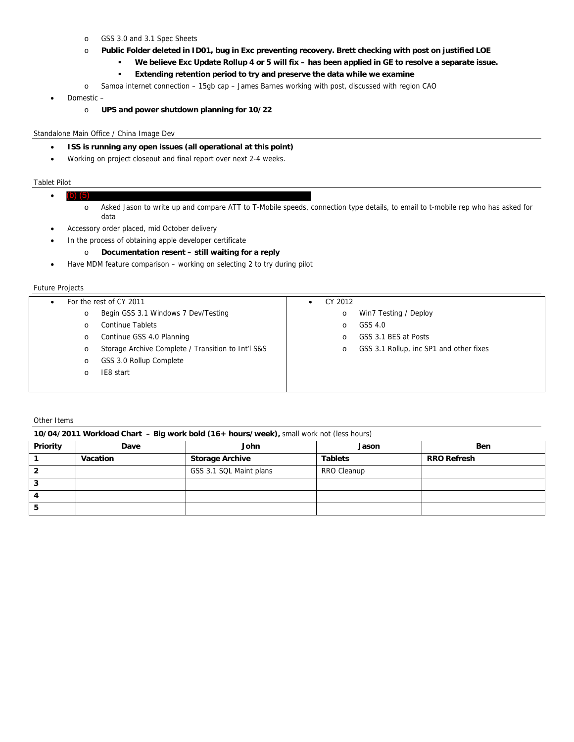- o GSS 3.0 and 3.1 Spec Sheets
- o **Public Folder deleted in ID01, bug in Exc preventing recovery. Brett checking with post on justified LOE** 
	- **We believe Exc Update Rollup 4 or 5 will fix has been applied in GE to resolve a separate issue.** 
		- **Extending retention period to try and preserve the data while we examine**
- o Samoa internet connection 15gb cap James Barnes working with post, discussed with region CAO
- Domestic
	- o **UPS and power shutdown planning for 10/22**

## Standalone Main Office / China Image Dev

- **ISS is running any open issues (all operational at this point)**
- Working on project closeout and final report over next 2-4 weeks.

#### Tablet Pilot

- $\bullet$  (b) (5) o Asked Jason to write up and compare ATT to T-Mobile speeds, connection type details, to email to t-mobile rep who has asked for data (b) (5)
- Accessory order placed, mid October delivery
- In the process of obtaining apple developer certificate
	- o **Documentation resent still waiting for a reply**
- Have MDM feature comparison working on selecting 2 to try during pilot

### Future Projects

| ٠ |         | For the rest of CY 2011                            | CY 2012  |                                         |
|---|---------|----------------------------------------------------|----------|-----------------------------------------|
|   | $\circ$ | Begin GSS 3.1 Windows 7 Dev/Testing                | $\circ$  | Win7 Testing / Deploy                   |
|   | $\circ$ | <b>Continue Tablets</b>                            | $\Omega$ | GSS 4.0                                 |
|   | $\circ$ | Continue GSS 4.0 Planning                          | $\Omega$ | GSS 3.1 BES at Posts                    |
|   | $\circ$ | Storage Archive Complete / Transition to Int'l S&S | $\circ$  | GSS 3.1 Rollup, inc SP1 and other fixes |
|   | $\circ$ | GSS 3.0 Rollup Complete                            |          |                                         |
|   | O       | IE8 start                                          |          |                                         |
|   |         |                                                    |          |                                         |

Other Items

#### **10/04/2011 Workload Chart – Big work bold (16+ hours/week),** small work not (less hours)

| <b>Priority</b> | Dave     | John                    | Jason          | <b>Ben</b>         |
|-----------------|----------|-------------------------|----------------|--------------------|
|                 | Vacation | <b>Storage Archive</b>  | <b>Tablets</b> | <b>RRO Refresh</b> |
|                 |          | GSS 3.1 SQL Maint plans | RRO Cleanup    |                    |
|                 |          |                         |                |                    |
|                 |          |                         |                |                    |
|                 |          |                         |                |                    |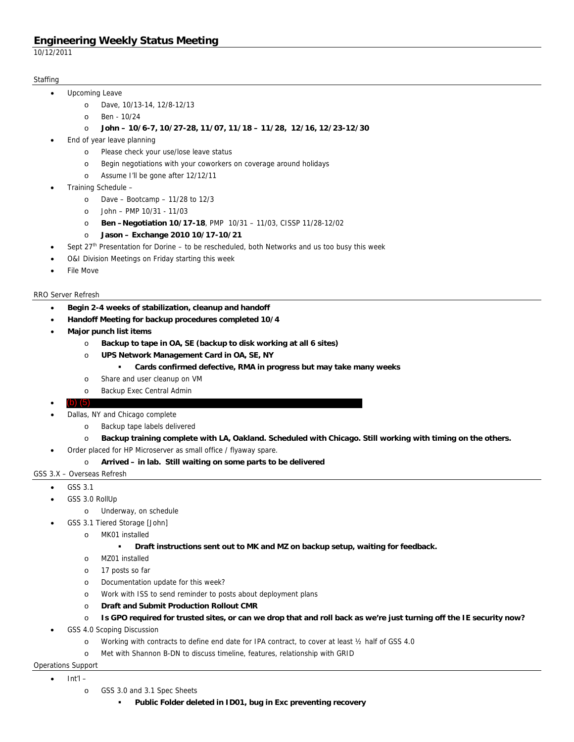10/12/2011

## **Staffing**

- Upcoming Leave
	- o Dave, 10/13-14, 12/8-12/13
	- o Ben 10/24
		- o **John 10/6-7, 10/27-28, 11/07, 11/18 11/28, 12/16, 12/23-12/30**
- End of year leave planning
	- o Please check your use/lose leave status
	- o Begin negotiations with your coworkers on coverage around holidays
	- o Assume I'll be gone after 12/12/11
- Training Schedule
	- o Dave Bootcamp 11/28 to 12/3
	- o John PMP 10/31 11/03
	- o **Ben –Negotiation 10/17-18**, PMP 10/31 11/03, CISSP 11/28-12/02
	- o **Jason Exchange 2010 10/17-10/21**
- Sept  $27<sup>th</sup>$  Presentation for Dorine to be rescheduled, both Networks and us too busy this week
- O&I Division Meetings on Friday starting this week
- File Move

## RRO Server Refresh

- **Begin 2-4 weeks of stabilization, cleanup and handoff**
- **Handoff Meeting for backup procedures completed 10/4**
- **Major punch list items** 
	- o **Backup to tape in OA, SE (backup to disk working at all 6 sites)**
	- o **UPS Network Management Card in OA, SE, NY** 
		- **Cards confirmed defective, RMA in progress but may take many weeks**
	- o Share and user cleanup on VM
	- o Backup Exec Central Admin
- **•** (b) (5) (b) (5)
- Dallas, NY and Chicago complete
	- o Backup tape labels delivered
	- o **Backup training complete with LA, Oakland. Scheduled with Chicago. Still working with timing on the others.**
- Order placed for HP Microserver as small office / flyaway spare.
	- o **Arrived in lab. Still waiting on some parts to be delivered**
- GSS 3.X Overseas Refresh
	- GSS 3.1
	- GSS 3.0 RollUp
		- o Underway, on schedule
		- GSS 3.1 Tiered Storage [John]
			- o MK01 installed
				- **Draft instructions sent out to MK and MZ on backup setup, waiting for feedback.**
			- o MZ01 installed
			- o 17 posts so far
			- o Documentation update for this week?
			- o Work with ISS to send reminder to posts about deployment plans
			- o **Draft and Submit Production Rollout CMR**
			- o **Is GPO required for trusted sites, or can we drop that and roll back as we're just turning off the IE security now?**
	- GSS 4.0 Scoping Discussion
		- o Working with contracts to define end date for IPA contract, to cover at least ½ half of GSS 4.0
		- o Met with Shannon B-DN to discuss timeline, features, relationship with GRID

## Operations Support

- $\bullet$  Int'l
	- o GSS 3.0 and 3.1 Spec Sheets
		- **Public Folder deleted in ID01, bug in Exc preventing recovery**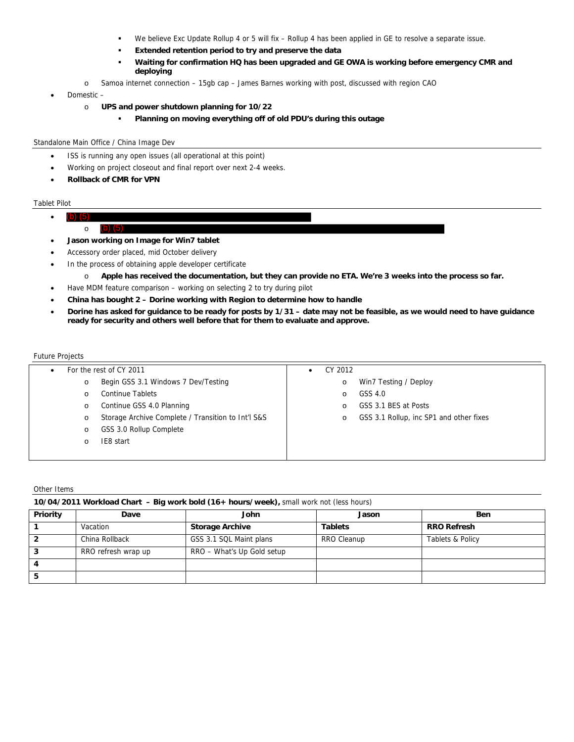- We believe Exc Update Rollup 4 or 5 will fix Rollup 4 has been applied in GE to resolve a separate issue.
- **Extended retention period to try and preserve the data**
- **Waiting for confirmation HQ has been upgraded and GE OWA is working before emergency CMR and deploying**
- o Samoa internet connection 15gb cap James Barnes working with post, discussed with region CAO
- Domestic
	- o **UPS and power shutdown planning for 10/22** 
		- **Planning on moving everything off of old PDU's during this outage**

### Standalone Main Office / China Image Dev

- ISS is running any open issues (all operational at this point)
- Working on project closeout and final report over next 2-4 weeks.
- **Rollback of CMR for VPN**

## Tablet Pilot

- (b)  $(5)$ (b) (5)
	- o (b) (5)
- **Jason working on Image for Win7 tablet**
- Accessory order placed, mid October delivery
- In the process of obtaining apple developer certificate
	- o **Apple has received the documentation, but they can provide no ETA. We're 3 weeks into the process so far.**
- Have MDM feature comparison working on selecting 2 to try during pilot
- **China has bought 2 Dorine working with Region to determine how to handle**
- **Dorine has asked for guidance to be ready for posts by 1/31 date may not be feasible, as we would need to have guidance ready for security and others well before that for them to evaluate and approve.**

## Future Projects

|         | For the rest of CY 2011                            | CY 2012<br>$\bullet$ |                                         |
|---------|----------------------------------------------------|----------------------|-----------------------------------------|
| $\circ$ | Begin GSS 3.1 Windows 7 Dev/Testing                | $\circ$              | Win7 Testing / Deploy                   |
| $\circ$ | <b>Continue Tablets</b>                            | $\circ$              | GSS 4.0                                 |
| $\circ$ | Continue GSS 4.0 Planning                          | O                    | GSS 3.1 BES at Posts                    |
| $\circ$ | Storage Archive Complete / Transition to Int'l S&S | O                    | GSS 3.1 Rollup, inc SP1 and other fixes |
| $\circ$ | GSS 3.0 Rollup Complete                            |                      |                                         |
| $\circ$ | IE8 start                                          |                      |                                         |
|         |                                                    |                      |                                         |

#### Other Items

| 10/04/2011 Workload Chart - Big work bold (16+ hours/week), small work not (less hours) |
|-----------------------------------------------------------------------------------------|
|-----------------------------------------------------------------------------------------|

| Priority | Dave                | John                       | Jason          | <b>Ben</b>         |
|----------|---------------------|----------------------------|----------------|--------------------|
|          | Vacation            | <b>Storage Archive</b>     | <b>Tablets</b> | <b>RRO Refresh</b> |
|          | China Rollback      | GSS 3.1 SQL Maint plans    | RRO Cleanup    | Tablets & Policy   |
|          | RRO refresh wrap up | RRO - What's Up Gold setup |                |                    |
|          |                     |                            |                |                    |
|          |                     |                            |                |                    |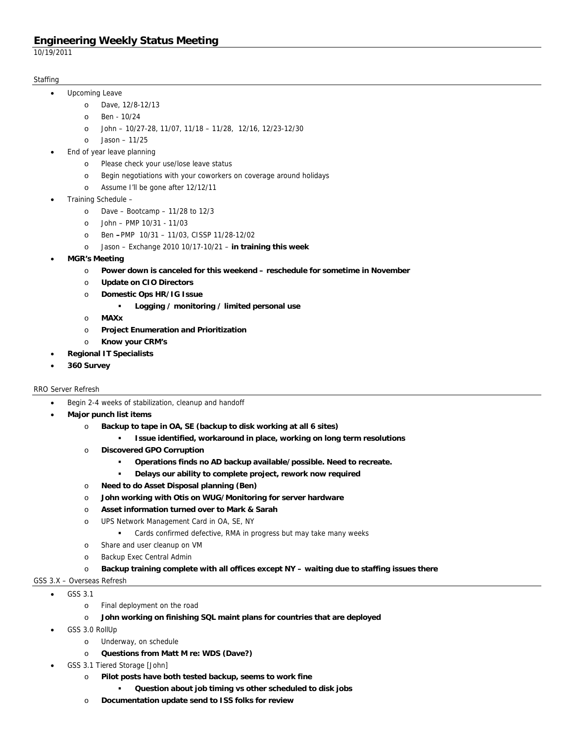10/19/2011

## **Staffing**

- Upcoming Leave
	- o Dave, 12/8-12/13
	- o Ben 10/24
	- o John 10/27-28, 11/07, 11/18 11/28, 12/16, 12/23-12/30
	- o Jason 11/25
- End of year leave planning
	- o Please check your use/lose leave status
	- o Begin negotiations with your coworkers on coverage around holidays
	- o Assume I'll be gone after 12/12/11
- Training Schedule
	- o Dave Bootcamp 11/28 to 12/3
	- o John PMP 10/31 11/03
	- o Ben **–**PMP 10/31 11/03, CISSP 11/28-12/02
	- o Jason Exchange 2010 10/17-10/21 – **in training this week**
- **MGR's Meeting** 
	- o **Power down is canceled for this weekend reschedule for sometime in November**
	- o **Update on CIO Directors**
	- o **Domestic Ops HR/IG Issue** 
		- **Logging / monitoring / limited personal use**
	- o **MAXx**
	- o **Project Enumeration and Prioritization**
	- o **Know your CRM's**
	- **Regional IT Specialists**
- **360 Survey**

## RRO Server Refresh

- Begin 2-4 weeks of stabilization, cleanup and handoff
- **Major punch list items** 
	- o **Backup to tape in OA, SE (backup to disk working at all 6 sites)** 
		- **Issue identified, workaround in place, working on long term resolutions**
	- o **Discovered GPO Corruption** 
		- **Operations finds no AD backup available/possible. Need to recreate.**
		- **Delays our ability to complete project, rework now required**
	- o **Need to do Asset Disposal planning (Ben)**
	- o **John working with Otis on WUG/Monitoring for server hardware**
	- o **Asset information turned over to Mark & Sarah**
	- o UPS Network Management Card in OA, SE, NY
		- Cards confirmed defective, RMA in progress but may take many weeks
	- o Share and user cleanup on VM
	- o Backup Exec Central Admin
	- o **Backup training complete with all offices except NY waiting due to staffing issues there**

## GSS 3.X – Overseas Refresh

- GSS 3.1
	- o Final deployment on the road
	- o **John working on finishing SQL maint plans for countries that are deployed**
- GSS 3.0 RollUp
	- o Underway, on schedule
	- o **Questions from Matt M re: WDS (Dave?)**
- GSS 3.1 Tiered Storage [John]
	- o **Pilot posts have both tested backup, seems to work fine** 
		- **Question about job timing vs other scheduled to disk jobs**
	- o **Documentation update send to ISS folks for review**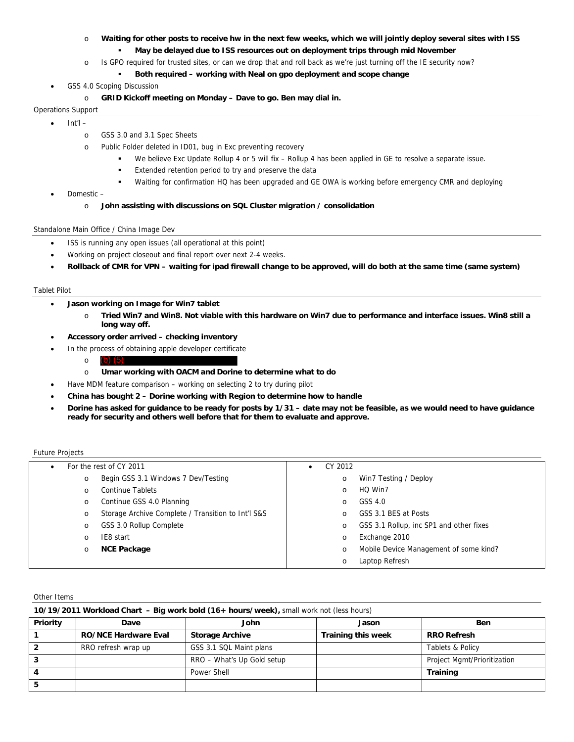- o **Waiting for other posts to receive hw in the next few weeks, which we will jointly deploy several sites with ISS** 
	- **May be delayed due to ISS resources out on deployment trips through mid November**
- o Is GPO required for trusted sites, or can we drop that and roll back as we're just turning off the IE security now?
	- **Both required working with Neal on gpo deployment and scope change**
- GSS 4.0 Scoping Discussion
	- o **GRID Kickoff meeting on Monday Dave to go. Ben may dial in.**

### Operations Support

- Int'l
	- o GSS 3.0 and 3.1 Spec Sheets
	- o Public Folder deleted in ID01, bug in Exc preventing recovery
		- We believe Exc Update Rollup 4 or 5 will fix Rollup 4 has been applied in GE to resolve a separate issue.
		- **Extended retention period to try and preserve the data**
		- Waiting for confirmation HQ has been upgraded and GE OWA is working before emergency CMR and deploying
- Domestic
	- o **John assisting with discussions on SQL Cluster migration / consolidation**

#### Standalone Main Office / China Image Dev

- ISS is running any open issues (all operational at this point)
- Working on project closeout and final report over next 2-4 weeks.
- **Rollback of CMR for VPN waiting for ipad firewall change to be approved, will do both at the same time (same system)**

#### Tablet Pilot

- **Jason working on Image for Win7 tablet** 
	- o **Tried Win7 and Win8. Not viable with this hardware on Win7 due to performance and interface issues. Win8 still a long way off.**
- **Accessory order arrived checking inventory**
- In the process of obtaining apple developer certificate
	- o (b) (5)
	- o **Umar working with OACM and Dorine to determine what to do**
	- Have MDM feature comparison working on selecting 2 to try during pilot
	- **China has bought 2 Dorine working with Region to determine how to handle**
- **Dorine has asked for guidance to be ready for posts by 1/31 date may not be feasible, as we would need to have guidance ready for security and others well before that for them to evaluate and approve.**

#### Future Projects

|          | For the rest of CY 2011                            | ٠ | CY 2012 |                                         |
|----------|----------------------------------------------------|---|---------|-----------------------------------------|
| O        | Begin GSS 3.1 Windows 7 Dev/Testing                |   | $\circ$ | Win7 Testing / Deploy                   |
| $\circ$  | <b>Continue Tablets</b>                            |   | $\circ$ | HQ Win7                                 |
| $\circ$  | Continue GSS 4.0 Planning                          |   | $\circ$ | GSS 4.0                                 |
| O        | Storage Archive Complete / Transition to Int'l S&S |   | $\circ$ | GSS 3.1 BES at Posts                    |
| $\circ$  | GSS 3.0 Rollup Complete                            |   | $\circ$ | GSS 3.1 Rollup, inc SP1 and other fixes |
| $\Omega$ | IE8 start                                          |   | $\circ$ | Exchange 2010                           |
| $\circ$  | <b>NCE Package</b>                                 |   | $\circ$ | Mobile Device Management of some kind?  |
|          |                                                    |   | $\circ$ | Laptop Refresh                          |

#### Other Items

| 10/19/2011 Workload Chart - Big work bold (16+ hours/week), small work not (less hours) |                             |                            |                           |                             |  |  |
|-----------------------------------------------------------------------------------------|-----------------------------|----------------------------|---------------------------|-----------------------------|--|--|
| Priority                                                                                | Dave                        | John                       | Jason                     | <b>Ben</b>                  |  |  |
|                                                                                         | <b>RO/NCE Hardware Eval</b> | <b>Storage Archive</b>     | <b>Training this week</b> | <b>RRO Refresh</b>          |  |  |
|                                                                                         | RRO refresh wrap up         | GSS 3.1 SQL Maint plans    |                           | <b>Tablets &amp; Policy</b> |  |  |
|                                                                                         |                             | RRO - What's Up Gold setup |                           | Project Mgmt/Prioritization |  |  |
|                                                                                         |                             | Power Shell                |                           | <b>Training</b>             |  |  |
|                                                                                         |                             |                            |                           |                             |  |  |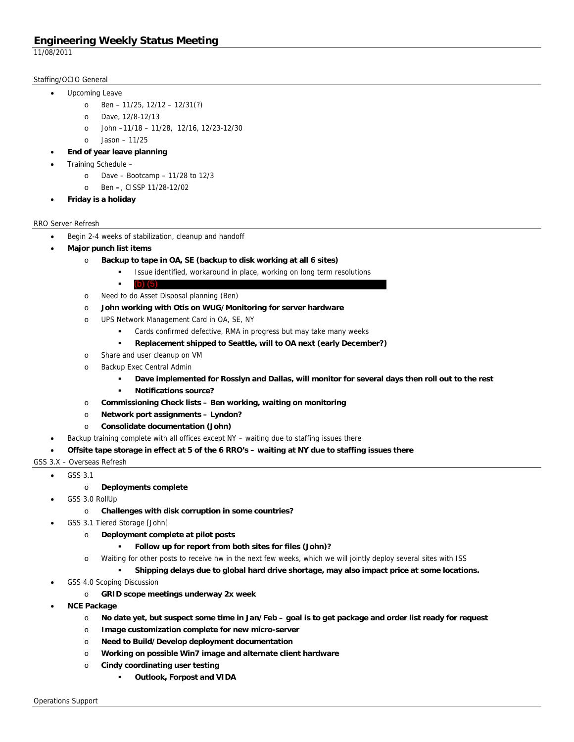11/08/2011

## Staffing/OCIO General

- Upcoming Leave
	- o Ben 11/25, 12/12 12/31(?)
	- o Dave, 12/8-12/13
	- o John –11/18 11/28, 12/16, 12/23-12/30
	- o Jason 11/25
	- **End of year leave planning**
- Training Schedule
	- o Dave Bootcamp 11/28 to 12/3
	- o Ben **–**, CISSP 11/28-12/02
- **Friday is a holiday**

## RRO Server Refresh

- Begin 2-4 weeks of stabilization, cleanup and handoff
- **Major punch list items** 
	- o **Backup to tape in OA, SE (backup to disk working at all 6 sites)** 
		- Issue identified, workaround in place, working on long term resolutions
	- **a** (b)  $(5)$ o Need to do Asset Disposal planning (Ben) (b) (5)
	- o **John working with Otis on WUG/Monitoring for server hardware**
	- o UPS Network Management Card in OA, SE, NY
		- Cards confirmed defective, RMA in progress but may take many weeks
		- **Replacement shipped to Seattle, will to OA next (early December?)**
	- o Share and user cleanup on VM
	- o Backup Exec Central Admin
		- **Dave implemented for Rosslyn and Dallas, will monitor for several days then roll out to the rest**
		- **Notifications source?**
	- o **Commissioning Check lists Ben working, waiting on monitoring**
	- o **Network port assignments Lyndon?**
	- o **Consolidate documentation (John)**
- Backup training complete with all offices except NY waiting due to staffing issues there
- **Offsite tape storage in effect at 5 of the 6 RRO's waiting at NY due to staffing issues there**

## GSS 3.X – Overseas Refresh

- GSS 3.1
	- o **Deployments complete**
- GSS 3.0 RollUp
	- o **Challenges with disk corruption in some countries?**
	- GSS 3.1 Tiered Storage [John]
		- o **Deployment complete at pilot posts** 
			- **Follow up for report from both sites for files (John)?**
		- o Waiting for other posts to receive hw in the next few weeks, which we will jointly deploy several sites with ISS
			- **Shipping delays due to global hard drive shortage, may also impact price at some locations.**
- GSS 4.0 Scoping Discussion
	- o **GRID scope meetings underway 2x week**
- **NCE Package** 
	- o **No date yet, but suspect some time in Jan/Feb goal is to get package and order list ready for request**
	- o **Image customization complete for new micro-server**
	- o **Need to Build/Develop deployment documentation**
	- o **Working on possible Win7 image and alternate client hardware**
	- o **Cindy coordinating user testing** 
		- **Outlook, Forpost and VIDA**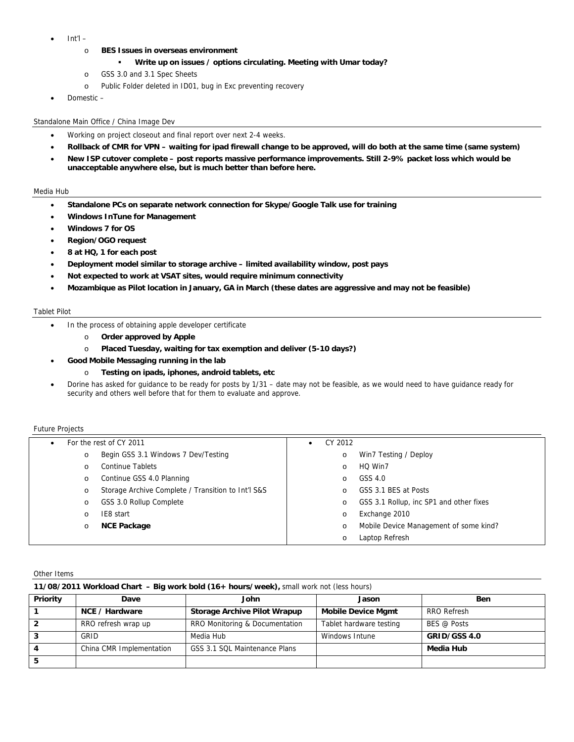- Int'l
	- o **BES Issues in overseas environment** 
		- **Write up on issues / options circulating. Meeting with Umar today?**
	- o GSS 3.0 and 3.1 Spec Sheets
	- o Public Folder deleted in ID01, bug in Exc preventing recovery
- Domestic –

## Standalone Main Office / China Image Dev

- Working on project closeout and final report over next 2-4 weeks.
- **Rollback of CMR for VPN waiting for ipad firewall change to be approved, will do both at the same time (same system)**
- **New ISP cutover complete post reports massive performance improvements. Still 2-9% packet loss which would be unacceptable anywhere else, but is much better than before here.**

## Media Hub

- **Standalone PCs on separate network connection for Skype/Google Talk use for training**
- **Windows InTune for Management**
- **Windows 7 for OS**
- **Region/OGO request**
- **8 at HQ, 1 for each post**
- **Deployment model similar to storage archive limited availability window, post pays**
- **Not expected to work at VSAT sites, would require minimum connectivity**
- **Mozambique as Pilot location in January, GA in March (these dates are aggressive and may not be feasible)**

### Tablet Pilot

- In the process of obtaining apple developer certificate
	- o **Order approved by Apple**
	- o **Placed Tuesday, waiting for tax exemption and deliver (5-10 days?)**
	- **Good Mobile Messaging running in the lab** 
		- o **Testing on ipads, iphones, android tablets, etc**
- Dorine has asked for guidance to be ready for posts by 1/31 date may not be feasible, as we would need to have guidance ready for security and others well before that for them to evaluate and approve.

#### Future Projects

| $\bullet$ | For the rest of CY 2011                            | ٠ | CY 2012 |                                         |
|-----------|----------------------------------------------------|---|---------|-----------------------------------------|
| $\circ$   | Begin GSS 3.1 Windows 7 Dev/Testing                |   | $\circ$ | Win7 Testing / Deploy                   |
| $\circ$   | <b>Continue Tablets</b>                            |   | O       | HQ Win7                                 |
| $\circ$   | Continue GSS 4.0 Planning                          |   | O       | GSS 4.0                                 |
| O         | Storage Archive Complete / Transition to Int'l S&S |   | O       | GSS 3.1 BES at Posts                    |
| $\circ$   | GSS 3.0 Rollup Complete                            |   | O       | GSS 3.1 Rollup, inc SP1 and other fixes |
| O         | IE8 start                                          |   | O       | Exchange 2010                           |
| $\circ$   | <b>NCE Package</b>                                 |   | $\circ$ | Mobile Device Management of some kind?  |
|           |                                                    |   | $\circ$ | Laptop Refresh                          |

Other Items

| 11/08/2011 Workload Chart - Big work bold (16+ hours/week), small work not (less hours) |                          |                                |                           |              |  |  |
|-----------------------------------------------------------------------------------------|--------------------------|--------------------------------|---------------------------|--------------|--|--|
| Priority                                                                                | Dave                     | John                           | Jason                     | <b>Ben</b>   |  |  |
|                                                                                         | NCE / Hardware           | Storage Archive Pilot Wrapup   | <b>Mobile Device Mamt</b> | RRO Refresh  |  |  |
|                                                                                         | RRO refresh wrap up      | RRO Monitoring & Documentation | Tablet hardware testing   | BES @ Posts  |  |  |
|                                                                                         | GRID                     | Media Hub                      | Windows Intune            | GRID/GSS 4.0 |  |  |
|                                                                                         | China CMR Implementation | GSS 3.1 SQL Maintenance Plans  |                           | Media Hub    |  |  |
|                                                                                         |                          |                                |                           |              |  |  |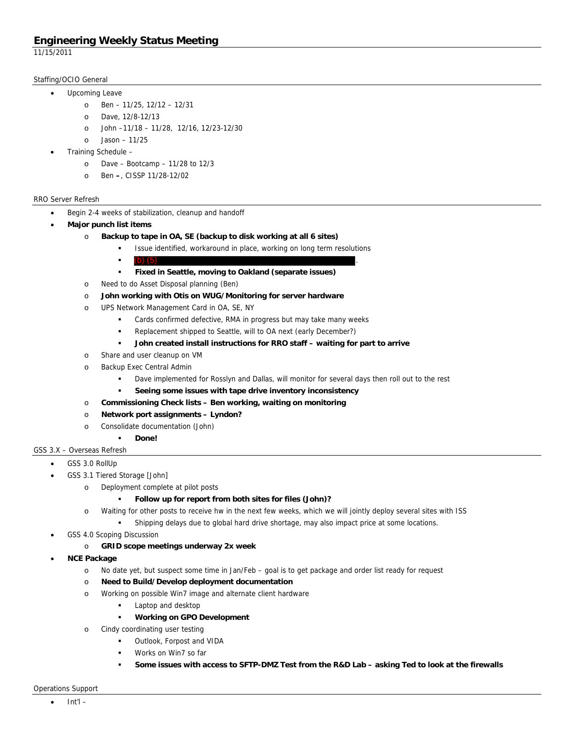11/15/2011

## Staffing/OCIO General

- Upcoming Leave
	- o Ben 11/25, 12/12 12/31
	- o Dave, 12/8-12/13
	- o John –11/18 11/28, 12/16, 12/23-12/30
	- o Jason 11/25
- Training Schedule
	- o Dave Bootcamp 11/28 to 12/3
	- o Ben **–**, CISSP 11/28-12/02

## RRO Server Refresh

- Begin 2-4 weeks of stabilization, cleanup and handoff
- **Major punch list items** 
	- o **Backup to tape in OA, SE (backup to disk working at all 6 sites)** 
		- Issue identified, workaround in place, working on long term resolutions
		- $\left( \mathbf{b} \right) \left( 5 \right)$  (5) (b) (5)
		- **Fixed in Seattle, moving to Oakland (separate issues)**
	- o Need to do Asset Disposal planning (Ben)
	- o **John working with Otis on WUG/Monitoring for server hardware**
	- o UPS Network Management Card in OA, SE, NY
		- **EXEC** Cards confirmed defective, RMA in progress but may take many weeks
		- Replacement shipped to Seattle, will to OA next (early December?)
		- **John created install instructions for RRO staff waiting for part to arrive**
	- o Share and user cleanup on VM
	- o Backup Exec Central Admin
		- Dave implemented for Rosslyn and Dallas, will monitor for several days then roll out to the rest
		- **Seeing some issues with tape drive inventory inconsistency**
	- o **Commissioning Check lists Ben working, waiting on monitoring**
	- o **Network port assignments Lyndon?**
	- o Consolidate documentation (John)
		- **Done!**

GSS 3.X – Overseas Refresh

- GSS 3.0 RollUp
	- GSS 3.1 Tiered Storage [John]
		- o Deployment complete at pilot posts

## **Follow up for report from both sites for files (John)?**

- o Waiting for other posts to receive hw in the next few weeks, which we will jointly deploy several sites with ISS
	- **Fall Shipping delays due to global hard drive shortage, may also impact price at some locations.**
- GSS 4.0 Scoping Discussion
	- o **GRID scope meetings underway 2x week**
- **NCE Package** 
	- o No date yet, but suspect some time in Jan/Feb goal is to get package and order list ready for request
	- o **Need to Build/Develop deployment documentation**
	- o Working on possible Win7 image and alternate client hardware
		- **Laptop and desktop**
		- **Working on GPO Development**
	- o Cindy coordinating user testing
		- Outlook, Forpost and VIDA
		- Works on Win7 so far
		- **Some issues with access to SFTP-DMZ Test from the R&D Lab asking Ted to look at the firewalls**

Operations Support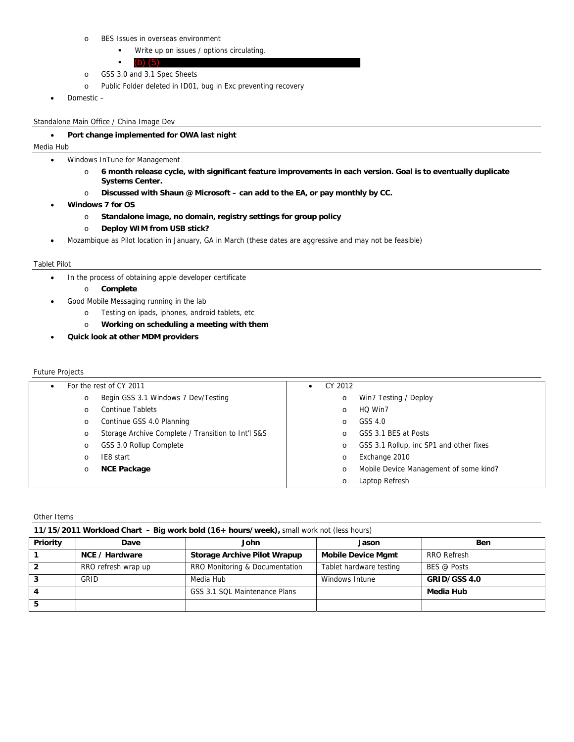- o BES Issues in overseas environment
	- **Write up on issues / options circulating.**
	- l. (b) (5)
- o GSS 3.0 and 3.1 Spec Sheets
- o Public Folder deleted in ID01, bug in Exc preventing recovery
- Domestic –

Standalone Main Office / China Image Dev

## **Port change implemented for OWA last night**

## Media Hub

- Windows InTune for Management
	- o **6 month release cycle, with significant feature improvements in each version. Goal is to eventually duplicate Systems Center.**
	- o **Discussed with Shaun @ Microsoft can add to the EA, or pay monthly by CC.**
- **Windows 7 for OS** 
	- o **Standalone image, no domain, registry settings for group policy**
	- o **Deploy WIM from USB stick?**
- Mozambique as Pilot location in January, GA in March (these dates are aggressive and may not be feasible)

### Tablet Pilot

- In the process of obtaining apple developer certificate
	- o **Complete**
	- Good Mobile Messaging running in the lab
		- o Testing on ipads, iphones, android tablets, etc
		- o **Working on scheduling a meeting with them**
- **Quick look at other MDM providers**

## Future Projects

|         | For the rest of CY 2011                            |  | CY 2012 |                                         |
|---------|----------------------------------------------------|--|---------|-----------------------------------------|
| $\circ$ | Begin GSS 3.1 Windows 7 Dev/Testing                |  | O       | Win7 Testing / Deploy                   |
| $\circ$ | <b>Continue Tablets</b>                            |  | $\circ$ | HQ Win7                                 |
| $\circ$ | Continue GSS 4.0 Planning                          |  | $\circ$ | GSS 4.0                                 |
| $\circ$ | Storage Archive Complete / Transition to Int'l S&S |  | O       | GSS 3.1 BES at Posts                    |
| $\circ$ | GSS 3.0 Rollup Complete                            |  | O       | GSS 3.1 Rollup, inc SP1 and other fixes |
| $\circ$ | IE8 start                                          |  | $\circ$ | Exchange 2010                           |
| $\circ$ | <b>NCE Package</b>                                 |  | O       | Mobile Device Management of some kind?  |
|         |                                                    |  | $\circ$ | Laptop Refresh                          |

Other Items

| 11/15/2011 Workload Chart - Big work bold (16+ hours/week), small work not (less hours) |  |  |
|-----------------------------------------------------------------------------------------|--|--|
|                                                                                         |  |  |

| Priority | Dave                | John                                | Jason                     | <b>Ben</b>   |
|----------|---------------------|-------------------------------------|---------------------------|--------------|
|          | NCE / Hardware      | <b>Storage Archive Pilot Wrapup</b> | <b>Mobile Device Mgmt</b> | RRO Refresh  |
|          | RRO refresh wrap up | RRO Monitoring & Documentation      | Tablet hardware testing   | BES @ Posts  |
|          | GRID                | Media Hub                           | Windows Intune            | GRID/GSS 4.0 |
|          |                     | GSS 3.1 SQL Maintenance Plans       |                           | Media Hub    |
|          |                     |                                     |                           |              |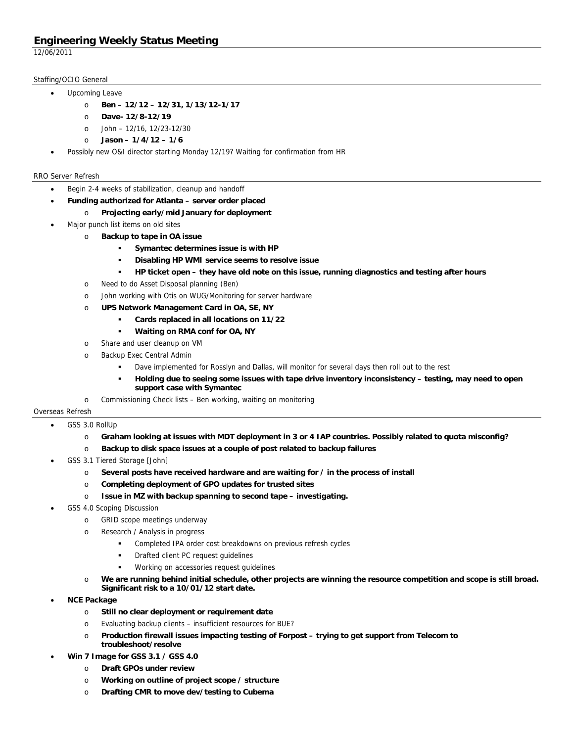12/06/2011

## Staffing/OCIO General

- Upcoming Leave
	- o **Ben 12/12 12/31, 1/13/12-1/17**
	- o **Dave- 12/8-12/19**
	- o John 12/16, 12/23-12/30
	- o **Jason 1/4/12 1/6**
- Possibly new O&I director starting Monday 12/19? Waiting for confirmation from HR

## RRO Server Refresh

- Begin 2-4 weeks of stabilization, cleanup and handoff
- **Funding authorized for Atlanta server order placed** 
	- o **Projecting early/mid January for deployment**
- Major punch list items on old sites
	- o **Backup to tape in OA issue** 
		- **Symantec determines issue is with HP**
		- **Disabling HP WMI service seems to resolve issue**
		- **HP ticket open they have old note on this issue, running diagnostics and testing after hours**
	- o Need to do Asset Disposal planning (Ben)
	- o John working with Otis on WUG/Monitoring for server hardware
	- o **UPS Network Management Card in OA, SE, NY** 
		- **Cards replaced in all locations on 11/22**
		- **Waiting on RMA conf for OA, NY**
	- o Share and user cleanup on VM
	- o Backup Exec Central Admin
		- Dave implemented for Rosslyn and Dallas, will monitor for several days then roll out to the rest
		- **Holding due to seeing some issues with tape drive inventory inconsistency testing, may need to open support case with Symantec**
- o Commissioning Check lists Ben working, waiting on monitoring

## Overseas Refresh

- GSS 3.0 RollUp
	- o **Graham looking at issues with MDT deployment in 3 or 4 IAP countries. Possibly related to quota misconfig?**
	- o **Backup to disk space issues at a couple of post related to backup failures**
- GSS 3.1 Tiered Storage [John]
	- o **Several posts have received hardware and are waiting for / in the process of install**
	- o **Completing deployment of GPO updates for trusted sites**
	- o **Issue in MZ with backup spanning to second tape investigating.**
- GSS 4.0 Scoping Discussion
	- o GRID scope meetings underway
	- o Research / Analysis in progress
		- Completed IPA order cost breakdowns on previous refresh cycles
		- Drafted client PC request guidelines
		- Working on accessories request guidelines
	- o **We are running behind initial schedule, other projects are winning the resource competition and scope is still broad. Significant risk to a 10/01/12 start date.**
- **NCE Package** 
	- o **Still no clear deployment or requirement date**
	- o Evaluating backup clients insufficient resources for BUE?
	- o **Production firewall issues impacting testing of Forpost trying to get support from Telecom to troubleshoot/resolve**
- **Win 7 Image for GSS 3.1 / GSS 4.0** 
	- o **Draft GPOs under review**
	- o **Working on outline of project scope / structure**
	- o **Drafting CMR to move dev/testing to Cubema**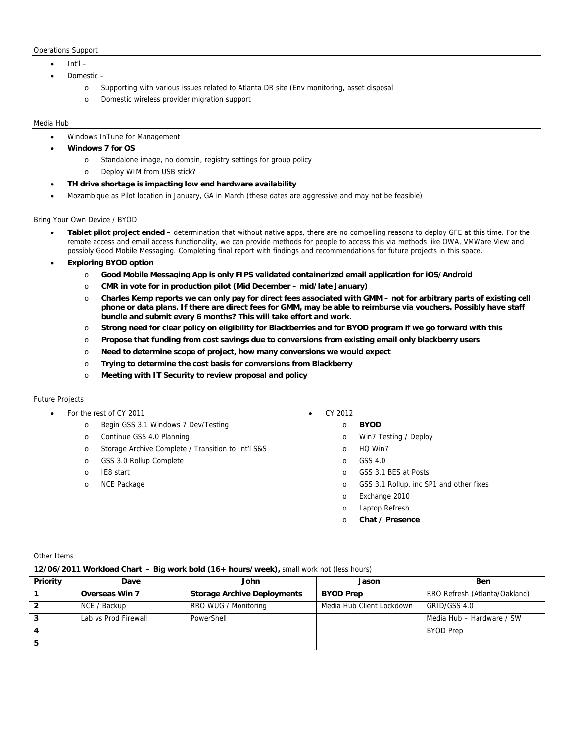#### Operations Support

- Int'l –
- Domestic
	- o Supporting with various issues related to Atlanta DR site (Env monitoring, asset disposal
	- o Domestic wireless provider migration support

#### Media Hub

- Windows InTune for Management
- **Windows 7 for OS** 
	- o Standalone image, no domain, registry settings for group policy
	- o Deploy WIM from USB stick?
- **TH drive shortage is impacting low end hardware availability**
- Mozambique as Pilot location in January, GA in March (these dates are aggressive and may not be feasible)

### Bring Your Own Device / BYOD

- **Tablet pilot project ended** determination that without native apps, there are no compelling reasons to deploy GFE at this time. For the remote access and email access functionality, we can provide methods for people to access this via methods like OWA, VMWare View and possibly Good Mobile Messaging. Completing final report with findings and recommendations for future projects in this space.
- **Exploring BYOD option** 
	- o **Good Mobile Messaging App is only FIPS validated containerized email application for iOS/Android**
	- o **CMR in vote for in production pilot (Mid December mid/late January)**
	- o **Charles Kemp reports we can only pay for direct fees associated with GMM not for arbitrary parts of existing cell phone or data plans. If there are direct fees for GMM, may be able to reimburse via vouchers. Possibly have staff bundle and submit every 6 months? This will take effort and work.**
	- o **Strong need for clear policy on eligibility for Blackberries and for BYOD program if we go forward with this**
	- o **Propose that funding from cost savings due to conversions from existing email only blackberry users**
	- o **Need to determine scope of project, how many conversions we would expect**
	- o **Trying to determine the cost basis for conversions from Blackberry**
	- o **Meeting with IT Security to review proposal and policy**

### Future Projects

| $\bullet$ | For the rest of CY 2011                            |          | CY 2012                                 |
|-----------|----------------------------------------------------|----------|-----------------------------------------|
| $\circ$   | Begin GSS 3.1 Windows 7 Dev/Testing                | $\circ$  | <b>BYOD</b>                             |
| $\circ$   | Continue GSS 4.0 Planning                          | $\circ$  | Win7 Testing / Deploy                   |
| $\circ$   | Storage Archive Complete / Transition to Int'l S&S | $\circ$  | HQ Win7                                 |
| $\circ$   | GSS 3.0 Rollup Complete                            | $\circ$  | GSS 4.0                                 |
| $\circ$   | IE8 start                                          | $\circ$  | GSS 3.1 BES at Posts                    |
| $\circ$   | NCE Package                                        | $\circ$  | GSS 3.1 Rollup, inc SP1 and other fixes |
|           |                                                    | $\circ$  | Exchange 2010                           |
|           |                                                    | $\circ$  | Laptop Refresh                          |
|           |                                                    | $\Omega$ | Chat / Presence                         |

Other Items

|          | 12/06/2011 Workload Chart - Big work bold (16+ hours/week), small work not (less hours) |                                    |                           |                               |  |  |  |
|----------|-----------------------------------------------------------------------------------------|------------------------------------|---------------------------|-------------------------------|--|--|--|
| Priority | Dave                                                                                    | John                               | Jason                     | <b>Ben</b>                    |  |  |  |
|          | <b>Overseas Win 7</b>                                                                   | <b>Storage Archive Deployments</b> | <b>BYOD Prep</b>          | RRO Refresh (Atlanta/Oakland) |  |  |  |
|          | NCE / Backup                                                                            | RRO WUG / Monitoring               | Media Hub Client Lockdown | GRID/GSS 4.0                  |  |  |  |
|          | Lab vs Prod Firewall                                                                    | PowerShell                         |                           | Media Hub - Hardware / SW     |  |  |  |
|          |                                                                                         |                                    |                           | <b>BYOD Prep</b>              |  |  |  |
|          |                                                                                         |                                    |                           |                               |  |  |  |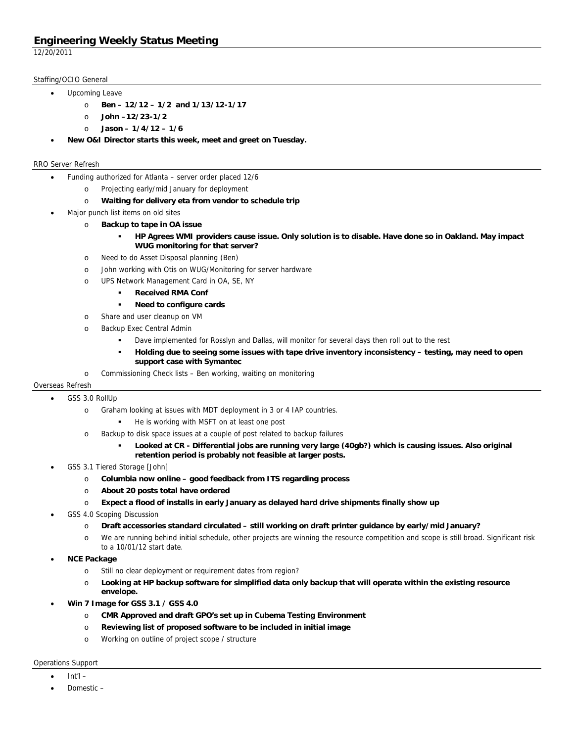12/20/2011

## Staffing/OCIO General

- Upcoming Leave
	- o **Ben 12/12 1/2 and 1/13/12-1/17** 
		- o **John –12/23-1/2**
		- o **Jason 1/4/12 1/6**
- **New O&I Director starts this week, meet and greet on Tuesday.**

## RRO Server Refresh

- Funding authorized for Atlanta server order placed 12/6
	- o Projecting early/mid January for deployment
	- o **Waiting for delivery eta from vendor to schedule trip**
- Major punch list items on old sites
	- o **Backup to tape in OA issue** 
		- **HP Agrees WMI providers cause issue. Only solution is to disable. Have done so in Oakland. May impact WUG monitoring for that server?**
	- o Need to do Asset Disposal planning (Ben)
	- o John working with Otis on WUG/Monitoring for server hardware
	- o UPS Network Management Card in OA, SE, NY
		- **Received RMA Conf**
		- **Need to configure cards**
	- o Share and user cleanup on VM
	- o Backup Exec Central Admin
		- Dave implemented for Rosslyn and Dallas, will monitor for several days then roll out to the rest
		- **Holding due to seeing some issues with tape drive inventory inconsistency testing, may need to open support case with Symantec**
	- o Commissioning Check lists Ben working, waiting on monitoring

## Overseas Refresh

- GSS 3.0 RollUp
	- o Graham looking at issues with MDT deployment in 3 or 4 IAP countries.
		- **He is working with MSFT on at least one post**
	- o Backup to disk space issues at a couple of post related to backup failures
		- **Looked at CR Differential jobs are running very large (40gb?) which is causing issues. Also original retention period is probably not feasible at larger posts.**
- GSS 3.1 Tiered Storage [John]
	- o **Columbia now online good feedback from ITS regarding process**
	- o **About 20 posts total have ordered**
	- o **Expect a flood of installs in early January as delayed hard drive shipments finally show up**
- GSS 4.0 Scoping Discussion
	- o **Draft accessories standard circulated still working on draft printer guidance by early/mid January?**
	- o We are running behind initial schedule, other projects are winning the resource competition and scope is still broad. Significant risk to a 10/01/12 start date.
- **NCE Package** 
	- o Still no clear deployment or requirement dates from region?
	- o **Looking at HP backup software for simplified data only backup that will operate within the existing resource envelope.**
- **Win 7 Image for GSS 3.1 / GSS 4.0** 
	- o **CMR Approved and draft GPO's set up in Cubema Testing Environment**
	- o **Reviewing list of proposed software to be included in initial image**
	- o Working on outline of project scope / structure

### Operations Support

- Int'l –
- Domestic –